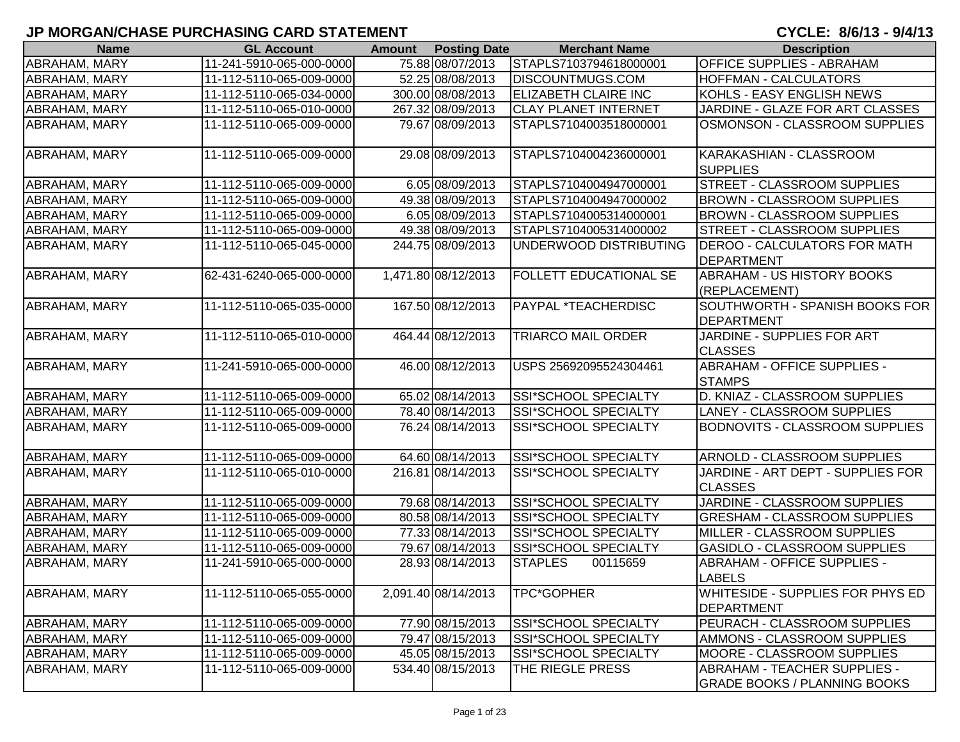| <b>Name</b>          | <b>GL Account</b>        | <b>Amount</b> | <b>Posting Date</b> | <b>Merchant Name</b>          | <b>Description</b>                                                         |
|----------------------|--------------------------|---------------|---------------------|-------------------------------|----------------------------------------------------------------------------|
| ABRAHAM, MARY        | 11-241-5910-065-000-0000 |               | 75.88 08/07/2013    | STAPLS7103794618000001        | <b>OFFICE SUPPLIES - ABRAHAM</b>                                           |
| ABRAHAM, MARY        | 11-112-5110-065-009-0000 |               | 52.25 08/08/2013    | <b>DISCOUNTMUGS.COM</b>       | <b>HOFFMAN - CALCULATORS</b>                                               |
| ABRAHAM, MARY        | 11-112-5110-065-034-0000 |               | 300.00 08/08/2013   | <b>ELIZABETH CLAIRE INC</b>   | KOHLS - EASY ENGLISH NEWS                                                  |
| <b>ABRAHAM, MARY</b> | 11-112-5110-065-010-0000 |               | 267.32 08/09/2013   | <b>CLAY PLANET INTERNET</b>   | JARDINE - GLAZE FOR ART CLASSES                                            |
| ABRAHAM, MARY        | 11-112-5110-065-009-0000 |               | 79.67 08/09/2013    | STAPLS7104003518000001        | OSMONSON - CLASSROOM SUPPLIES                                              |
| ABRAHAM, MARY        | 11-112-5110-065-009-0000 |               | 29.08 08/09/2013    | STAPLS7104004236000001        | KARAKASHIAN - CLASSROOM<br><b>SUPPLIES</b>                                 |
| ABRAHAM, MARY        | 11-112-5110-065-009-0000 |               | 6.05 08/09/2013     | STAPLS7104004947000001        | <b>STREET - CLASSROOM SUPPLIES</b>                                         |
| <b>ABRAHAM, MARY</b> | 11-112-5110-065-009-0000 |               | 49.38 08/09/2013    | STAPLS7104004947000002        | <b>BROWN - CLASSROOM SUPPLIES</b>                                          |
| ABRAHAM, MARY        | 11-112-5110-065-009-0000 |               | 6.05 08/09/2013     | STAPLS7104005314000001        | <b>BROWN - CLASSROOM SUPPLIES</b>                                          |
| ABRAHAM, MARY        | 11-112-5110-065-009-0000 |               | 49.38 08/09/2013    | STAPLS7104005314000002        | STREET - CLASSROOM SUPPLIES                                                |
| ABRAHAM, MARY        | 11-112-5110-065-045-0000 |               | 244.75 08/09/2013   | UNDERWOOD DISTRIBUTING        | <b>DEROO - CALCULATORS FOR MATH</b><br>DEPARTMENT                          |
| ABRAHAM, MARY        | 62-431-6240-065-000-0000 |               | 1,471.80 08/12/2013 | <b>FOLLETT EDUCATIONAL SE</b> | ABRAHAM - US HISTORY BOOKS<br>(REPLACEMENT)                                |
| ABRAHAM, MARY        | 11-112-5110-065-035-0000 |               | 167.50 08/12/2013   | <b>PAYPAL *TEACHERDISC</b>    | SOUTHWORTH - SPANISH BOOKS FOR<br>DEPARTMENT                               |
| ABRAHAM, MARY        | 11-112-5110-065-010-0000 |               | 464.44 08/12/2013   | <b>TRIARCO MAIL ORDER</b>     | JARDINE - SUPPLIES FOR ART<br><b>CLASSES</b>                               |
| ABRAHAM, MARY        | 11-241-5910-065-000-0000 |               | 46.00 08/12/2013    | USPS 25692095524304461        | <b>ABRAHAM - OFFICE SUPPLIES -</b><br><b>STAMPS</b>                        |
| ABRAHAM, MARY        | 11-112-5110-065-009-0000 |               | 65.02 08/14/2013    | SSI*SCHOOL SPECIALTY          | D. KNIAZ - CLASSROOM SUPPLIES                                              |
| ABRAHAM, MARY        | 11-112-5110-065-009-0000 |               | 78.40 08/14/2013    | SSI*SCHOOL SPECIALTY          | LANEY - CLASSROOM SUPPLIES                                                 |
| ABRAHAM, MARY        | 11-112-5110-065-009-0000 |               | 76.24 08/14/2013    | SSI*SCHOOL SPECIALTY          | <b>BODNOVITS - CLASSROOM SUPPLIES</b>                                      |
| <b>ABRAHAM, MARY</b> | 11-112-5110-065-009-0000 |               | 64.60 08/14/2013    | SSI*SCHOOL SPECIALTY          | <b>ARNOLD - CLASSROOM SUPPLIES</b>                                         |
| <b>ABRAHAM, MARY</b> | 11-112-5110-065-010-0000 |               | 216.81 08/14/2013   | SSI*SCHOOL SPECIALTY          | JARDINE - ART DEPT - SUPPLIES FOR<br><b>CLASSES</b>                        |
| ABRAHAM, MARY        | 11-112-5110-065-009-0000 |               | 79.68 08/14/2013    | SSI*SCHOOL SPECIALTY          | JARDINE - CLASSROOM SUPPLIES                                               |
| ABRAHAM, MARY        | 11-112-5110-065-009-0000 |               | 80.58 08/14/2013    | SSI*SCHOOL SPECIALTY          | <b>GRESHAM - CLASSROOM SUPPLIES</b>                                        |
| ABRAHAM, MARY        | 11-112-5110-065-009-0000 |               | 77.33 08/14/2013    | SSI*SCHOOL SPECIALTY          | MILLER - CLASSROOM SUPPLIES                                                |
| ABRAHAM, MARY        | 11-112-5110-065-009-0000 |               | 79.67 08/14/2013    | SSI*SCHOOL SPECIALTY          | <b>GASIDLO - CLASSROOM SUPPLIES</b>                                        |
| ABRAHAM, MARY        | 11-241-5910-065-000-0000 |               | 28.93 08/14/2013    | <b>STAPLES</b><br>00115659    | <b>ABRAHAM - OFFICE SUPPLIES -</b><br><b>LABELS</b>                        |
| <b>ABRAHAM, MARY</b> | 11-112-5110-065-055-0000 |               | 2,091.40 08/14/2013 | <b>TPC*GOPHER</b>             | <b>WHITESIDE - SUPPLIES FOR PHYS ED</b><br>DEPARTMENT                      |
| <b>ABRAHAM, MARY</b> | 11-112-5110-065-009-0000 |               | 77.90 08/15/2013    | SSI*SCHOOL SPECIALTY          | PEURACH - CLASSROOM SUPPLIES                                               |
| ABRAHAM, MARY        | 11-112-5110-065-009-0000 |               | 79.47 08/15/2013    | SSI*SCHOOL SPECIALTY          | AMMONS - CLASSROOM SUPPLIES                                                |
| ABRAHAM, MARY        | 11-112-5110-065-009-0000 |               | 45.05 08/15/2013    | SSI*SCHOOL SPECIALTY          | <b>MOORE - CLASSROOM SUPPLIES</b>                                          |
| ABRAHAM, MARY        | 11-112-5110-065-009-0000 |               | 534.40 08/15/2013   | THE RIEGLE PRESS              | <b>ABRAHAM - TEACHER SUPPLIES -</b><br><b>GRADE BOOKS / PLANNING BOOKS</b> |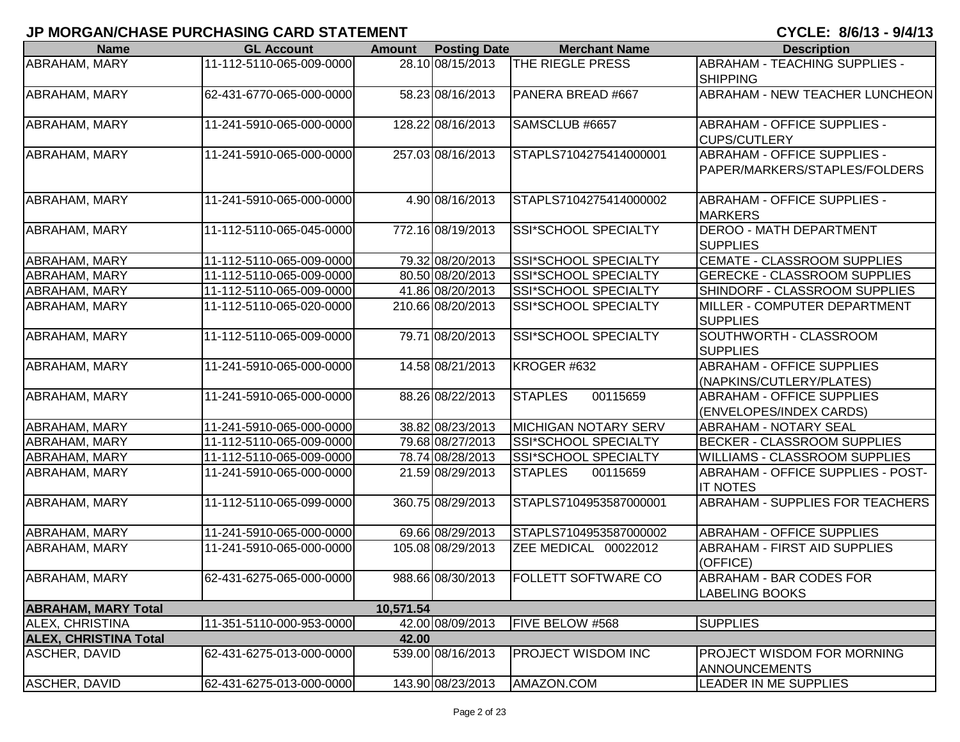| <b>Name</b>                  | <b>GL Account</b>        | <b>Amount</b> | <b>Posting Date</b> | <b>Merchant Name</b>        | <b>Description</b>                                                  |
|------------------------------|--------------------------|---------------|---------------------|-----------------------------|---------------------------------------------------------------------|
| <b>ABRAHAM, MARY</b>         | 11-112-5110-065-009-0000 |               | 28.10 08/15/2013    | <b>THE RIEGLE PRESS</b>     | <b>ABRAHAM - TEACHING SUPPLIES -</b><br><b>SHIPPING</b>             |
| <b>ABRAHAM, MARY</b>         | 62-431-6770-065-000-0000 |               | 58.23 08/16/2013    | PANERA BREAD #667           | <b>ABRAHAM - NEW TEACHER LUNCHEON</b>                               |
| <b>ABRAHAM, MARY</b>         | 11-241-5910-065-000-0000 |               | 128.22 08/16/2013   | SAMSCLUB #6657              | <b>ABRAHAM - OFFICE SUPPLIES -</b><br><b>CUPS/CUTLERY</b>           |
| <b>ABRAHAM, MARY</b>         | 11-241-5910-065-000-0000 |               | 257.03 08/16/2013   | STAPLS7104275414000001      | <b>ABRAHAM - OFFICE SUPPLIES -</b><br>PAPER/MARKERS/STAPLES/FOLDERS |
| ABRAHAM, MARY                | 11-241-5910-065-000-0000 |               | 4.90 08/16/2013     | STAPLS7104275414000002      | <b>ABRAHAM - OFFICE SUPPLIES -</b><br><b>MARKERS</b>                |
| <b>ABRAHAM, MARY</b>         | 11-112-5110-065-045-0000 |               | 772.16 08/19/2013   | SSI*SCHOOL SPECIALTY        | <b>DEROO - MATH DEPARTMENT</b><br><b>SUPPLIES</b>                   |
| <b>ABRAHAM, MARY</b>         | 11-112-5110-065-009-0000 |               | 79.32 08/20/2013    | SSI*SCHOOL SPECIALTY        | CEMATE - CLASSROOM SUPPLIES                                         |
| ABRAHAM, MARY                | 11-112-5110-065-009-0000 |               | 80.50 08/20/2013    | SSI*SCHOOL SPECIALTY        | <b>GERECKE - CLASSROOM SUPPLIES</b>                                 |
| ABRAHAM, MARY                | 11-112-5110-065-009-0000 |               | 41.86 08/20/2013    | SSI*SCHOOL SPECIALTY        | SHINDORF - CLASSROOM SUPPLIES                                       |
| <b>ABRAHAM, MARY</b>         | 11-112-5110-065-020-0000 |               | 210.66 08/20/2013   | <b>SSI*SCHOOL SPECIALTY</b> | MILLER - COMPUTER DEPARTMENT<br><b>SUPPLIES</b>                     |
| <b>ABRAHAM, MARY</b>         | 11-112-5110-065-009-0000 |               | 79.71 08/20/2013    | <b>SSI*SCHOOL SPECIALTY</b> | SOUTHWORTH - CLASSROOM<br><b>SUPPLIES</b>                           |
| ABRAHAM, MARY                | 11-241-5910-065-000-0000 |               | 14.58 08/21/2013    | KROGER #632                 | <b>ABRAHAM - OFFICE SUPPLIES</b><br>(NAPKINS/CUTLERY/PLATES)        |
| <b>ABRAHAM, MARY</b>         | 11-241-5910-065-000-0000 |               | 88.26 08/22/2013    | 00115659<br><b>STAPLES</b>  | <b>ABRAHAM - OFFICE SUPPLIES</b><br>(ENVELOPES/INDEX CARDS)         |
| <b>ABRAHAM, MARY</b>         | 11-241-5910-065-000-0000 |               | 38.82 08/23/2013    | <b>MICHIGAN NOTARY SERV</b> | ABRAHAM - NOTARY SEAL                                               |
| <b>ABRAHAM, MARY</b>         | 11-112-5110-065-009-0000 |               | 79.68 08/27/2013    | <b>SSI*SCHOOL SPECIALTY</b> | <b>BECKER - CLASSROOM SUPPLIES</b>                                  |
| <b>ABRAHAM, MARY</b>         | 11-112-5110-065-009-0000 |               | 78.74 08/28/2013    | SSI*SCHOOL SPECIALTY        | <b>WILLIAMS - CLASSROOM SUPPLIES</b>                                |
| ABRAHAM, MARY                | 11-241-5910-065-000-0000 |               | 21.59 08/29/2013    | <b>STAPLES</b><br>00115659  | ABRAHAM - OFFICE SUPPLIES - POST-<br><b>IT NOTES</b>                |
| ABRAHAM, MARY                | 11-112-5110-065-099-0000 |               | 360.75 08/29/2013   | STAPLS7104953587000001      | ABRAHAM - SUPPLIES FOR TEACHERS                                     |
| <b>ABRAHAM, MARY</b>         | 11-241-5910-065-000-0000 |               | 69.66 08/29/2013    | STAPLS7104953587000002      | <b>ABRAHAM - OFFICE SUPPLIES</b>                                    |
| ABRAHAM, MARY                | 11-241-5910-065-000-0000 |               | 105.08 08/29/2013   | ZEE MEDICAL 00022012        | ABRAHAM - FIRST AID SUPPLIES<br>(OFFICE)                            |
| ABRAHAM, MARY                | 62-431-6275-065-000-0000 |               | 988.66 08/30/2013   | <b>FOLLETT SOFTWARE CO</b>  | ABRAHAM - BAR CODES FOR<br><b>LABELING BOOKS</b>                    |
| <b>ABRAHAM, MARY Total</b>   |                          | 10,571.54     |                     |                             |                                                                     |
| <b>ALEX, CHRISTINA</b>       | 11-351-5110-000-953-0000 |               | 42.00 08/09/2013    | FIVE BELOW #568             | <b>SUPPLIES</b>                                                     |
| <b>ALEX, CHRISTINA Total</b> |                          | 42.00         |                     |                             |                                                                     |
| <b>ASCHER, DAVID</b>         | 62-431-6275-013-000-0000 |               | 539.00 08/16/2013   | <b>PROJECT WISDOM INC</b>   | PROJECT WISDOM FOR MORNING<br><b>ANNOUNCEMENTS</b>                  |
| <b>ASCHER, DAVID</b>         | 62-431-6275-013-000-0000 |               | 143.90 08/23/2013   | AMAZON.COM                  | LEADER IN ME SUPPLIES                                               |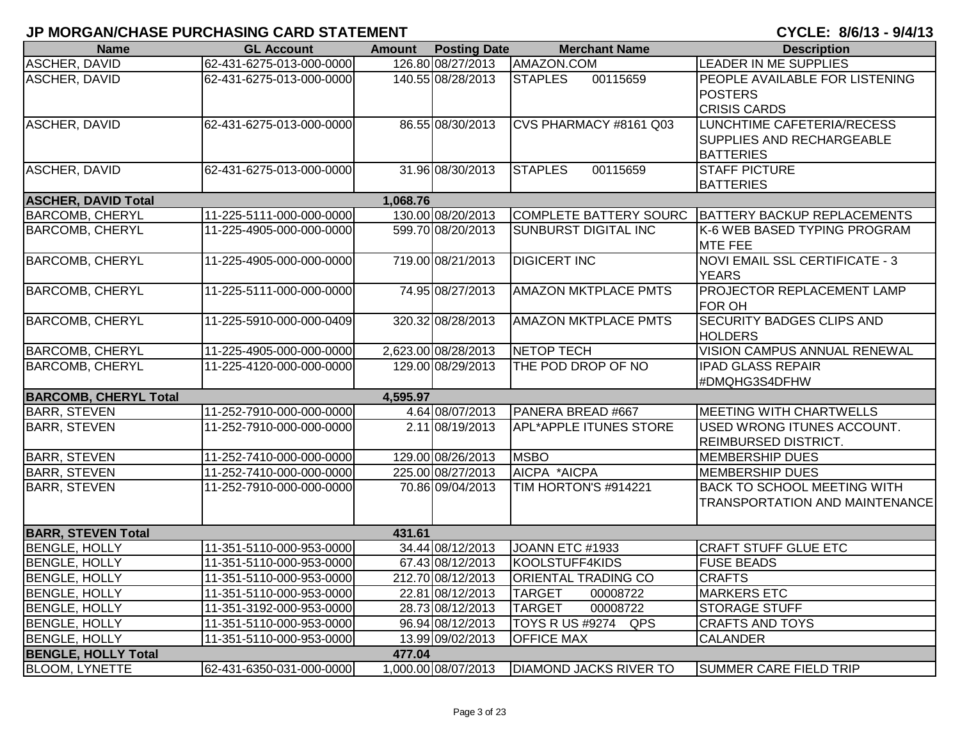| <b>Name</b>                  | <b>GL Account</b>        | <b>Amount</b> | <b>Posting Date</b> | <b>Merchant Name</b>          | <b>Description</b>                    |
|------------------------------|--------------------------|---------------|---------------------|-------------------------------|---------------------------------------|
| <b>ASCHER, DAVID</b>         | 62-431-6275-013-000-0000 |               | 126.80 08/27/2013   | AMAZON.COM                    | <b>LEADER IN ME SUPPLIES</b>          |
| <b>ASCHER, DAVID</b>         | 62-431-6275-013-000-0000 |               | 140.55 08/28/2013   | 00115659<br><b>STAPLES</b>    | PEOPLE AVAILABLE FOR LISTENING        |
|                              |                          |               |                     |                               | <b>POSTERS</b>                        |
|                              |                          |               |                     |                               | <b>CRISIS CARDS</b>                   |
| <b>ASCHER, DAVID</b>         | 62-431-6275-013-000-0000 |               | 86.55 08/30/2013    | <b>CVS PHARMACY #8161 Q03</b> | LUNCHTIME CAFETERIA/RECESS            |
|                              |                          |               |                     |                               | <b>SUPPLIES AND RECHARGEABLE</b>      |
|                              |                          |               |                     |                               | <b>BATTERIES</b>                      |
| <b>ASCHER, DAVID</b>         | 62-431-6275-013-000-0000 |               | 31.96 08/30/2013    | <b>STAPLES</b><br>00115659    | <b>STAFF PICTURE</b>                  |
|                              |                          |               |                     |                               | <b>BATTERIES</b>                      |
| <b>ASCHER, DAVID Total</b>   |                          | 1,068.76      |                     |                               |                                       |
| <b>BARCOMB, CHERYL</b>       | 11-225-5111-000-000-0000 |               | 130.00 08/20/2013   | COMPLETE BATTERY SOURC        | BATTERY BACKUP REPLACEMENTS           |
| <b>BARCOMB, CHERYL</b>       | 11-225-4905-000-000-0000 |               | 599.70 08/20/2013   | <b>SUNBURST DIGITAL INC</b>   | K-6 WEB BASED TYPING PROGRAM          |
|                              |                          |               |                     |                               | <b>MTE FEE</b>                        |
| <b>BARCOMB, CHERYL</b>       | 11-225-4905-000-000-0000 |               | 719.00 08/21/2013   | <b>DIGICERT INC</b>           | NOVI EMAIL SSL CERTIFICATE - 3        |
|                              |                          |               |                     |                               | <b>YEARS</b>                          |
| <b>BARCOMB, CHERYL</b>       | 11-225-5111-000-000-0000 |               | 74.95 08/27/2013    | <b>AMAZON MKTPLACE PMTS</b>   | PROJECTOR REPLACEMENT LAMP            |
|                              |                          |               |                     |                               | <b>FOR OH</b>                         |
| <b>BARCOMB, CHERYL</b>       | 11-225-5910-000-000-0409 |               | 320.32 08/28/2013   | <b>AMAZON MKTPLACE PMTS</b>   | <b>SECURITY BADGES CLIPS AND</b>      |
|                              |                          |               |                     |                               | <b>HOLDERS</b>                        |
| <b>BARCOMB, CHERYL</b>       | 11-225-4905-000-000-0000 |               | 2,623.00 08/28/2013 | NETOP TECH                    | <b>VISION CAMPUS ANNUAL RENEWAL</b>   |
| <b>BARCOMB, CHERYL</b>       | 11-225-4120-000-000-0000 |               | 129.00 08/29/2013   | THE POD DROP OF NO            | <b>IPAD GLASS REPAIR</b>              |
|                              |                          |               |                     |                               | #DMQHG3S4DFHW                         |
| <b>BARCOMB, CHERYL Total</b> |                          | 4,595.97      |                     |                               |                                       |
| <b>BARR, STEVEN</b>          | 11-252-7910-000-000-0000 |               | 4.64 08/07/2013     | PANERA BREAD #667             | <b>MEETING WITH CHARTWELLS</b>        |
| <b>BARR, STEVEN</b>          | 11-252-7910-000-000-0000 |               | 2.11 08/19/2013     | <b>APL*APPLE ITUNES STORE</b> | USED WRONG ITUNES ACCOUNT.            |
|                              |                          |               |                     |                               | REIMBURSED DISTRICT.                  |
| <b>BARR, STEVEN</b>          | 11-252-7410-000-000-0000 |               | 129.00 08/26/2013   | <b>MSBO</b>                   | <b>MEMBERSHIP DUES</b>                |
| <b>BARR, STEVEN</b>          | 11-252-7410-000-000-0000 |               | 225.00 08/27/2013   | AICPA *AICPA                  | <b>MEMBERSHIP DUES</b>                |
| <b>BARR, STEVEN</b>          | 11-252-7910-000-000-0000 |               | 70.86 09/04/2013    | TIM HORTON'S #914221          | <b>BACK TO SCHOOL MEETING WITH</b>    |
|                              |                          |               |                     |                               | <b>TRANSPORTATION AND MAINTENANCE</b> |
|                              |                          |               |                     |                               |                                       |
| <b>BARR, STEVEN Total</b>    |                          | 431.61        |                     |                               |                                       |
| <b>BENGLE, HOLLY</b>         | 11-351-5110-000-953-0000 |               | 34.44 08/12/2013    | JOANN ETC #1933               | <b>CRAFT STUFF GLUE ETC</b>           |
| <b>BENGLE, HOLLY</b>         | 11-351-5110-000-953-0000 |               | 67.43 08/12/2013    | KOOLSTUFF4KIDS                | <b>FUSE BEADS</b>                     |
| <b>BENGLE, HOLLY</b>         | 11-351-5110-000-953-0000 |               | 212.70 08/12/2013   | <b>ORIENTAL TRADING CO</b>    | <b>CRAFTS</b>                         |
| <b>BENGLE, HOLLY</b>         | 11-351-5110-000-953-0000 |               | 22.81 08/12/2013    | <b>TARGET</b><br>00008722     | <b>MARKERS ETC</b>                    |
| <b>BENGLE, HOLLY</b>         | 11-351-3192-000-953-0000 |               | 28.73 08/12/2013    | <b>TARGET</b><br>00008722     | <b>STORAGE STUFF</b>                  |
| <b>BENGLE, HOLLY</b>         | 11-351-5110-000-953-0000 |               | 96.94 08/12/2013    | <b>TOYS R US #9274</b><br>QPS | <b>CRAFTS AND TOYS</b>                |
| <b>BENGLE, HOLLY</b>         | 11-351-5110-000-953-0000 |               | 13.99 09/02/2013    | <b>OFFICE MAX</b>             | <b>CALANDER</b>                       |
| <b>BENGLE, HOLLY Total</b>   |                          | 477.04        |                     |                               |                                       |
| <b>BLOOM, LYNETTE</b>        | 62-431-6350-031-000-0000 |               | 1,000.00 08/07/2013 | <b>DIAMOND JACKS RIVER TO</b> | <b>SUMMER CARE FIELD TRIP</b>         |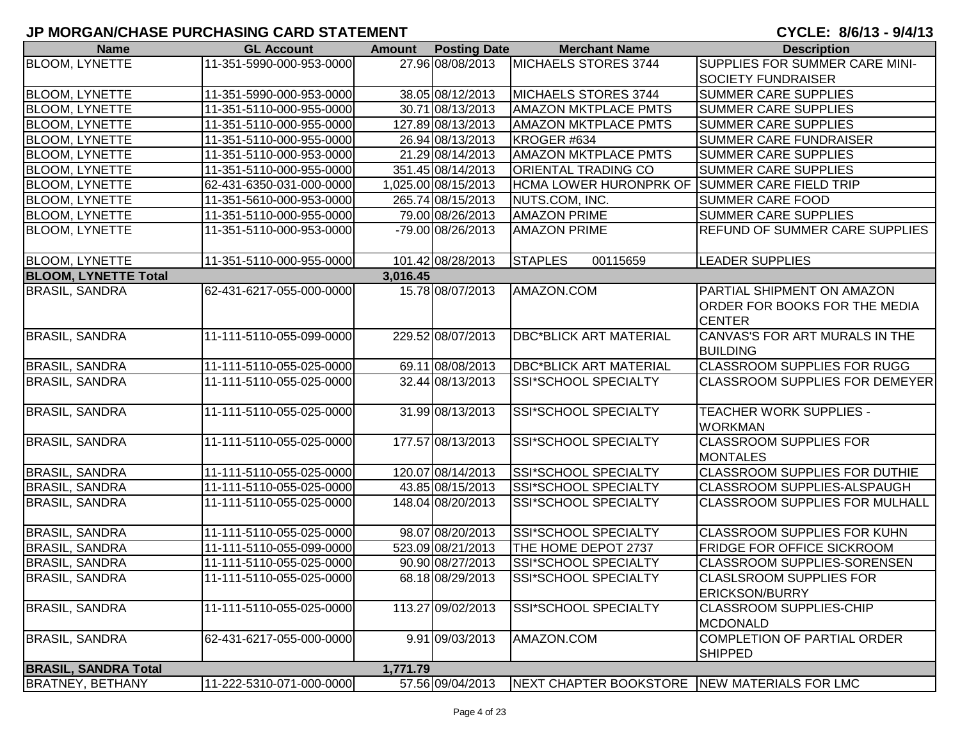| <b>Name</b>                 | <b>GL Account</b>        | <b>Amount</b> | <b>Posting Date</b> | <b>Merchant Name</b>                          | <b>Description</b>                                                           |
|-----------------------------|--------------------------|---------------|---------------------|-----------------------------------------------|------------------------------------------------------------------------------|
| <b>BLOOM, LYNETTE</b>       | 11-351-5990-000-953-0000 |               | 27.96 08/08/2013    | <b>MICHAELS STORES 3744</b>                   | SUPPLIES FOR SUMMER CARE MINI-                                               |
|                             |                          |               |                     |                                               | <b>SOCIETY FUNDRAISER</b>                                                    |
| <b>BLOOM, LYNETTE</b>       | 11-351-5990-000-953-0000 |               | 38.05 08/12/2013    | MICHAELS STORES 3744                          | <b>SUMMER CARE SUPPLIES</b>                                                  |
| <b>BLOOM, LYNETTE</b>       | 11-351-5110-000-955-0000 |               | 30.71 08/13/2013    | <b>AMAZON MKTPLACE PMTS</b>                   | <b>SUMMER CARE SUPPLIES</b>                                                  |
| <b>BLOOM, LYNETTE</b>       | 11-351-5110-000-955-0000 |               | 127.89 08/13/2013   | <b>AMAZON MKTPLACE PMTS</b>                   | <b>SUMMER CARE SUPPLIES</b>                                                  |
| <b>BLOOM, LYNETTE</b>       | 11-351-5110-000-955-0000 |               | 26.94 08/13/2013    | KROGER #634                                   | <b>SUMMER CARE FUNDRAISER</b>                                                |
| <b>BLOOM, LYNETTE</b>       | 11-351-5110-000-953-0000 |               | 21.29 08/14/2013    | <b>AMAZON MKTPLACE PMTS</b>                   | <b>SUMMER CARE SUPPLIES</b>                                                  |
| <b>BLOOM, LYNETTE</b>       | 11-351-5110-000-955-0000 |               | 351.45 08/14/2013   | <b>ORIENTAL TRADING CO</b>                    | <b>SUMMER CARE SUPPLIES</b>                                                  |
| <b>BLOOM, LYNETTE</b>       | 62-431-6350-031-000-0000 |               | 1,025.00 08/15/2013 | HCMA LOWER HURONPRK OF SUMMER CARE FIELD TRIP |                                                                              |
| <b>BLOOM, LYNETTE</b>       | 11-351-5610-000-953-0000 |               | 265.74 08/15/2013   | NUTS.COM, INC.                                | <b>SUMMER CARE FOOD</b>                                                      |
| <b>BLOOM, LYNETTE</b>       | 11-351-5110-000-955-0000 |               | 79.00 08/26/2013    | <b>AMAZON PRIME</b>                           | <b>SUMMER CARE SUPPLIES</b>                                                  |
| <b>BLOOM, LYNETTE</b>       | 11-351-5110-000-953-0000 |               | -79.00 08/26/2013   | <b>AMAZON PRIME</b>                           | <b>REFUND OF SUMMER CARE SUPPLIES</b>                                        |
| <b>BLOOM, LYNETTE</b>       | 11-351-5110-000-955-0000 |               | 101.42 08/28/2013   | 00115659<br><b>STAPLES</b>                    | <b>LEADER SUPPLIES</b>                                                       |
| <b>BLOOM, LYNETTE Total</b> |                          | 3,016.45      |                     |                                               |                                                                              |
| <b>BRASIL, SANDRA</b>       | 62-431-6217-055-000-0000 |               | 15.78 08/07/2013    | AMAZON.COM                                    | PARTIAL SHIPMENT ON AMAZON<br>ORDER FOR BOOKS FOR THE MEDIA<br><b>CENTER</b> |
| <b>BRASIL, SANDRA</b>       | 11-111-5110-055-099-0000 |               | 229.52 08/07/2013   | <b>DBC*BLICK ART MATERIAL</b>                 | CANVAS'S FOR ART MURALS IN THE<br><b>BUILDING</b>                            |
| <b>BRASIL, SANDRA</b>       | 11-111-5110-055-025-0000 |               | 69.11 08/08/2013    | <b>DBC*BLICK ART MATERIAL</b>                 | <b>CLASSROOM SUPPLIES FOR RUGG</b>                                           |
| <b>BRASIL, SANDRA</b>       | 11-111-5110-055-025-0000 |               | 32.44 08/13/2013    | SSI*SCHOOL SPECIALTY                          | <b>CLASSROOM SUPPLIES FOR DEMEYER</b>                                        |
| <b>BRASIL, SANDRA</b>       | 11-111-5110-055-025-0000 |               | 31.99 08/13/2013    | SSI*SCHOOL SPECIALTY                          | TEACHER WORK SUPPLIES -<br><b>WORKMAN</b>                                    |
| <b>BRASIL, SANDRA</b>       | 11-111-5110-055-025-0000 |               | 177.57 08/13/2013   | SSI*SCHOOL SPECIALTY                          | <b>CLASSROOM SUPPLIES FOR</b><br><b>MONTALES</b>                             |
| <b>BRASIL, SANDRA</b>       | 11-111-5110-055-025-0000 |               | 120.07 08/14/2013   | SSI*SCHOOL SPECIALTY                          | <b>CLASSROOM SUPPLIES FOR DUTHIE</b>                                         |
| <b>BRASIL, SANDRA</b>       | 11-111-5110-055-025-0000 |               | 43.85 08/15/2013    | <b>SSI*SCHOOL SPECIALTY</b>                   | <b>CLASSROOM SUPPLIES-ALSPAUGH</b>                                           |
| <b>BRASIL, SANDRA</b>       | 11-111-5110-055-025-0000 |               | 148.04 08/20/2013   | <b>SSI*SCHOOL SPECIALTY</b>                   | <b>CLASSROOM SUPPLIES FOR MULHALL</b>                                        |
| <b>BRASIL, SANDRA</b>       | 11-111-5110-055-025-0000 |               | 98.07 08/20/2013    | SSI*SCHOOL SPECIALTY                          | <b>CLASSROOM SUPPLIES FOR KUHN</b>                                           |
| <b>BRASIL, SANDRA</b>       | 11-111-5110-055-099-0000 |               | 523.09 08/21/2013   | THE HOME DEPOT 2737                           | <b>FRIDGE FOR OFFICE SICKROOM</b>                                            |
| <b>BRASIL, SANDRA</b>       | 11-111-5110-055-025-0000 |               | 90.90 08/27/2013    | SSI*SCHOOL SPECIALTY                          | <b>CLASSROOM SUPPLIES-SORENSEN</b>                                           |
| <b>BRASIL, SANDRA</b>       | 11-111-5110-055-025-0000 |               | 68.18 08/29/2013    | <b>ISSI*SCHOOL SPECIALTY</b>                  | <b>CLASLSROOM SUPPLIES FOR</b><br><b>ERICKSON/BURRY</b>                      |
| <b>BRASIL, SANDRA</b>       | 11-111-5110-055-025-0000 |               | 113.27 09/02/2013   | SSI*SCHOOL SPECIALTY                          | <b>CLASSROOM SUPPLIES-CHIP</b><br><b>MCDONALD</b>                            |
| <b>BRASIL, SANDRA</b>       | 62-431-6217-055-000-0000 |               | 9.91 09/03/2013     | AMAZON.COM                                    | COMPLETION OF PARTIAL ORDER<br><b>SHIPPED</b>                                |
| <b>BRASIL, SANDRA Total</b> |                          | 1,771.79      |                     |                                               |                                                                              |
| <b>BRATNEY, BETHANY</b>     | 11-222-5310-071-000-0000 |               | 57.56 09/04/2013    | NEXT CHAPTER BOOKSTORE NEW MATERIALS FOR LMC  |                                                                              |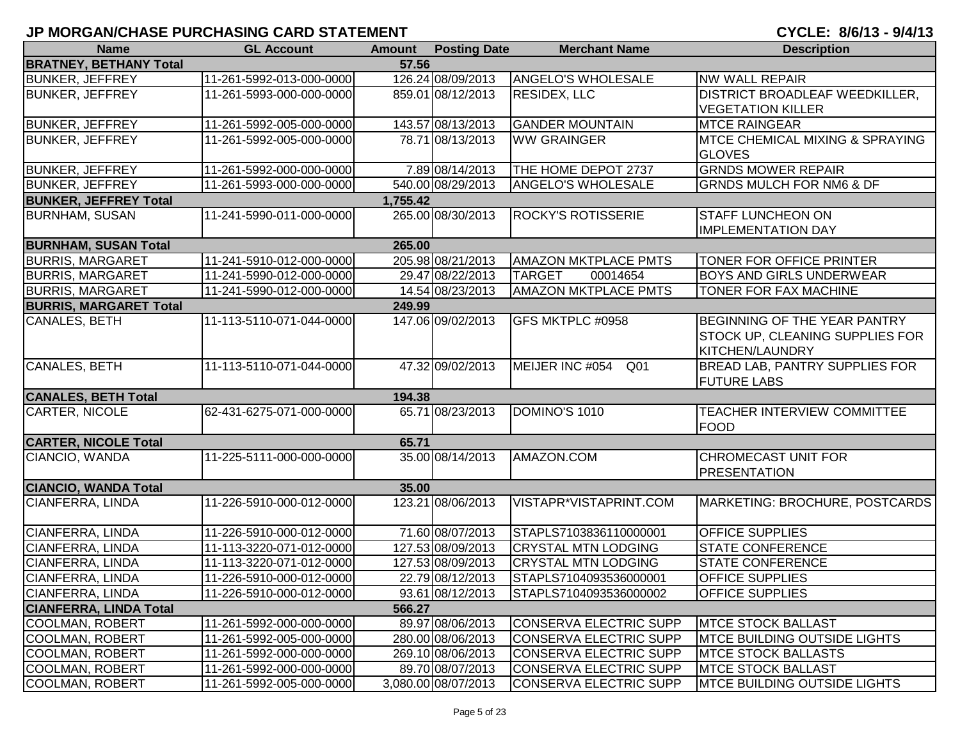| <b>Name</b>                   | <b>GL Account</b>        | <b>Amount</b> | <b>Posting Date</b> | <b>Merchant Name</b>               | <b>Description</b>                          |
|-------------------------------|--------------------------|---------------|---------------------|------------------------------------|---------------------------------------------|
| <b>BRATNEY, BETHANY Total</b> |                          | 57.56         |                     |                                    |                                             |
| <b>BUNKER, JEFFREY</b>        | 11-261-5992-013-000-0000 |               | 126.24 08/09/2013   | <b>ANGELO'S WHOLESALE</b>          | <b>NW WALL REPAIR</b>                       |
| <b>BUNKER, JEFFREY</b>        | 11-261-5993-000-000-0000 |               | 859.01 08/12/2013   | <b>RESIDEX, LLC</b>                | <b>DISTRICT BROADLEAF WEEDKILLER,</b>       |
|                               |                          |               |                     |                                    | <b>VEGETATION KILLER</b>                    |
| <b>BUNKER, JEFFREY</b>        | 11-261-5992-005-000-0000 |               | 143.57 08/13/2013   | <b>GANDER MOUNTAIN</b>             | <b>MTCE RAINGEAR</b>                        |
| <b>BUNKER, JEFFREY</b>        | 11-261-5992-005-000-0000 |               | 78.71 08/13/2013    | <b>WW GRAINGER</b>                 | <b>IMTCE CHEMICAL MIXING &amp; SPRAYING</b> |
|                               |                          |               |                     |                                    | <b>GLOVES</b>                               |
| <b>BUNKER, JEFFREY</b>        | 11-261-5992-000-000-0000 |               | 7.89 08/14/2013     | THE HOME DEPOT 2737                | <b>GRNDS MOWER REPAIR</b>                   |
| <b>BUNKER, JEFFREY</b>        | 11-261-5993-000-000-0000 |               | 540.00 08/29/2013   | <b>ANGELO'S WHOLESALE</b>          | <b>GRNDS MULCH FOR NM6 &amp; DF</b>         |
| <b>BUNKER, JEFFREY Total</b>  |                          | 1,755.42      |                     |                                    |                                             |
| <b>BURNHAM, SUSAN</b>         | 11-241-5990-011-000-0000 |               | 265.00 08/30/2013   | <b>ROCKY'S ROTISSERIE</b>          | <b>STAFF LUNCHEON ON</b>                    |
|                               |                          |               |                     |                                    | <b>IMPLEMENTATION DAY</b>                   |
| <b>BURNHAM, SUSAN Total</b>   |                          | 265.00        |                     |                                    |                                             |
| <b>BURRIS, MARGARET</b>       | 11-241-5910-012-000-0000 |               | 205.98 08/21/2013   | <b>AMAZON MKTPLACE PMTS</b>        | TONER FOR OFFICE PRINTER                    |
| <b>BURRIS, MARGARET</b>       | 11-241-5990-012-000-0000 |               | 29.47 08/22/2013    | <b>TARGET</b><br>00014654          | <b>BOYS AND GIRLS UNDERWEAR</b>             |
| <b>BURRIS, MARGARET</b>       | 11-241-5990-012-000-0000 |               | 14.54 08/23/2013    | <b>AMAZON MKTPLACE PMTS</b>        | TONER FOR FAX MACHINE                       |
| <b>BURRIS, MARGARET Total</b> |                          | 249.99        |                     |                                    |                                             |
| CANALES, BETH                 | 11-113-5110-071-044-0000 |               | 147.06 09/02/2013   | <b>GFS MKTPLC #0958</b>            | <b>BEGINNING OF THE YEAR PANTRY</b>         |
|                               |                          |               |                     |                                    | STOCK UP, CLEANING SUPPLIES FOR             |
|                               |                          |               |                     |                                    | <b>KITCHEN/LAUNDRY</b>                      |
| <b>CANALES, BETH</b>          | 11-113-5110-071-044-0000 |               | 47.32 09/02/2013    | MEIJER INC #054<br>Q <sub>01</sub> | BREAD LAB, PANTRY SUPPLIES FOR              |
|                               |                          |               |                     |                                    | <b>FUTURE LABS</b>                          |
| <b>CANALES, BETH Total</b>    |                          | 194.38        |                     |                                    |                                             |
| <b>CARTER, NICOLE</b>         | 62-431-6275-071-000-0000 |               | 65.71 08/23/2013    | DOMINO'S 1010                      | <b>TEACHER INTERVIEW COMMITTEE</b>          |
|                               |                          |               |                     |                                    | <b>FOOD</b>                                 |
| <b>CARTER, NICOLE Total</b>   |                          | 65.71         |                     |                                    |                                             |
| CIANCIO, WANDA                | 11-225-5111-000-000-0000 |               | 35.00 08/14/2013    | AMAZON.COM                         | <b>CHROMECAST UNIT FOR</b>                  |
|                               |                          |               |                     |                                    | <b>PRESENTATION</b>                         |
| <b>CIANCIO, WANDA Total</b>   |                          | 35.00         |                     |                                    |                                             |
| CIANFERRA, LINDA              | 11-226-5910-000-012-0000 |               | 123.21 08/06/2013   | VISTAPR*VISTAPRINT.COM             | MARKETING: BROCHURE, POSTCARDS              |
|                               |                          |               |                     |                                    |                                             |
| CIANFERRA, LINDA              | 11-226-5910-000-012-0000 |               | 71.60 08/07/2013    | STAPLS7103836110000001             | <b>OFFICE SUPPLIES</b>                      |
| CIANFERRA, LINDA              | 11-113-3220-071-012-0000 |               | 127.53 08/09/2013   | <b>CRYSTAL MTN LODGING</b>         | <b>STATE CONFERENCE</b>                     |
| CIANFERRA, LINDA              | 11-113-3220-071-012-0000 |               | 127.53 08/09/2013   | <b>CRYSTAL MTN LODGING</b>         | <b>STATE CONFERENCE</b>                     |
| <b>CIANFERRA, LINDA</b>       | 11-226-5910-000-012-0000 |               | 22.79 08/12/2013    | STAPLS7104093536000001             | <b>OFFICE SUPPLIES</b>                      |
| CIANFERRA, LINDA              | 11-226-5910-000-012-0000 |               | 93.61 08/12/2013    | STAPLS7104093536000002             | <b>OFFICE SUPPLIES</b>                      |
| <b>CIANFERRA, LINDA Total</b> |                          | 566.27        |                     |                                    |                                             |
| <b>COOLMAN, ROBERT</b>        | 11-261-5992-000-000-0000 |               | 89.97 08/06/2013    | <b>CONSERVA ELECTRIC SUPP</b>      | <b>MTCE STOCK BALLAST</b>                   |
| <b>COOLMAN, ROBERT</b>        | 11-261-5992-005-000-0000 |               | 280.00 08/06/2013   | CONSERVA ELECTRIC SUPP             | <b>MTCE BUILDING OUTSIDE LIGHTS</b>         |
| COOLMAN, ROBERT               | 11-261-5992-000-000-0000 |               | 269.10 08/06/2013   | CONSERVA ELECTRIC SUPP             | <b>MTCE STOCK BALLASTS</b>                  |
| COOLMAN, ROBERT               | 11-261-5992-000-000-0000 |               | 89.70 08/07/2013    | CONSERVA ELECTRIC SUPP             | <b>MTCE STOCK BALLAST</b>                   |
| COOLMAN, ROBERT               | 11-261-5992-005-000-0000 |               | 3,080.00 08/07/2013 | CONSERVA ELECTRIC SUPP             | <b>MTCE BUILDING OUTSIDE LIGHTS</b>         |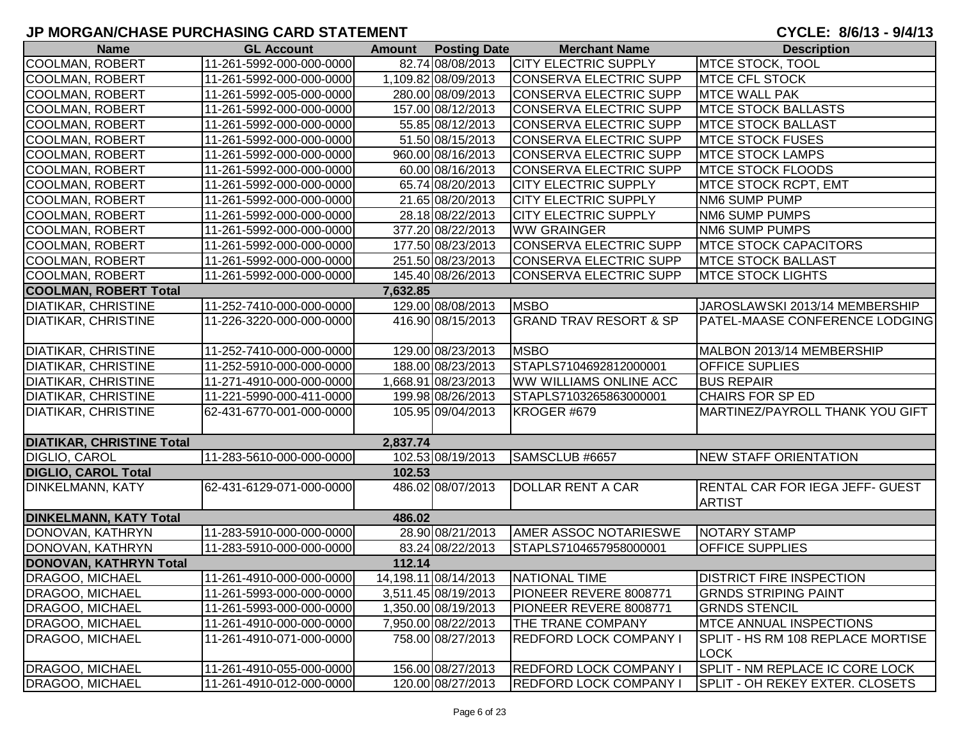| <b>Name</b>                      | <b>GL Account</b>        | Amount   | <b>Posting Date</b>  | <b>Merchant Name</b>              | <b>Description</b>                |
|----------------------------------|--------------------------|----------|----------------------|-----------------------------------|-----------------------------------|
| <b>COOLMAN, ROBERT</b>           | 11-261-5992-000-000-0000 |          | 82.74 08/08/2013     | <b>CITY ELECTRIC SUPPLY</b>       | <b>MTCE STOCK, TOOL</b>           |
| <b>COOLMAN, ROBERT</b>           | 11-261-5992-000-000-0000 |          | 1,109.82 08/09/2013  | CONSERVA ELECTRIC SUPP            | <b>IMTCE CFL STOCK</b>            |
| <b>COOLMAN, ROBERT</b>           | 11-261-5992-005-000-0000 |          | 280.00 08/09/2013    | CONSERVA ELECTRIC SUPP            | <b>MTCE WALL PAK</b>              |
| <b>COOLMAN, ROBERT</b>           | 11-261-5992-000-000-0000 |          | 157.00 08/12/2013    | CONSERVA ELECTRIC SUPP            | <b>MTCE STOCK BALLASTS</b>        |
| <b>COOLMAN, ROBERT</b>           | 11-261-5992-000-000-0000 |          | 55.85 08/12/2013     | CONSERVA ELECTRIC SUPP            | <b>MTCE STOCK BALLAST</b>         |
| <b>COOLMAN, ROBERT</b>           | 11-261-5992-000-000-0000 |          | 51.50 08/15/2013     | CONSERVA ELECTRIC SUPP            | <b>MTCE STOCK FUSES</b>           |
| <b>COOLMAN, ROBERT</b>           | 11-261-5992-000-000-0000 |          | 960.00 08/16/2013    | CONSERVA ELECTRIC SUPP            | <b>MTCE STOCK LAMPS</b>           |
| <b>COOLMAN, ROBERT</b>           | 11-261-5992-000-000-0000 |          | 60.00 08/16/2013     | <b>CONSERVA ELECTRIC SUPP</b>     | <b>MTCE STOCK FLOODS</b>          |
| <b>COOLMAN, ROBERT</b>           | 11-261-5992-000-000-0000 |          | 65.74 08/20/2013     | <b>CITY ELECTRIC SUPPLY</b>       | MTCE STOCK RCPT, EMT              |
| <b>COOLMAN, ROBERT</b>           | 11-261-5992-000-000-0000 |          | 21.65 08/20/2013     | <b>CITY ELECTRIC SUPPLY</b>       | NM6 SUMP PUMP                     |
| <b>COOLMAN, ROBERT</b>           | 11-261-5992-000-000-0000 |          | 28.18 08/22/2013     | <b>CITY ELECTRIC SUPPLY</b>       | NM6 SUMP PUMPS                    |
| <b>COOLMAN, ROBERT</b>           | 11-261-5992-000-000-0000 |          | 377.20 08/22/2013    | <b>WW GRAINGER</b>                | <b>NM6 SUMP PUMPS</b>             |
| <b>COOLMAN, ROBERT</b>           | 11-261-5992-000-000-0000 |          | 177.50 08/23/2013    | CONSERVA ELECTRIC SUPP            | <b>MTCE STOCK CAPACITORS</b>      |
| <b>COOLMAN, ROBERT</b>           | 11-261-5992-000-000-0000 |          | 251.50 08/23/2013    | CONSERVA ELECTRIC SUPP            | <b>MTCE STOCK BALLAST</b>         |
| <b>COOLMAN, ROBERT</b>           | 11-261-5992-000-000-0000 |          | 145.40 08/26/2013    | CONSERVA ELECTRIC SUPP            | <b>MTCE STOCK LIGHTS</b>          |
| <b>COOLMAN, ROBERT Total</b>     |                          | 7.632.85 |                      |                                   |                                   |
| <b>DIATIKAR, CHRISTINE</b>       | 11-252-7410-000-000-0000 |          | 129.00 08/08/2013    | <b>MSBO</b>                       | JAROSLAWSKI 2013/14 MEMBERSHIP    |
| <b>DIATIKAR, CHRISTINE</b>       | 11-226-3220-000-000-0000 |          | 416.90 08/15/2013    | <b>GRAND TRAV RESORT &amp; SP</b> | PATEL-MAASE CONFERENCE LODGING    |
| <b>DIATIKAR, CHRISTINE</b>       | 11-252-7410-000-000-0000 |          | 129.00 08/23/2013    | <b>MSBO</b>                       | MALBON 2013/14 MEMBERSHIP         |
| <b>DIATIKAR, CHRISTINE</b>       | 11-252-5910-000-000-0000 |          | 188.00 08/23/2013    | STAPLS7104692812000001            | <b>OFFICE SUPLIES</b>             |
| <b>DIATIKAR, CHRISTINE</b>       | 11-271-4910-000-000-0000 |          | 1,668.91 08/23/2013  | <b>WW WILLIAMS ONLINE ACC</b>     | <b>BUS REPAIR</b>                 |
| <b>DIATIKAR, CHRISTINE</b>       | 11-221-5990-000-411-0000 |          | 199.98 08/26/2013    | STAPLS7103265863000001            | <b>CHAIRS FOR SP ED</b>           |
| <b>DIATIKAR, CHRISTINE</b>       | 62-431-6770-001-000-0000 |          | 105.95 09/04/2013    | KROGER #679                       | MARTINEZ/PAYROLL THANK YOU GIFT   |
|                                  |                          |          |                      |                                   |                                   |
| <b>DIATIKAR, CHRISTINE Total</b> |                          | 2,837.74 |                      |                                   |                                   |
| DIGLIO, CAROL                    | 11-283-5610-000-000-0000 |          | 102.53 08/19/2013    | SAMSCLUB #6657                    | NEW STAFF ORIENTATION             |
| <b>DIGLIO, CAROL Total</b>       |                          | 102.53   |                      |                                   |                                   |
| <b>DINKELMANN, KATY</b>          | 62-431-6129-071-000-0000 |          | 486.02 08/07/2013    | <b>DOLLAR RENT A CAR</b>          | RENTAL CAR FOR IEGA JEFF- GUEST   |
|                                  |                          |          |                      |                                   | <b>ARTIST</b>                     |
| <b>DINKELMANN, KATY Total</b>    |                          | 486.02   |                      |                                   |                                   |
| DONOVAN, KATHRYN                 | 11-283-5910-000-000-0000 |          | 28.90 08/21/2013     | AMER ASSOC NOTARIESWE             | NOTARY STAMP                      |
| DONOVAN, KATHRYN                 | 11-283-5910-000-000-0000 |          | 83.24 08/22/2013     | STAPLS7104657958000001            | <b>OFFICE SUPPLIES</b>            |
| DONOVAN, KATHRYN Total           |                          | 112.14   |                      |                                   |                                   |
| <b>DRAGOO, MICHAEL</b>           | 11-261-4910-000-000-0000 |          | 14,198.11 08/14/2013 | NATIONAL TIME                     | <b>IDISTRICT FIRE INSPECTION</b>  |
| <b>DRAGOO, MICHAEL</b>           | 11-261-5993-000-000-0000 |          | 3,511.45 08/19/2013  | PIONEER REVERE 8008771            | <b>GRNDS STRIPING PAINT</b>       |
| <b>DRAGOO, MICHAEL</b>           | 11-261-5993-000-000-0000 |          | 1,350.00 08/19/2013  | PIONEER REVERE 8008771            | <b>GRNDS STENCIL</b>              |
| <b>DRAGOO, MICHAEL</b>           | 11-261-4910-000-000-0000 |          | 7,950.00 08/22/2013  | THE TRANE COMPANY                 | MTCE ANNUAL INSPECTIONS           |
| DRAGOO, MICHAEL                  | 11-261-4910-071-000-0000 |          | 758.00 08/27/2013    | <b>REDFORD LOCK COMPANY I</b>     | SPLIT - HS RM 108 REPLACE MORTISE |
|                                  |                          |          |                      |                                   | <b>LOCK</b>                       |
| <b>DRAGOO, MICHAEL</b>           | 11-261-4910-055-000-0000 |          | 156.00 08/27/2013    | <b>REDFORD LOCK COMPANY I</b>     | SPLIT - NM REPLACE IC CORE LOCK   |
| DRAGOO, MICHAEL                  | 11-261-4910-012-000-0000 |          | 120.00 08/27/2013    | <b>REDFORD LOCK COMPANY I</b>     | SPLIT - OH REKEY EXTER. CLOSETS   |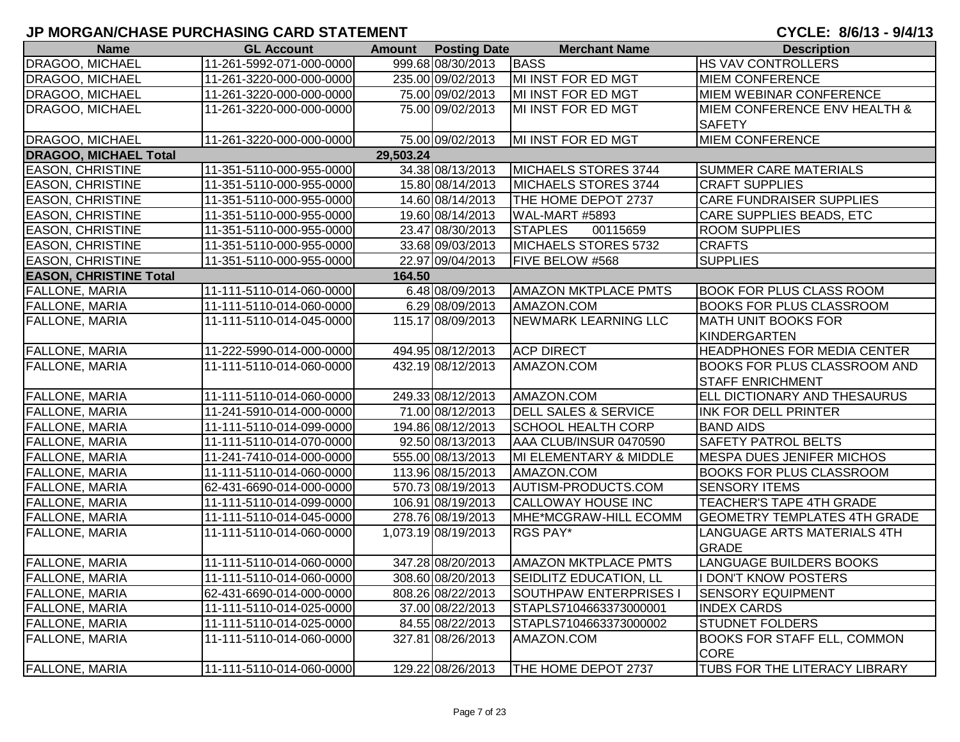| <b>Name</b>                   | <b>GL Account</b>        |           | <b>Amount</b> Posting Date | <b>Merchant Name</b>            | <b>Description</b>                  |
|-------------------------------|--------------------------|-----------|----------------------------|---------------------------------|-------------------------------------|
| <b>DRAGOO, MICHAEL</b>        | 11-261-5992-071-000-0000 |           | 999.68 08/30/2013          | BASS                            | <b>HS VAV CONTROLLERS</b>           |
| DRAGOO, MICHAEL               | 11-261-3220-000-000-0000 |           | 235.00 09/02/2013          | MI INST FOR ED MGT              | <b>MIEM CONFERENCE</b>              |
| <b>DRAGOO, MICHAEL</b>        | 11-261-3220-000-000-0000 |           | 75.00 09/02/2013           | MI INST FOR ED MGT              | <b>MIEM WEBINAR CONFERENCE</b>      |
| DRAGOO, MICHAEL               | 11-261-3220-000-000-0000 |           | 75.00 09/02/2013           | MI INST FOR ED MGT              | MIEM CONFERENCE ENV HEALTH &        |
|                               |                          |           |                            |                                 | <b>SAFETY</b>                       |
| DRAGOO, MICHAEL               | 11-261-3220-000-000-0000 |           | 75.00 09/02/2013           | MI INST FOR ED MGT              | <b>MIEM CONFERENCE</b>              |
| <b>DRAGOO, MICHAEL Total</b>  |                          | 29,503.24 |                            |                                 |                                     |
| <b>EASON, CHRISTINE</b>       | 11-351-5110-000-955-0000 |           | 34.38 08/13/2013           | MICHAELS STORES 3744            | <b>SUMMER CARE MATERIALS</b>        |
| <b>EASON, CHRISTINE</b>       | 11-351-5110-000-955-0000 |           | 15.80 08/14/2013           | MICHAELS STORES 3744            | <b>CRAFT SUPPLIES</b>               |
| <b>EASON, CHRISTINE</b>       | 11-351-5110-000-955-0000 |           | 14.60 08/14/2013           | THE HOME DEPOT 2737             | <b>CARE FUNDRAISER SUPPLIES</b>     |
| <b>EASON, CHRISTINE</b>       | 11-351-5110-000-955-0000 |           | 19.60 08/14/2013           | WAL-MART #5893                  | <b>CARE SUPPLIES BEADS, ETC</b>     |
| <b>EASON, CHRISTINE</b>       | 11-351-5110-000-955-0000 |           | 23.47 08/30/2013           | <b>STAPLES</b><br>00115659      | <b>ROOM SUPPLIES</b>                |
| <b>EASON, CHRISTINE</b>       | 11-351-5110-000-955-0000 |           | 33.68 09/03/2013           | MICHAELS STORES 5732            | <b>CRAFTS</b>                       |
| <b>EASON, CHRISTINE</b>       | 11-351-5110-000-955-0000 |           | 22.97 09/04/2013           | FIVE BELOW #568                 | <b>SUPPLIES</b>                     |
| <b>EASON, CHRISTINE Total</b> |                          | 164.50    |                            |                                 |                                     |
| <b>FALLONE, MARIA</b>         | 11-111-5110-014-060-0000 |           | 6.48 08/09/2013            | <b>AMAZON MKTPLACE PMTS</b>     | <b>BOOK FOR PLUS CLASS ROOM</b>     |
| <b>FALLONE, MARIA</b>         | 11-111-5110-014-060-0000 |           | 6.29 08/09/2013            | AMAZON.COM                      | <b>BOOKS FOR PLUS CLASSROOM</b>     |
| FALLONE, MARIA                | 11-111-5110-014-045-0000 |           | 115.17 08/09/2013          | NEWMARK LEARNING LLC            | <b>MATH UNIT BOOKS FOR</b>          |
|                               |                          |           |                            |                                 | <b>KINDERGARTEN</b>                 |
| <b>FALLONE, MARIA</b>         | 11-222-5990-014-000-0000 |           | 494.95 08/12/2013          | <b>ACP DIRECT</b>               | <b>HEADPHONES FOR MEDIA CENTER</b>  |
| <b>FALLONE, MARIA</b>         | 11-111-5110-014-060-0000 |           | 432.19 08/12/2013          | AMAZON.COM                      | <b>BOOKS FOR PLUS CLASSROOM AND</b> |
|                               |                          |           |                            |                                 | <b>STAFF ENRICHMENT</b>             |
| <b>FALLONE, MARIA</b>         | 11-111-5110-014-060-0000 |           | 249.33 08/12/2013          | AMAZON.COM                      | ELL DICTIONARY AND THESAURUS        |
| <b>FALLONE, MARIA</b>         | 11-241-5910-014-000-0000 |           | 71.00 08/12/2013           | <b>DELL SALES &amp; SERVICE</b> | <b>INK FOR DELL PRINTER</b>         |
| <b>FALLONE, MARIA</b>         | 11-111-5110-014-099-0000 |           | 194.86 08/12/2013          | <b>SCHOOL HEALTH CORP</b>       | <b>BAND AIDS</b>                    |
| <b>FALLONE, MARIA</b>         | 11-111-5110-014-070-0000 |           | 92.50 08/13/2013           | AAA CLUB/INSUR 0470590          | SAFETY PATROL BELTS                 |
| <b>FALLONE, MARIA</b>         | 11-241-7410-014-000-0000 |           | 555.00 08/13/2013          | MI ELEMENTARY & MIDDLE          | <b>MESPA DUES JENIFER MICHOS</b>    |
| <b>FALLONE, MARIA</b>         | 11-111-5110-014-060-0000 |           | 113.96 08/15/2013          | AMAZON.COM                      | <b>BOOKS FOR PLUS CLASSROOM</b>     |
| <b>FALLONE, MARIA</b>         | 62-431-6690-014-000-0000 |           | 570.73 08/19/2013          | AUTISM-PRODUCTS.COM             | <b>SENSORY ITEMS</b>                |
| <b>FALLONE, MARIA</b>         | 11-111-5110-014-099-0000 |           | 106.91 08/19/2013          | <b>CALLOWAY HOUSE INC</b>       | TEACHER'S TAPE 4TH GRADE            |
| <b>FALLONE, MARIA</b>         | 11-111-5110-014-045-0000 |           | 278.76 08/19/2013          | MHE*MCGRAW-HILL ECOMM           | <b>GEOMETRY TEMPLATES 4TH GRADE</b> |
| FALLONE, MARIA                | 11-111-5110-014-060-0000 |           | 1,073.19 08/19/2013        | RGS PAY*                        | LANGUAGE ARTS MATERIALS 4TH         |
|                               |                          |           |                            |                                 | <b>GRADE</b>                        |
| <b>FALLONE, MARIA</b>         | 11-111-5110-014-060-0000 |           | 347.28 08/20/2013          | <b>AMAZON MKTPLACE PMTS</b>     | <b>LANGUAGE BUILDERS BOOKS</b>      |
| <b>FALLONE, MARIA</b>         | 11-111-5110-014-060-0000 |           | 308.60 08/20/2013          | SEIDLITZ EDUCATION, LL          | <b>I DON'T KNOW POSTERS</b>         |
| <b>FALLONE, MARIA</b>         | 62-431-6690-014-000-0000 |           | 808.26 08/22/2013          | SOUTHPAW ENTERPRISES I          | <b>SENSORY EQUIPMENT</b>            |
| FALLONE, MARIA                | 11-111-5110-014-025-0000 |           | 37.00 08/22/2013           | STAPLS7104663373000001          | <b>INDEX CARDS</b>                  |
| <b>FALLONE, MARIA</b>         | 11-111-5110-014-025-0000 |           | 84.55 08/22/2013           | STAPLS7104663373000002          | <b>STUDNET FOLDERS</b>              |
| <b>FALLONE, MARIA</b>         | 11-111-5110-014-060-0000 |           | 327.81 08/26/2013          | AMAZON.COM                      | <b>BOOKS FOR STAFF ELL, COMMON</b>  |
|                               |                          |           |                            |                                 | <b>CORE</b>                         |
| <b>FALLONE, MARIA</b>         | 11-111-5110-014-060-0000 |           | 129.22 08/26/2013          | THE HOME DEPOT 2737             | TUBS FOR THE LITERACY LIBRARY       |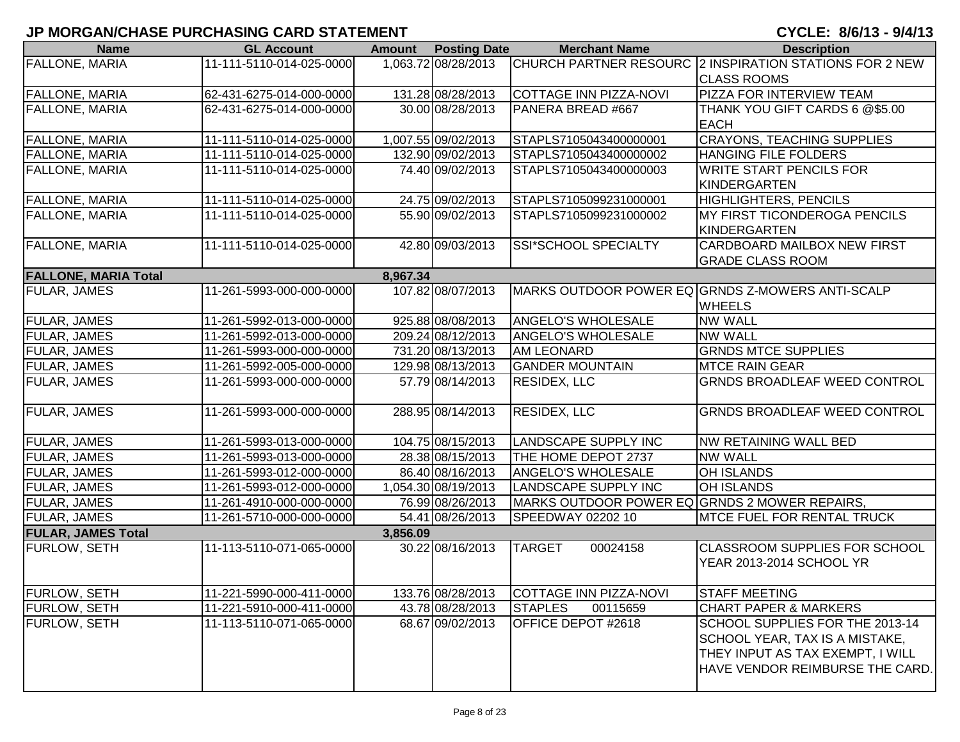| <b>Name</b>                 | <b>GL Account</b>        | <b>Amount</b> | <b>Posting Date</b> | <b>Merchant Name</b>                          | <b>Description</b>                                      |
|-----------------------------|--------------------------|---------------|---------------------|-----------------------------------------------|---------------------------------------------------------|
| <b>FALLONE, MARIA</b>       | 11-111-5110-014-025-0000 |               | 1,063.72 08/28/2013 |                                               | CHURCH PARTNER RESOURC 2 INSPIRATION STATIONS FOR 2 NEW |
|                             |                          |               |                     |                                               | <b>CLASS ROOMS</b>                                      |
| FALLONE, MARIA              | 62-431-6275-014-000-0000 |               | 131.28 08/28/2013   | COTTAGE INN PIZZA-NOVI                        | <b>PIZZA FOR INTERVIEW TEAM</b>                         |
| <b>FALLONE, MARIA</b>       | 62-431-6275-014-000-0000 |               | 30.00 08/28/2013    | PANERA BREAD #667                             | THANK YOU GIFT CARDS 6 @\$5.00                          |
|                             |                          |               |                     |                                               | <b>EACH</b>                                             |
| FALLONE, MARIA              | 11-111-5110-014-025-0000 |               | 1,007.55 09/02/2013 | STAPLS7105043400000001                        | <b>CRAYONS, TEACHING SUPPLIES</b>                       |
| <b>FALLONE, MARIA</b>       | 11-111-5110-014-025-0000 |               | 132.90 09/02/2013   | STAPLS7105043400000002                        | <b>HANGING FILE FOLDERS</b>                             |
| FALLONE, MARIA              | 11-111-5110-014-025-0000 |               | 74.40 09/02/2013    | STAPLS7105043400000003                        | <b>WRITE START PENCILS FOR</b>                          |
|                             |                          |               |                     |                                               | KINDERGARTEN                                            |
| FALLONE, MARIA              | 11-111-5110-014-025-0000 |               | 24.75 09/02/2013    | STAPLS7105099231000001                        | HIGHLIGHTERS, PENCILS                                   |
| FALLONE, MARIA              | 11-111-5110-014-025-0000 |               | 55.90 09/02/2013    | STAPLS7105099231000002                        | MY FIRST TICONDEROGA PENCILS                            |
|                             |                          |               |                     |                                               | KINDERGARTEN                                            |
| FALLONE, MARIA              | 11-111-5110-014-025-0000 |               | 42.80 09/03/2013    | SSI*SCHOOL SPECIALTY                          | <b>CARDBOARD MAILBOX NEW FIRST</b>                      |
|                             |                          |               |                     |                                               | <b>GRADE CLASS ROOM</b>                                 |
| <b>FALLONE, MARIA Total</b> |                          | 8,967.34      |                     |                                               |                                                         |
| <b>FULAR, JAMES</b>         | 11-261-5993-000-000-0000 |               | 107.82 08/07/2013   |                                               | MARKS OUTDOOR POWER EQ GRNDS Z-MOWERS ANTI-SCALP        |
|                             |                          |               |                     |                                               | <b>WHEELS</b>                                           |
| <b>FULAR, JAMES</b>         | 11-261-5992-013-000-0000 |               | 925.88 08/08/2013   | <b>ANGELO'S WHOLESALE</b>                     | <b>NW WALL</b>                                          |
| <b>FULAR, JAMES</b>         | 11-261-5992-013-000-0000 |               | 209.24 08/12/2013   | <b>ANGELO'S WHOLESALE</b>                     | <b>NW WALL</b>                                          |
| FULAR, JAMES                | 11-261-5993-000-000-0000 |               | 731.20 08/13/2013   | <b>AM LEONARD</b>                             | <b>GRNDS MTCE SUPPLIES</b>                              |
| <b>FULAR, JAMES</b>         | 11-261-5992-005-000-0000 |               | 129.98 08/13/2013   | <b>GANDER MOUNTAIN</b>                        | <b>MTCE RAIN GEAR</b>                                   |
| <b>FULAR, JAMES</b>         | 11-261-5993-000-000-0000 |               | 57.79 08/14/2013    | <b>RESIDEX, LLC</b>                           | <b>GRNDS BROADLEAF WEED CONTROL</b>                     |
|                             |                          |               |                     |                                               |                                                         |
| <b>FULAR, JAMES</b>         | 11-261-5993-000-000-0000 |               | 288.95 08/14/2013   | <b>RESIDEX, LLC</b>                           | <b>GRNDS BROADLEAF WEED CONTROL</b>                     |
|                             |                          |               |                     |                                               |                                                         |
| <b>FULAR, JAMES</b>         | 11-261-5993-013-000-0000 |               | 104.75 08/15/2013   | LANDSCAPE SUPPLY INC                          | NW RETAINING WALL BED                                   |
| <b>FULAR, JAMES</b>         | 11-261-5993-013-000-0000 |               | 28.38 08/15/2013    | THE HOME DEPOT 2737                           | <b>NW WALL</b>                                          |
| FULAR, JAMES                | 11-261-5993-012-000-0000 |               | 86.40 08/16/2013    | ANGELO'S WHOLESALE                            | <b>OH ISLANDS</b>                                       |
| FULAR, JAMES                | 11-261-5993-012-000-0000 |               | 1,054.30 08/19/2013 | LANDSCAPE SUPPLY INC                          | <b>OH ISLANDS</b>                                       |
| FULAR, JAMES                | 11-261-4910-000-000-0000 |               | 76.99 08/26/2013    | MARKS OUTDOOR POWER EQ GRNDS 2 MOWER REPAIRS, |                                                         |
| FULAR, JAMES                | 11-261-5710-000-000-0000 |               | 54.41 08/26/2013    | SPEEDWAY 02202 10                             | <b>MTCE FUEL FOR RENTAL TRUCK</b>                       |
| <b>FULAR, JAMES Total</b>   |                          | 3,856.09      |                     |                                               |                                                         |
| FURLOW, SETH                | 11-113-5110-071-065-0000 |               | 30.22 08/16/2013    | <b>TARGET</b><br>00024158                     | <b>CLASSROOM SUPPLIES FOR SCHOOL</b>                    |
|                             |                          |               |                     |                                               | YEAR 2013-2014 SCHOOL YR                                |
|                             |                          |               |                     |                                               |                                                         |
| <b>FURLOW, SETH</b>         | 11-221-5990-000-411-0000 |               | 133.76 08/28/2013   | COTTAGE INN PIZZA-NOVI                        | <b>STAFF MEETING</b>                                    |
| <b>FURLOW, SETH</b>         | 11-221-5910-000-411-0000 |               | 43.78 08/28/2013    | <b>STAPLES</b><br>00115659                    | <b>CHART PAPER &amp; MARKERS</b>                        |
| FURLOW, SETH                | 11-113-5110-071-065-0000 |               | 68.67 09/02/2013    | OFFICE DEPOT #2618                            | SCHOOL SUPPLIES FOR THE 2013-14                         |
|                             |                          |               |                     |                                               | SCHOOL YEAR, TAX IS A MISTAKE,                          |
|                             |                          |               |                     |                                               | THEY INPUT AS TAX EXEMPT, I WILL                        |
|                             |                          |               |                     |                                               | HAVE VENDOR REIMBURSE THE CARD.                         |
|                             |                          |               |                     |                                               |                                                         |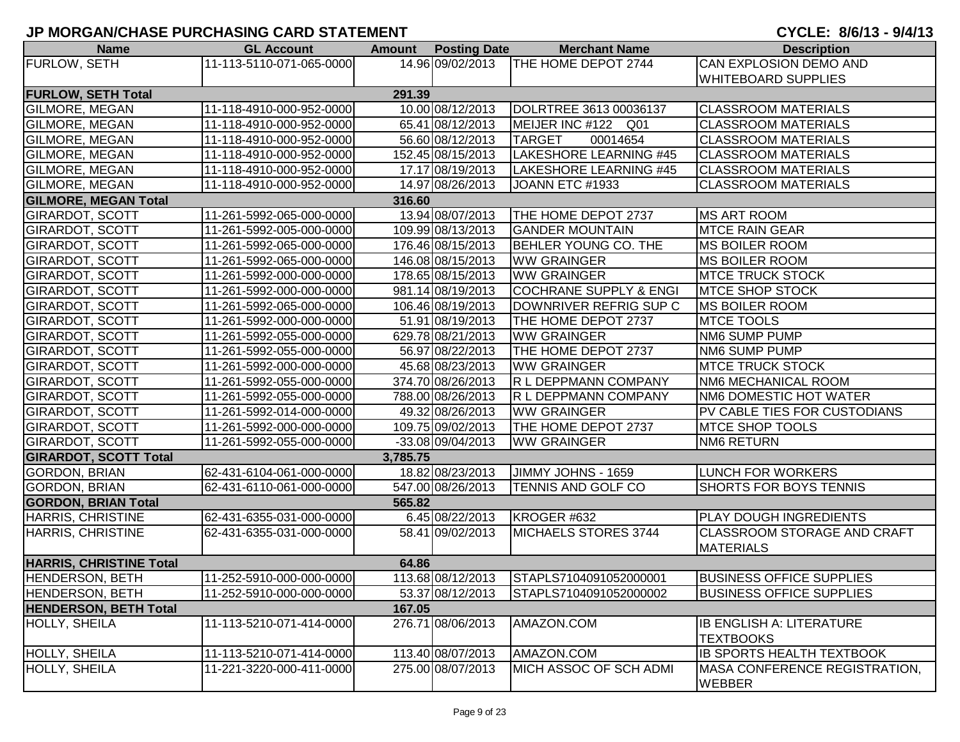| <b>Name</b>                    | <b>GL Account</b>        |          | <b>Amount</b> Posting Date | <b>Merchant Name</b>                   | <b>Description</b>                                     |
|--------------------------------|--------------------------|----------|----------------------------|----------------------------------------|--------------------------------------------------------|
| FURLOW, SETH                   | 11-113-5110-071-065-0000 |          |                            | 14.96 09/02/2013   THE HOME DEPOT 2744 | <b>CAN EXPLOSION DEMO AND</b>                          |
|                                |                          |          |                            |                                        | <b>WHITEBOARD SUPPLIES</b>                             |
| <b>FURLOW, SETH Total</b>      |                          | 291.39   |                            |                                        |                                                        |
| <b>GILMORE, MEGAN</b>          | 11-118-4910-000-952-0000 |          | 10.00 08/12/2013           | DOLRTREE 3613 00036137                 | <b>CLASSROOM MATERIALS</b>                             |
| <b>GILMORE, MEGAN</b>          | 11-118-4910-000-952-0000 |          | 65.41 08/12/2013           | MEIJER INC #122 Q01                    | <b>CLASSROOM MATERIALS</b>                             |
| GILMORE, MEGAN                 | 11-118-4910-000-952-0000 |          | 56.60 08/12/2013           | <b>TARGET</b><br>00014654              | <b>CLASSROOM MATERIALS</b>                             |
| <b>GILMORE, MEGAN</b>          | 11-118-4910-000-952-0000 |          | 152.45 08/15/2013          | LAKESHORE LEARNING #45                 | <b>CLASSROOM MATERIALS</b>                             |
| <b>GILMORE, MEGAN</b>          | 11-118-4910-000-952-0000 |          | 17.17 08/19/2013           | LAKESHORE LEARNING #45                 | <b>CLASSROOM MATERIALS</b>                             |
| <b>GILMORE, MEGAN</b>          | 11-118-4910-000-952-0000 |          | 14.97 08/26/2013           | JOANN ETC #1933                        | <b>CLASSROOM MATERIALS</b>                             |
| <b>GILMORE, MEGAN Total</b>    |                          | 316.60   |                            |                                        |                                                        |
| <b>GIRARDOT, SCOTT</b>         | 11-261-5992-065-000-0000 |          | 13.94 08/07/2013           | THE HOME DEPOT 2737                    | <b>MS ART ROOM</b>                                     |
| <b>GIRARDOT, SCOTT</b>         | 11-261-5992-005-000-0000 |          | 109.99 08/13/2013          | <b>GANDER MOUNTAIN</b>                 | <b>MTCE RAIN GEAR</b>                                  |
| <b>GIRARDOT, SCOTT</b>         | 11-261-5992-065-000-0000 |          | 176.46 08/15/2013          | BEHLER YOUNG CO. THE                   | <b>MS BOILER ROOM</b>                                  |
| <b>GIRARDOT, SCOTT</b>         | 11-261-5992-065-000-0000 |          | 146.08 08/15/2013          | <b>WW GRAINGER</b>                     | <b>MS BOILER ROOM</b>                                  |
| <b>GIRARDOT, SCOTT</b>         | 11-261-5992-000-000-0000 |          | 178.65 08/15/2013          | <b>WW GRAINGER</b>                     | <b>MTCE TRUCK STOCK</b>                                |
| <b>GIRARDOT, SCOTT</b>         | 11-261-5992-000-000-0000 |          | 981.14 08/19/2013          | <b>COCHRANE SUPPLY &amp; ENGI</b>      | <b>MTCE SHOP STOCK</b>                                 |
| <b>GIRARDOT, SCOTT</b>         | 11-261-5992-065-000-0000 |          | 106.46 08/19/2013          | DOWNRIVER REFRIG SUP C                 | <b>MS BOILER ROOM</b>                                  |
| <b>GIRARDOT, SCOTT</b>         | 11-261-5992-000-000-0000 |          | 51.91 08/19/2013           | THE HOME DEPOT 2737                    | <b>MTCE TOOLS</b>                                      |
| <b>GIRARDOT, SCOTT</b>         | 11-261-5992-055-000-0000 |          | 629.78 08/21/2013          | <b>WW GRAINGER</b>                     | NM6 SUMP PUMP                                          |
| <b>GIRARDOT, SCOTT</b>         | 11-261-5992-055-000-0000 |          | 56.97 08/22/2013           | THE HOME DEPOT 2737                    | NM6 SUMP PUMP                                          |
| <b>GIRARDOT, SCOTT</b>         | 11-261-5992-000-000-0000 |          | 45.68 08/23/2013           | <b>WW GRAINGER</b>                     | <b>IMTCE TRUCK STOCK</b>                               |
| <b>GIRARDOT, SCOTT</b>         | 11-261-5992-055-000-0000 |          | 374.70 08/26/2013          | <b>R L DEPPMANN COMPANY</b>            | NM6 MECHANICAL ROOM                                    |
| <b>GIRARDOT, SCOTT</b>         | 11-261-5992-055-000-0000 |          | 788.00 08/26/2013          | <b>R L DEPPMANN COMPANY</b>            | NM6 DOMESTIC HOT WATER                                 |
| <b>GIRARDOT, SCOTT</b>         | 11-261-5992-014-000-0000 |          | 49.32 08/26/2013           | <b>WW GRAINGER</b>                     | PV CABLE TIES FOR CUSTODIANS                           |
| <b>GIRARDOT, SCOTT</b>         | 11-261-5992-000-000-0000 |          | 109.75 09/02/2013          | THE HOME DEPOT 2737                    | <b>MTCE SHOP TOOLS</b>                                 |
| <b>GIRARDOT, SCOTT</b>         | 11-261-5992-055-000-0000 |          | -33.08 09/04/2013          | <b>WW GRAINGER</b>                     | <b>NM6 RETURN</b>                                      |
| <b>GIRARDOT, SCOTT Total</b>   |                          | 3,785.75 |                            |                                        |                                                        |
| <b>GORDON, BRIAN</b>           | 62-431-6104-061-000-0000 |          | 18.82 08/23/2013           | <b>JIMMY JOHNS - 1659</b>              | <b>LUNCH FOR WORKERS</b>                               |
| <b>GORDON, BRIAN</b>           | 62-431-6110-061-000-0000 |          | 547.00 08/26/2013          | <b>TENNIS AND GOLF CO</b>              | <b>SHORTS FOR BOYS TENNIS</b>                          |
| <b>GORDON, BRIAN Total</b>     |                          | 565.82   |                            |                                        |                                                        |
| <b>HARRIS, CHRISTINE</b>       | 62-431-6355-031-000-0000 |          | 6.45 08/22/2013            | KROGER #632                            | <b>PLAY DOUGH INGREDIENTS</b>                          |
| HARRIS, CHRISTINE              | 62-431-6355-031-000-0000 |          | 58.41 09/02/2013           | <b>MICHAELS STORES 3744</b>            | <b>CLASSROOM STORAGE AND CRAFT</b><br><b>MATERIALS</b> |
| <b>HARRIS, CHRISTINE Total</b> |                          | 64.86    |                            |                                        |                                                        |
| <b>HENDERSON, BETH</b>         | 11-252-5910-000-000-0000 |          | 113.68 08/12/2013          | STAPLS7104091052000001                 | <b>BUSINESS OFFICE SUPPLIES</b>                        |
| <b>HENDERSON, BETH</b>         | 11-252-5910-000-000-0000 |          | 53.37 08/12/2013           | STAPLS7104091052000002                 | <b>BUSINESS OFFICE SUPPLIES</b>                        |
| <b>HENDERSON, BETH Total</b>   |                          | 167.05   |                            |                                        |                                                        |
| <b>HOLLY, SHEILA</b>           | 11-113-5210-071-414-0000 |          | 276.71 08/06/2013          | AMAZON.COM                             | <b>IB ENGLISH A: LITERATURE</b>                        |
|                                |                          |          |                            |                                        | <b>TEXTBOOKS</b>                                       |
| HOLLY, SHEILA                  | 11-113-5210-071-414-0000 |          | 113.40 08/07/2013          | AMAZON.COM                             | <b>IB SPORTS HEALTH TEXTBOOK</b>                       |
| HOLLY, SHEILA                  | 11-221-3220-000-411-0000 |          | 275.00 08/07/2013          | MICH ASSOC OF SCH ADMI                 | MASA CONFERENCE REGISTRATION,<br><b>WEBBER</b>         |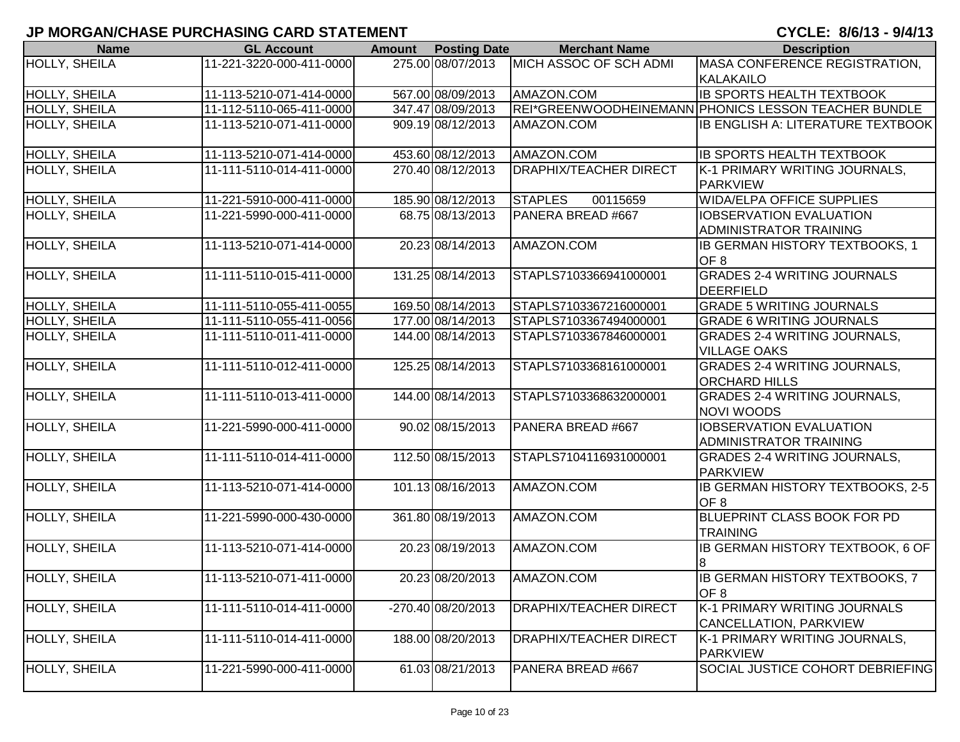| <b>Name</b>          | <b>GL Account</b>        | <b>Amount</b> | <b>Posting Date</b> | <b>Merchant Name</b>          | <b>Description</b>                                   |
|----------------------|--------------------------|---------------|---------------------|-------------------------------|------------------------------------------------------|
| <b>HOLLY, SHEILA</b> | 11-221-3220-000-411-0000 |               | 275.00 08/07/2013   | MICH ASSOC OF SCH ADMI        | MASA CONFERENCE REGISTRATION,                        |
|                      |                          |               |                     |                               | <b>KALAKAILO</b>                                     |
| HOLLY, SHEILA        | 11-113-5210-071-414-0000 |               | 567.00 08/09/2013   | AMAZON.COM                    | <b>IB SPORTS HEALTH TEXTBOOK</b>                     |
| <b>HOLLY, SHEILA</b> | 11-112-5110-065-411-0000 |               | 347.47 08/09/2013   |                               | REI*GREENWOODHEINEMANN PHONICS LESSON TEACHER BUNDLE |
| HOLLY, SHEILA        | 11-113-5210-071-411-0000 |               | 909.19 08/12/2013   | AMAZON.COM                    | <b>IB ENGLISH A: LITERATURE TEXTBOOK</b>             |
|                      |                          |               |                     |                               |                                                      |
| HOLLY, SHEILA        | 11-113-5210-071-414-0000 |               | 453.60 08/12/2013   | AMAZON.COM                    | <b>IB SPORTS HEALTH TEXTBOOK</b>                     |
| <b>HOLLY, SHEILA</b> | 11-111-5110-014-411-0000 |               | 270.40 08/12/2013   | <b>DRAPHIX/TEACHER DIRECT</b> | K-1 PRIMARY WRITING JOURNALS,                        |
|                      |                          |               |                     |                               | <b>PARKVIEW</b>                                      |
| HOLLY, SHEILA        | 11-221-5910-000-411-0000 |               | 185.90 08/12/2013   | <b>STAPLES</b><br>00115659    | <b>WIDA/ELPA OFFICE SUPPLIES</b>                     |
| <b>HOLLY, SHEILA</b> | 11-221-5990-000-411-0000 |               | 68.75 08/13/2013    | PANERA BREAD #667             | <b>IOBSERVATION EVALUATION</b>                       |
|                      |                          |               |                     |                               | <b>ADMINISTRATOR TRAINING</b>                        |
| HOLLY, SHEILA        | 11-113-5210-071-414-0000 |               | 20.23 08/14/2013    | AMAZON.COM                    | IB GERMAN HISTORY TEXTBOOKS, 1                       |
|                      |                          |               |                     |                               | OF <sub>8</sub>                                      |
| <b>HOLLY, SHEILA</b> | 11-111-5110-015-411-0000 |               | 131.25 08/14/2013   | STAPLS7103366941000001        | <b>GRADES 2-4 WRITING JOURNALS</b>                   |
|                      |                          |               |                     |                               | DEERFIELD                                            |
| HOLLY, SHEILA        | 11-111-5110-055-411-0055 |               | 169.50 08/14/2013   | STAPLS7103367216000001        | <b>GRADE 5 WRITING JOURNALS</b>                      |
| HOLLY, SHEILA        | 11-111-5110-055-411-0056 |               | 177.00 08/14/2013   | STAPLS7103367494000001        | <b>GRADE 6 WRITING JOURNALS</b>                      |
| HOLLY, SHEILA        | 11-111-5110-011-411-0000 |               | 144.00 08/14/2013   | STAPLS7103367846000001        | <b>GRADES 2-4 WRITING JOURNALS,</b>                  |
|                      |                          |               |                     |                               | <b>VILLAGE OAKS</b>                                  |
| HOLLY, SHEILA        | 11-111-5110-012-411-0000 |               | 125.25 08/14/2013   | STAPLS7103368161000001        | <b>GRADES 2-4 WRITING JOURNALS,</b>                  |
|                      |                          |               |                     |                               | <b>ORCHARD HILLS</b>                                 |
| HOLLY, SHEILA        | 11-111-5110-013-411-0000 |               | 144.00 08/14/2013   | STAPLS7103368632000001        | <b>GRADES 2-4 WRITING JOURNALS,</b>                  |
|                      |                          |               |                     |                               | <b>NOVI WOODS</b>                                    |
| HOLLY, SHEILA        | 11-221-5990-000-411-0000 |               | 90.02 08/15/2013    | PANERA BREAD #667             | <b>IOBSERVATION EVALUATION</b>                       |
|                      |                          |               |                     |                               | <b>ADMINISTRATOR TRAINING</b>                        |
| <b>HOLLY, SHEILA</b> | 11-111-5110-014-411-0000 |               | 112.50 08/15/2013   | STAPLS7104116931000001        | <b>GRADES 2-4 WRITING JOURNALS,</b>                  |
|                      |                          |               |                     |                               | <b>PARKVIEW</b>                                      |
| HOLLY, SHEILA        | 11-113-5210-071-414-0000 |               | 101.13 08/16/2013   | AMAZON.COM                    | <b>IB GERMAN HISTORY TEXTBOOKS, 2-5</b>              |
|                      |                          |               |                     |                               | OF <sub>8</sub>                                      |
| HOLLY, SHEILA        | 11-221-5990-000-430-0000 |               | 361.80 08/19/2013   | AMAZON.COM                    | BLUEPRINT CLASS BOOK FOR PD                          |
|                      |                          |               |                     |                               | <b>TRAINING</b>                                      |
| <b>HOLLY, SHEILA</b> | 11-113-5210-071-414-0000 |               | 20.23 08/19/2013    | AMAZON.COM                    | <b>IB GERMAN HISTORY TEXTBOOK, 6 OF</b>              |
|                      |                          |               |                     |                               | 18                                                   |
| <b>HOLLY, SHEILA</b> | 11-113-5210-071-411-0000 |               | 20.23 08/20/2013    | AMAZON.COM                    | IB GERMAN HISTORY TEXTBOOKS, 7                       |
|                      |                          |               |                     |                               | OF <sub>8</sub>                                      |
| HOLLY, SHEILA        | 11-111-5110-014-411-0000 |               | -270.40 08/20/2013  | <b>DRAPHIX/TEACHER DIRECT</b> | K-1 PRIMARY WRITING JOURNALS                         |
|                      |                          |               |                     |                               | CANCELLATION, PARKVIEW                               |
| <b>HOLLY, SHEILA</b> | 11-111-5110-014-411-0000 |               | 188.00 08/20/2013   | <b>DRAPHIX/TEACHER DIRECT</b> | K-1 PRIMARY WRITING JOURNALS,                        |
|                      |                          |               |                     |                               | <b>PARKVIEW</b>                                      |
| <b>HOLLY, SHEILA</b> | 11-221-5990-000-411-0000 |               | 61.03 08/21/2013    | PANERA BREAD #667             | SOCIAL JUSTICE COHORT DEBRIEFING                     |
|                      |                          |               |                     |                               |                                                      |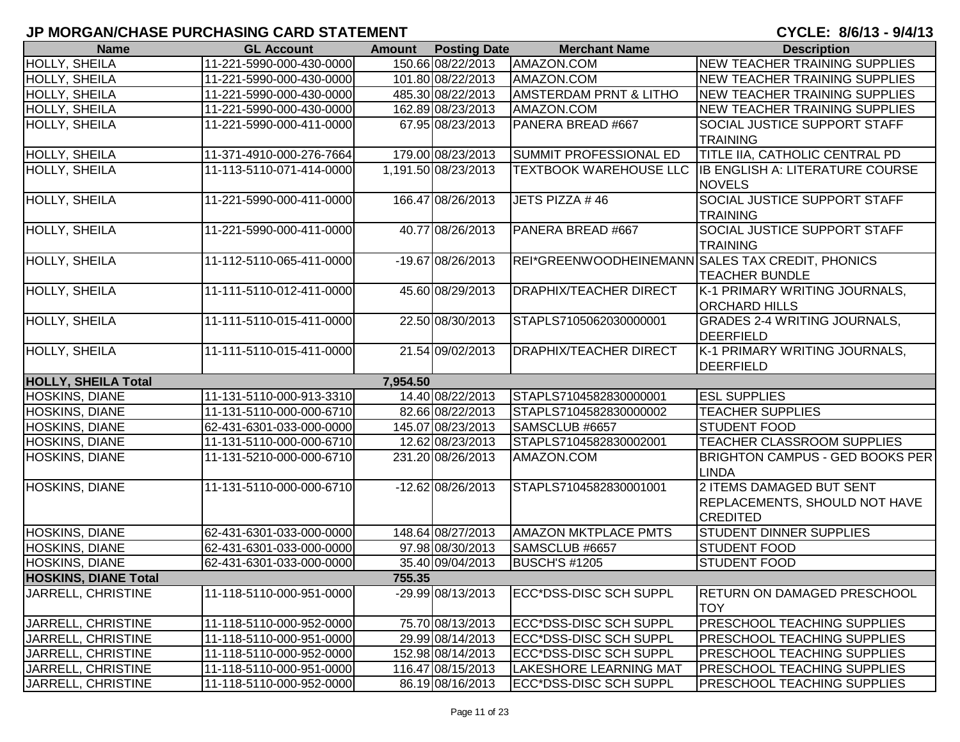| <b>Name</b>                 | <b>GL Account</b>        | <b>Amount</b> | <b>Posting Date</b> | <b>Merchant Name</b>                             | <b>Description</b>                               |
|-----------------------------|--------------------------|---------------|---------------------|--------------------------------------------------|--------------------------------------------------|
| HOLLY, SHEILA               | 11-221-5990-000-430-0000 |               | 150.66 08/22/2013   | AMAZON.COM                                       | <b>NEW TEACHER TRAINING SUPPLIES</b>             |
| HOLLY, SHEILA               | 11-221-5990-000-430-0000 |               | 101.80 08/22/2013   | AMAZON.COM                                       | <b>INEW TEACHER TRAINING SUPPLIES</b>            |
| <b>HOLLY, SHEILA</b>        | 11-221-5990-000-430-0000 |               | 485.30 08/22/2013   | <b>AMSTERDAM PRNT &amp; LITHO</b>                | <b>NEW TEACHER TRAINING SUPPLIES</b>             |
| HOLLY, SHEILA               | 11-221-5990-000-430-0000 |               | 162.89 08/23/2013   | AMAZON.COM                                       | <b>NEW TEACHER TRAINING SUPPLIES</b>             |
| <b>HOLLY, SHEILA</b>        | 11-221-5990-000-411-0000 |               | 67.95 08/23/2013    | PANERA BREAD #667                                | <b>SOCIAL JUSTICE SUPPORT STAFF</b>              |
|                             |                          |               |                     |                                                  | <b>TRAINING</b>                                  |
| HOLLY, SHEILA               | 11-371-4910-000-276-7664 |               | 179.00 08/23/2013   | SUMMIT PROFESSIONAL ED                           | TITLE IIA, CATHOLIC CENTRAL PD                   |
| <b>HOLLY, SHEILA</b>        | 11-113-5110-071-414-0000 |               | 1,191.50 08/23/2013 | <b>TEXTBOOK WAREHOUSE LLC</b>                    | <b>IB ENGLISH A: LITERATURE COURSE</b>           |
|                             |                          |               |                     |                                                  | <b>NOVELS</b>                                    |
| <b>HOLLY, SHEILA</b>        | 11-221-5990-000-411-0000 |               | 166.47 08/26/2013   | JETS PIZZA #46                                   | <b>SOCIAL JUSTICE SUPPORT STAFF</b>              |
|                             |                          |               |                     |                                                  | <b>TRAINING</b>                                  |
| <b>HOLLY, SHEILA</b>        | 11-221-5990-000-411-0000 |               | 40.77 08/26/2013    | PANERA BREAD #667                                | <b>SOCIAL JUSTICE SUPPORT STAFF</b>              |
|                             |                          |               |                     |                                                  | <b>TRAINING</b>                                  |
| HOLLY, SHEILA               | 11-112-5110-065-411-0000 |               | -19.67 08/26/2013   | REI*GREENWOODHEINEMANN SALES TAX CREDIT, PHONICS |                                                  |
|                             |                          |               |                     |                                                  | <b>TEACHER BUNDLE</b>                            |
| HOLLY, SHEILA               | 11-111-5110-012-411-0000 |               | 45.60 08/29/2013    | <b>DRAPHIX/TEACHER DIRECT</b>                    | K-1 PRIMARY WRITING JOURNALS,                    |
|                             |                          |               |                     |                                                  | <b>ORCHARD HILLS</b>                             |
| HOLLY, SHEILA               | 11-111-5110-015-411-0000 |               | 22.50 08/30/2013    | STAPLS7105062030000001                           | <b>GRADES 2-4 WRITING JOURNALS,</b>              |
|                             |                          |               |                     |                                                  | <b>DEERFIELD</b>                                 |
| HOLLY, SHEILA               | 11-111-5110-015-411-0000 |               | 21.54 09/02/2013    | <b>DRAPHIX/TEACHER DIRECT</b>                    | K-1 PRIMARY WRITING JOURNALS,                    |
|                             |                          |               |                     |                                                  | <b>DEERFIELD</b>                                 |
| <b>HOLLY, SHEILA Total</b>  |                          | 7,954.50      |                     |                                                  |                                                  |
| <b>HOSKINS, DIANE</b>       | 11-131-5110-000-913-3310 |               | 14.40 08/22/2013    | STAPLS7104582830000001                           | <b>ESL SUPPLIES</b>                              |
| HOSKINS, DIANE              | 11-131-5110-000-000-6710 |               | 82.66 08/22/2013    | STAPLS7104582830000002                           | <b>TEACHER SUPPLIES</b>                          |
| HOSKINS, DIANE              | 62-431-6301-033-000-0000 |               | 145.07 08/23/2013   | SAMSCLUB #6657                                   | <b>STUDENT FOOD</b>                              |
| <b>HOSKINS, DIANE</b>       | 11-131-5110-000-000-6710 |               | 12.62 08/23/2013    | STAPLS7104582830002001                           | TEACHER CLASSROOM SUPPLIES                       |
| HOSKINS, DIANE              | 11-131-5210-000-000-6710 |               | 231.20 08/26/2013   | AMAZON.COM                                       | <b>BRIGHTON CAMPUS - GED BOOKS PER</b>           |
|                             |                          |               |                     |                                                  | LINDA                                            |
| HOSKINS, DIANE              | 11-131-5110-000-000-6710 |               | -12.62 08/26/2013   | STAPLS7104582830001001                           | 2 ITEMS DAMAGED BUT SENT                         |
|                             |                          |               |                     |                                                  | <b>REPLACEMENTS, SHOULD NOT HAVE</b>             |
|                             |                          |               |                     |                                                  | <b>CREDITED</b>                                  |
| HOSKINS, DIANE              | 62-431-6301-033-000-0000 |               | 148.64 08/27/2013   | <b>AMAZON MKTPLACE PMTS</b>                      | <b>STUDENT DINNER SUPPLIES</b>                   |
| HOSKINS, DIANE              | 62-431-6301-033-000-0000 |               | 97.98 08/30/2013    | SAMSCLUB #6657                                   | <b>STUDENT FOOD</b>                              |
| HOSKINS, DIANE              | 62-431-6301-033-000-0000 |               | 35.40 09/04/2013    | <b>BUSCH'S #1205</b>                             | <b>STUDENT FOOD</b>                              |
| <b>HOSKINS, DIANE Total</b> |                          | 755.35        |                     |                                                  |                                                  |
| JARRELL, CHRISTINE          | 11-118-5110-000-951-0000 |               | -29.99 08/13/2013   | ECC*DSS-DISC SCH SUPPL                           | <b>RETURN ON DAMAGED PRESCHOOL</b><br><b>TOY</b> |
| JARRELL, CHRISTINE          | 11-118-5110-000-952-0000 |               | 75.70 08/13/2013    | <b>ECC*DSS-DISC SCH SUPPL</b>                    | <b>PRESCHOOL TEACHING SUPPLIES</b>               |
| JARRELL, CHRISTINE          | 11-118-5110-000-951-0000 |               | 29.99 08/14/2013    | ECC*DSS-DISC SCH SUPPL                           | <b>PRESCHOOL TEACHING SUPPLIES</b>               |
| <b>JARRELL, CHRISTINE</b>   | 11-118-5110-000-952-0000 |               | 152.98 08/14/2013   | <b>IECC*DSS-DISC SCH SUPPL</b>                   | <b>PRESCHOOL TEACHING SUPPLIES</b>               |
| JARRELL, CHRISTINE          | 11-118-5110-000-951-0000 |               | 116.47 08/15/2013   | <b>LAKESHORE LEARNING MAT</b>                    | <b>PRESCHOOL TEACHING SUPPLIES</b>               |
| JARRELL, CHRISTINE          | 11-118-5110-000-952-0000 |               | 86.19 08/16/2013    | ECC*DSS-DISC SCH SUPPL                           | <b>PRESCHOOL TEACHING SUPPLIES</b>               |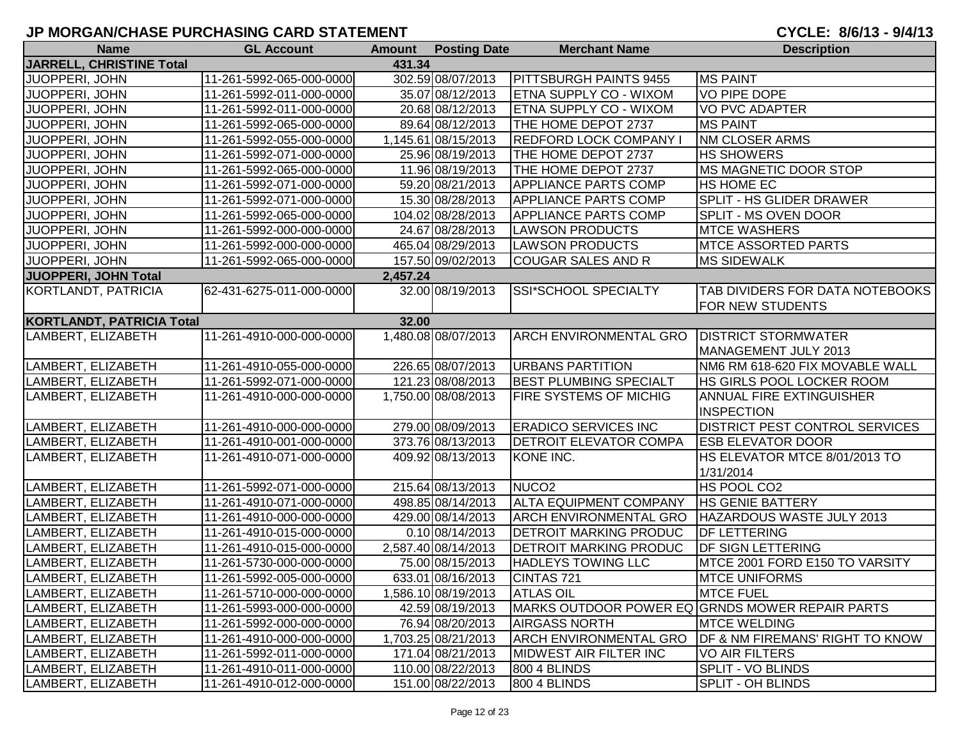## **JP MORGAN/CHASE PURCHASING CARD STATEMENT**

| <b>Name</b>                        | <b>GL Account</b>        |          | <b>Amount</b> Posting Date | <b>Merchant Name</b>          | <b>Description</b>                                         |  |  |  |  |
|------------------------------------|--------------------------|----------|----------------------------|-------------------------------|------------------------------------------------------------|--|--|--|--|
| JARRELL, CHRISTINE Total<br>431.34 |                          |          |                            |                               |                                                            |  |  |  |  |
| JUOPPERI, JOHN                     | 11-261-5992-065-000-0000 |          | 302.59 08/07/2013          | PITTSBURGH PAINTS 9455        | <b>MS PAINT</b>                                            |  |  |  |  |
| JUOPPERI, JOHN                     | 11-261-5992-011-000-0000 |          | 35.07 08/12/2013           | <b>ETNA SUPPLY CO - WIXOM</b> | <b>VO PIPE DOPE</b>                                        |  |  |  |  |
| JUOPPERI, JOHN                     | 11-261-5992-011-000-0000 |          | 20.68 08/12/2013           | ETNA SUPPLY CO - WIXOM        | <b>VO PVC ADAPTER</b>                                      |  |  |  |  |
| JUOPPERI, JOHN                     | 11-261-5992-065-000-0000 |          | 89.64 08/12/2013           | THE HOME DEPOT 2737           | <b>MS PAINT</b>                                            |  |  |  |  |
| JUOPPERI, JOHN                     | 11-261-5992-055-000-0000 |          | 1,145.61 08/15/2013        | REDFORD LOCK COMPANY          | <b>NM CLOSER ARMS</b>                                      |  |  |  |  |
| JUOPPERI, JOHN                     | 11-261-5992-071-000-0000 |          | 25.96 08/19/2013           | THE HOME DEPOT 2737           | <b>HS SHOWERS</b>                                          |  |  |  |  |
| JUOPPERI, JOHN                     | 11-261-5992-065-000-0000 |          | 11.96 08/19/2013           | THE HOME DEPOT 2737           | MS MAGNETIC DOOR STOP                                      |  |  |  |  |
| JUOPPERI, JOHN                     | 11-261-5992-071-000-0000 |          | 59.20 08/21/2013           | <b>APPLIANCE PARTS COMP</b>   | <b>HS HOME EC</b>                                          |  |  |  |  |
| JUOPPERI, JOHN                     | 11-261-5992-071-000-0000 |          | 15.30 08/28/2013           | <b>APPLIANCE PARTS COMP</b>   | <b>SPLIT - HS GLIDER DRAWER</b>                            |  |  |  |  |
| JUOPPERI, JOHN                     | 11-261-5992-065-000-0000 |          | 104.02 08/28/2013          | <b>APPLIANCE PARTS COMP</b>   | <b>SPLIT - MS OVEN DOOR</b>                                |  |  |  |  |
| JUOPPERI, JOHN                     | 11-261-5992-000-000-0000 |          | 24.67 08/28/2013           | <b>LAWSON PRODUCTS</b>        | <b>MTCE WASHERS</b>                                        |  |  |  |  |
| JUOPPERI, JOHN                     | 11-261-5992-000-000-0000 |          | 465.04 08/29/2013          | <b>LAWSON PRODUCTS</b>        | <b>MTCE ASSORTED PARTS</b>                                 |  |  |  |  |
| JUOPPERI, JOHN                     | 11-261-5992-065-000-0000 |          | 157.50 09/02/2013          | <b>COUGAR SALES AND R</b>     | <b>MS SIDEWALK</b>                                         |  |  |  |  |
| JUOPPERI, JOHN Total               |                          | 2,457.24 |                            |                               |                                                            |  |  |  |  |
| KORTLANDT, PATRICIA                | 62-431-6275-011-000-0000 |          | 32.00 08/19/2013           | SSI*SCHOOL SPECIALTY          | TAB DIVIDERS FOR DATA NOTEBOOKS<br><b>FOR NEW STUDENTS</b> |  |  |  |  |
| <b>KORTLANDT, PATRICIA Total</b>   |                          | 32.00    |                            |                               |                                                            |  |  |  |  |
| LAMBERT, ELIZABETH                 | 11-261-4910-000-000-0000 |          | 1,480.08 08/07/2013        | <b>ARCH ENVIRONMENTAL GRO</b> | <b>DISTRICT STORMWATER</b>                                 |  |  |  |  |
|                                    |                          |          |                            |                               | MANAGEMENT JULY 2013                                       |  |  |  |  |
| LAMBERT, ELIZABETH                 | 11-261-4910-055-000-0000 |          | 226.65 08/07/2013          | <b>URBANS PARTITION</b>       | NM6 RM 618-620 FIX MOVABLE WALL                            |  |  |  |  |
| LAMBERT, ELIZABETH                 | 11-261-5992-071-000-0000 |          | 121.23 08/08/2013          | <b>BEST PLUMBING SPECIALT</b> | <b>HS GIRLS POOL LOCKER ROOM</b>                           |  |  |  |  |
| LAMBERT, ELIZABETH                 | 11-261-4910-000-000-0000 |          | 1,750.00 08/08/2013        | <b>FIRE SYSTEMS OF MICHIG</b> | <b>ANNUAL FIRE EXTINGUISHER</b>                            |  |  |  |  |
|                                    |                          |          |                            |                               | <b>INSPECTION</b>                                          |  |  |  |  |
| LAMBERT, ELIZABETH                 | 11-261-4910-000-000-0000 |          | 279.00 08/09/2013          | <b>ERADICO SERVICES INC</b>   | <b>DISTRICT PEST CONTROL SERVICES</b>                      |  |  |  |  |
| LAMBERT, ELIZABETH                 | 11-261-4910-001-000-0000 |          | 373.76 08/13/2013          | <b>DETROIT ELEVATOR COMPA</b> | <b>ESB ELEVATOR DOOR</b>                                   |  |  |  |  |
| LAMBERT, ELIZABETH                 | 11-261-4910-071-000-0000 |          | 409.92 08/13/2013          | KONE INC.                     | HS ELEVATOR MTCE 8/01/2013 TO                              |  |  |  |  |
|                                    |                          |          |                            |                               | 1/31/2014                                                  |  |  |  |  |
| LAMBERT, ELIZABETH                 | 11-261-5992-071-000-0000 |          | 215.64 08/13/2013          | NUCO <sub>2</sub>             | HS POOL CO2                                                |  |  |  |  |
| LAMBERT, ELIZABETH                 | 11-261-4910-071-000-0000 |          | 498.85 08/14/2013          | <b>ALTA EQUIPMENT COMPANY</b> | <b>HS GENIE BATTERY</b>                                    |  |  |  |  |
| LAMBERT, ELIZABETH                 | 11-261-4910-000-000-0000 |          | 429.00 08/14/2013          | <b>ARCH ENVIRONMENTAL GRO</b> | HAZARDOUS WASTE JULY 2013                                  |  |  |  |  |
| LAMBERT, ELIZABETH                 | 11-261-4910-015-000-0000 |          | 0.10 08/14/2013            | <b>DETROIT MARKING PRODUC</b> | <b>DF LETTERING</b>                                        |  |  |  |  |
| LAMBERT, ELIZABETH                 | 11-261-4910-015-000-0000 |          | 2,587.40 08/14/2013        | <b>DETROIT MARKING PRODUC</b> | <b>DF SIGN LETTERING</b>                                   |  |  |  |  |
| LAMBERT, ELIZABETH                 | 11-261-5730-000-000-0000 |          | 75.00 08/15/2013           | <b>HADLEYS TOWING LLC</b>     | MTCE 2001 FORD E150 TO VARSITY                             |  |  |  |  |
| LAMBERT, ELIZABETH                 | 11-261-5992-005-000-0000 |          | 633.01 08/16/2013          | CINTAS 721                    | <b>MTCE UNIFORMS</b>                                       |  |  |  |  |
| LAMBERT, ELIZABETH                 | 11-261-5710-000-000-0000 |          | 1,586.10 08/19/2013        | <b>ATLAS OIL</b>              | <b>MTCE FUEL</b>                                           |  |  |  |  |
| LAMBERT, ELIZABETH                 | 11-261-5993-000-000-0000 |          | 42.59 08/19/2013           |                               | MARKS OUTDOOR POWER EQ GRNDS MOWER REPAIR PARTS            |  |  |  |  |
| LAMBERT, ELIZABETH                 | 11-261-5992-000-000-0000 |          | 76.94 08/20/2013           | <b>AIRGASS NORTH</b>          | <b>MTCE WELDING</b>                                        |  |  |  |  |
| LAMBERT, ELIZABETH                 | 11-261-4910-000-000-0000 |          | 1,703.25 08/21/2013        | ARCH ENVIRONMENTAL GRO        | DF & NM FIREMANS' RIGHT TO KNOW                            |  |  |  |  |
| LAMBERT, ELIZABETH                 | 11-261-5992-011-000-0000 |          | 171.04 08/21/2013          | <b>MIDWEST AIR FILTER INC</b> | <b>VO AIR FILTERS</b>                                      |  |  |  |  |
| LAMBERT, ELIZABETH                 | 11-261-4910-011-000-0000 |          | 110.00 08/22/2013          | 800 4 BLINDS                  | SPLIT - VO BLINDS                                          |  |  |  |  |
| LAMBERT, ELIZABETH                 | 11-261-4910-012-000-0000 |          | 151.00 08/22/2013          | 800 4 BLINDS                  | SPLIT - OH BLINDS                                          |  |  |  |  |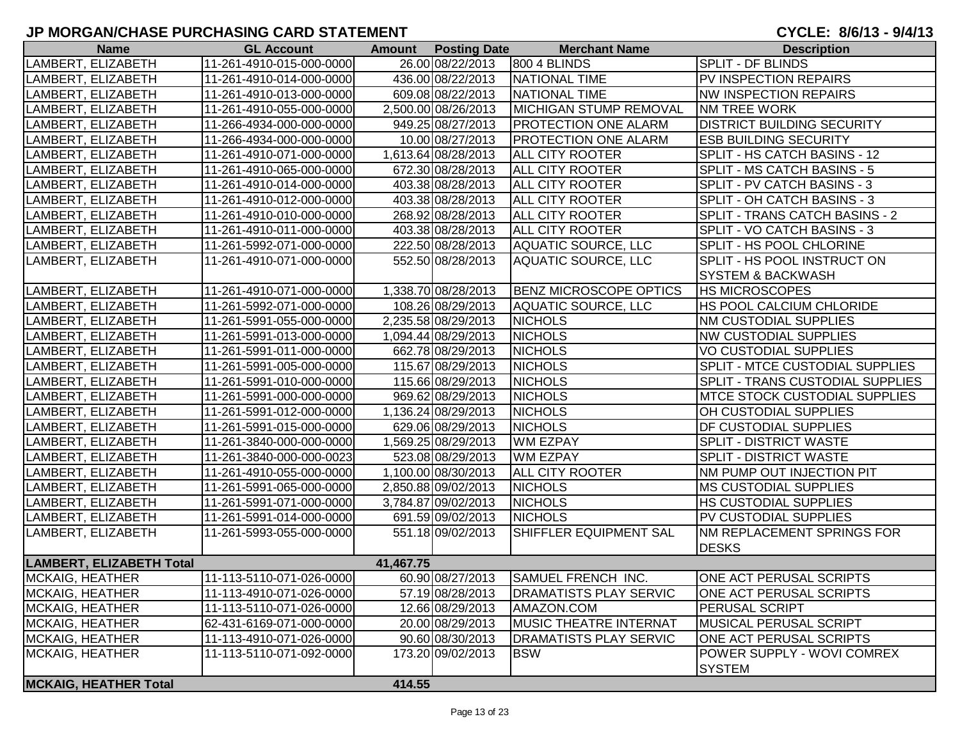### **JP MORGAN/CHASE PURCHASING CARD STATEMENT**

CYCLE: 8/6/13 - 9/4/13

| <b>Name</b>                     | <b>GL Account</b>        | <b>Amount</b> | <b>Posting Date</b> | <b>Merchant Name</b>          | <b>Description</b>                   |
|---------------------------------|--------------------------|---------------|---------------------|-------------------------------|--------------------------------------|
| LAMBERT, ELIZABETH              | 11-261-4910-015-000-0000 |               | 26.00 08/22/2013    | 800 4 BLINDS                  | <b>SPLIT - DF BLINDS</b>             |
| LAMBERT, ELIZABETH              | 11-261-4910-014-000-0000 |               | 436.00 08/22/2013   | NATIONAL TIME                 | PV INSPECTION REPAIRS                |
| LAMBERT, ELIZABETH              | 11-261-4910-013-000-0000 |               | 609.08 08/22/2013   | NATIONAL TIME                 | <b>NW INSPECTION REPAIRS</b>         |
| LAMBERT, ELIZABETH              | 11-261-4910-055-000-0000 |               | 2,500.00 08/26/2013 | MICHIGAN STUMP REMOVAL        | <b>NM TREE WORK</b>                  |
| LAMBERT, ELIZABETH              | 11-266-4934-000-000-0000 |               | 949.25 08/27/2013   | <b>PROTECTION ONE ALARM</b>   | <b>DISTRICT BUILDING SECURITY</b>    |
| LAMBERT, ELIZABETH              | 11-266-4934-000-000-0000 |               | 10.00 08/27/2013    | <b>PROTECTION ONE ALARM</b>   | <b>ESB BUILDING SECURITY</b>         |
| LAMBERT, ELIZABETH              | 11-261-4910-071-000-0000 |               | 1,613.64 08/28/2013 | <b>ALL CITY ROOTER</b>        | SPLIT - HS CATCH BASINS - 12         |
| LAMBERT, ELIZABETH              | 11-261-4910-065-000-0000 |               | 672.30 08/28/2013   | <b>ALL CITY ROOTER</b>        | SPLIT - MS CATCH BASINS - 5          |
| LAMBERT, ELIZABETH              | 11-261-4910-014-000-0000 |               | 403.38 08/28/2013   | <b>ALL CITY ROOTER</b>        | SPLIT - PV CATCH BASINS - 3          |
| LAMBERT, ELIZABETH              | 11-261-4910-012-000-0000 |               | 403.38 08/28/2013   | <b>ALL CITY ROOTER</b>        | SPLIT - OH CATCH BASINS - 3          |
| LAMBERT, ELIZABETH              | 11-261-4910-010-000-0000 |               | 268.92 08/28/2013   | ALL CITY ROOTER               | SPLIT - TRANS CATCH BASINS - 2       |
| LAMBERT, ELIZABETH              | 11-261-4910-011-000-0000 |               | 403.38 08/28/2013   | <b>ALL CITY ROOTER</b>        | SPLIT - VO CATCH BASINS - 3          |
| LAMBERT, ELIZABETH              | 11-261-5992-071-000-0000 |               | 222.50 08/28/2013   | AQUATIC SOURCE, LLC           | SPLIT - HS POOL CHLORINE             |
| LAMBERT, ELIZABETH              | 11-261-4910-071-000-0000 |               | 552.50 08/28/2013   | <b>AQUATIC SOURCE, LLC</b>    | SPLIT - HS POOL INSTRUCT ON          |
|                                 |                          |               |                     |                               | <b>SYSTEM &amp; BACKWASH</b>         |
| LAMBERT, ELIZABETH              | 11-261-4910-071-000-0000 |               | 1,338.70 08/28/2013 | <b>BENZ MICROSCOPE OPTICS</b> | <b>HS MICROSCOPES</b>                |
| LAMBERT, ELIZABETH              | 11-261-5992-071-000-0000 |               | 108.26 08/29/2013   | AQUATIC SOURCE, LLC           | HS POOL CALCIUM CHLORIDE             |
| LAMBERT, ELIZABETH              | 11-261-5991-055-000-0000 |               | 2,235.58 08/29/2013 | <b>NICHOLS</b>                | <b>NM CUSTODIAL SUPPLIES</b>         |
| LAMBERT, ELIZABETH              | 11-261-5991-013-000-0000 |               | 1,094.44 08/29/2013 | <b>NICHOLS</b>                | <b>NW CUSTODIAL SUPPLIES</b>         |
| LAMBERT, ELIZABETH              | 11-261-5991-011-000-0000 |               | 662.78 08/29/2013   | <b>NICHOLS</b>                | <b>VO CUSTODIAL SUPPLIES</b>         |
| LAMBERT, ELIZABETH              | 11-261-5991-005-000-0000 |               | 115.67 08/29/2013   | <b>NICHOLS</b>                | SPLIT - MTCE CUSTODIAL SUPPLIES      |
| LAMBERT, ELIZABETH              | 11-261-5991-010-000-0000 |               | 115.66 08/29/2013   | <b>NICHOLS</b>                | SPLIT - TRANS CUSTODIAL SUPPLIES     |
| LAMBERT, ELIZABETH              | 11-261-5991-000-000-0000 |               | 969.62 08/29/2013   | <b>NICHOLS</b>                | <b>MTCE STOCK CUSTODIAL SUPPLIES</b> |
| LAMBERT, ELIZABETH              | 11-261-5991-012-000-0000 |               | 1,136.24 08/29/2013 | <b>NICHOLS</b>                | OH CUSTODIAL SUPPLIES                |
| LAMBERT, ELIZABETH              | 11-261-5991-015-000-0000 |               | 629.06 08/29/2013   | <b>NICHOLS</b>                | <b>DF CUSTODIAL SUPPLIES</b>         |
| LAMBERT, ELIZABETH              | 11-261-3840-000-000-0000 |               | 1,569.25 08/29/2013 | <b>WM EZPAY</b>               | SPLIT - DISTRICT WASTE               |
| LAMBERT, ELIZABETH              | 11-261-3840-000-000-0023 |               | 523.08 08/29/2013   | <b>WM EZPAY</b>               | <b>SPLIT - DISTRICT WASTE</b>        |
| LAMBERT, ELIZABETH              | 11-261-4910-055-000-0000 |               | 1,100.00 08/30/2013 | <b>ALL CITY ROOTER</b>        | <b>NM PUMP OUT INJECTION PIT</b>     |
| LAMBERT, ELIZABETH              | 11-261-5991-065-000-0000 |               | 2,850.88 09/02/2013 | <b>NICHOLS</b>                | <b>MS CUSTODIAL SUPPLIES</b>         |
| LAMBERT, ELIZABETH              | 11-261-5991-071-000-0000 |               | 3,784.87 09/02/2013 | <b>NICHOLS</b>                | <b>HS CUSTODIAL SUPPLIES</b>         |
| LAMBERT, ELIZABETH              | 11-261-5991-014-000-0000 |               | 691.59 09/02/2013   | <b>NICHOLS</b>                | PV CUSTODIAL SUPPLIES                |
| LAMBERT, ELIZABETH              | 11-261-5993-055-000-0000 |               | 551.18 09/02/2013   | <b>SHIFFLER EQUIPMENT SAL</b> | <b>NM REPLACEMENT SPRINGS FOR</b>    |
|                                 |                          |               |                     |                               | <b>DESKS</b>                         |
| <b>LAMBERT, ELIZABETH Total</b> |                          | 41,467.75     |                     |                               |                                      |
| MCKAIG, HEATHER                 | 11-113-5110-071-026-0000 |               | 60.90 08/27/2013    | <b>SAMUEL FRENCH INC.</b>     | ONE ACT PERUSAL SCRIPTS              |
| MCKAIG, HEATHER                 | 11-113-4910-071-026-0000 |               | 57.19 08/28/2013    | <b>DRAMATISTS PLAY SERVIC</b> | ONE ACT PERUSAL SCRIPTS              |
| MCKAIG, HEATHER                 | 11-113-5110-071-026-0000 |               | 12.66 08/29/2013    | AMAZON.COM                    | <b>PERUSAL SCRIPT</b>                |
| <b>MCKAIG, HEATHER</b>          | 62-431-6169-071-000-0000 |               | 20.00 08/29/2013    | <b>MUSIC THEATRE INTERNAT</b> | <b>MUSICAL PERUSAL SCRIPT</b>        |
| MCKAIG, HEATHER                 | 11-113-4910-071-026-0000 |               | 90.60 08/30/2013    | <b>DRAMATISTS PLAY SERVIC</b> | ONE ACT PERUSAL SCRIPTS              |
| MCKAIG, HEATHER                 | 11-113-5110-071-092-0000 |               | 173.20 09/02/2013   | <b>BSW</b>                    | <b>POWER SUPPLY - WOVI COMREX</b>    |
|                                 |                          |               |                     |                               | <b>SYSTEM</b>                        |
| <b>MCKAIG, HEATHER Total</b>    |                          | 414.55        |                     |                               |                                      |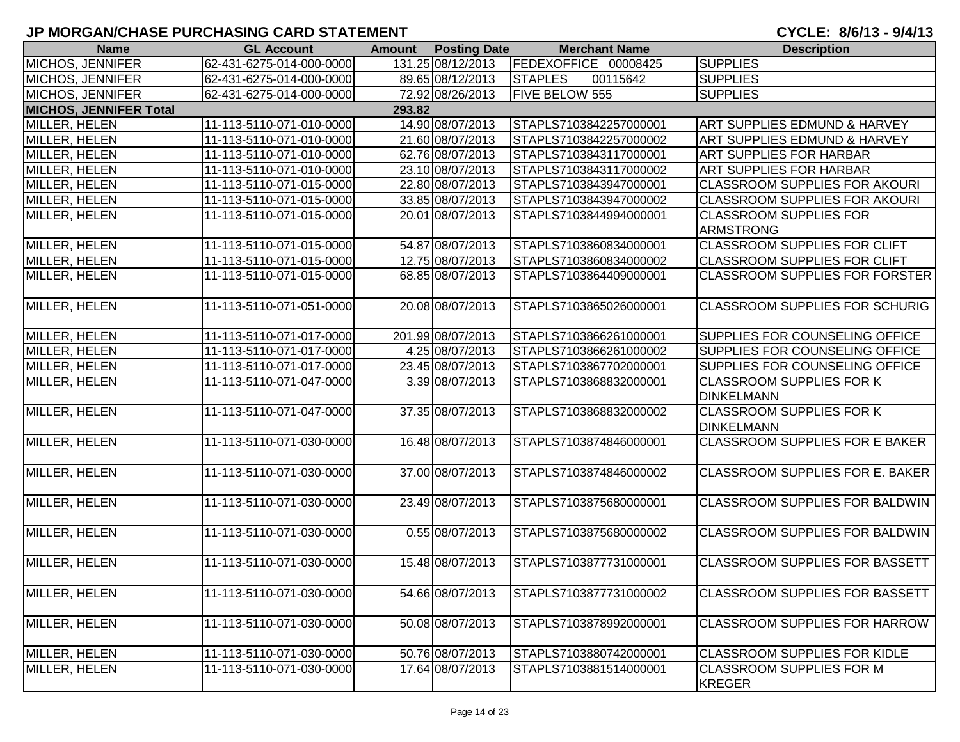| <b>Name</b>                   | <b>GL Account</b>        | <b>Amount</b> | <b>Posting Date</b> | <b>Merchant Name</b>       | <b>Description</b>                     |
|-------------------------------|--------------------------|---------------|---------------------|----------------------------|----------------------------------------|
| <b>MICHOS, JENNIFER</b>       | 62-431-6275-014-000-0000 |               | 131.25 08/12/2013   | FEDEXOFFICE 00008425       | <b>SUPPLIES</b>                        |
| <b>MICHOS, JENNIFER</b>       | 62-431-6275-014-000-0000 |               | 89.65 08/12/2013    | <b>STAPLES</b><br>00115642 | <b>SUPPLIES</b>                        |
| <b>MICHOS, JENNIFER</b>       | 62-431-6275-014-000-0000 |               | 72.92 08/26/2013    | <b>FIVE BELOW 555</b>      | <b>SUPPLIES</b>                        |
| <b>MICHOS, JENNIFER Total</b> |                          | 293.82        |                     |                            |                                        |
| MILLER, HELEN                 | 11-113-5110-071-010-0000 |               | 14.90 08/07/2013    | STAPLS7103842257000001     | ART SUPPLIES EDMUND & HARVEY           |
| MILLER, HELEN                 | 11-113-5110-071-010-0000 |               | 21.60 08/07/2013    | STAPLS7103842257000002     | ART SUPPLIES EDMUND & HARVEY           |
| MILLER, HELEN                 | 11-113-5110-071-010-0000 |               | 62.76 08/07/2013    | STAPLS7103843117000001     | <b>ART SUPPLIES FOR HARBAR</b>         |
| MILLER, HELEN                 | 11-113-5110-071-010-0000 |               | 23.10 08/07/2013    | STAPLS7103843117000002     | <b>ART SUPPLIES FOR HARBAR</b>         |
| MILLER, HELEN                 | 11-113-5110-071-015-0000 |               | 22.80 08/07/2013    | STAPLS7103843947000001     | <b>CLASSROOM SUPPLIES FOR AKOURI</b>   |
| MILLER, HELEN                 | 11-113-5110-071-015-0000 |               | 33.85 08/07/2013    | STAPLS7103843947000002     | <b>CLASSROOM SUPPLIES FOR AKOURI</b>   |
| MILLER, HELEN                 | 11-113-5110-071-015-0000 |               | 20.01 08/07/2013    | STAPLS7103844994000001     | <b>CLASSROOM SUPPLIES FOR</b>          |
|                               |                          |               |                     |                            | <b>ARMSTRONG</b>                       |
| MILLER, HELEN                 | 11-113-5110-071-015-0000 |               | 54.87 08/07/2013    | STAPLS7103860834000001     | <b>CLASSROOM SUPPLIES FOR CLIFT</b>    |
| MILLER, HELEN                 | 11-113-5110-071-015-0000 |               | 12.75 08/07/2013    | STAPLS7103860834000002     | <b>CLASSROOM SUPPLIES FOR CLIFT</b>    |
| MILLER, HELEN                 | 11-113-5110-071-015-0000 |               | 68.85 08/07/2013    | STAPLS7103864409000001     | <b>CLASSROOM SUPPLIES FOR FORSTER</b>  |
|                               |                          |               |                     |                            |                                        |
| MILLER, HELEN                 | 11-113-5110-071-051-0000 |               | 20.08 08/07/2013    | STAPLS7103865026000001     | <b>CLASSROOM SUPPLIES FOR SCHURIG</b>  |
|                               |                          |               |                     |                            |                                        |
| <b>MILLER, HELEN</b>          | 11-113-5110-071-017-0000 |               | 201.99 08/07/2013   | STAPLS7103866261000001     | SUPPLIES FOR COUNSELING OFFICE         |
| MILLER, HELEN                 | 11-113-5110-071-017-0000 |               | 4.25 08/07/2013     | STAPLS7103866261000002     | <b>SUPPLIES FOR COUNSELING OFFICE</b>  |
| MILLER, HELEN                 | 11-113-5110-071-017-0000 |               | 23.45 08/07/2013    | STAPLS7103867702000001     | SUPPLIES FOR COUNSELING OFFICE         |
| MILLER, HELEN                 | 11-113-5110-071-047-0000 |               | 3.39 08/07/2013     | STAPLS7103868832000001     | <b>CLASSROOM SUPPLIES FOR K</b>        |
|                               |                          |               |                     |                            | <b>DINKELMANN</b>                      |
| MILLER, HELEN                 | 11-113-5110-071-047-0000 |               | 37.35 08/07/2013    | STAPLS7103868832000002     | <b>CLASSROOM SUPPLIES FOR K</b>        |
|                               |                          |               |                     |                            | <b>DINKELMANN</b>                      |
| MILLER, HELEN                 | 11-113-5110-071-030-0000 |               | 16.48 08/07/2013    | STAPLS7103874846000001     | <b>CLASSROOM SUPPLIES FOR E BAKER</b>  |
|                               |                          |               |                     |                            |                                        |
| MILLER, HELEN                 | 11-113-5110-071-030-0000 |               | 37.00 08/07/2013    | STAPLS7103874846000002     | <b>CLASSROOM SUPPLIES FOR E. BAKER</b> |
|                               |                          |               |                     |                            |                                        |
| MILLER, HELEN                 | 11-113-5110-071-030-0000 |               | 23.49 08/07/2013    | STAPLS7103875680000001     | <b>CLASSROOM SUPPLIES FOR BALDWIN</b>  |
|                               |                          |               |                     |                            |                                        |
| MILLER, HELEN                 | 11-113-5110-071-030-0000 |               | 0.55 08/07/2013     | STAPLS7103875680000002     | <b>CLASSROOM SUPPLIES FOR BALDWIN</b>  |
|                               |                          |               |                     |                            |                                        |
| MILLER, HELEN                 | 11-113-5110-071-030-0000 |               | 15.48 08/07/2013    | STAPLS7103877731000001     | <b>CLASSROOM SUPPLIES FOR BASSETT</b>  |
|                               |                          |               |                     |                            |                                        |
| MILLER, HELEN                 | 11-113-5110-071-030-0000 |               | 54.66 08/07/2013    | STAPLS7103877731000002     | <b>CLASSROOM SUPPLIES FOR BASSETT</b>  |
|                               |                          |               |                     |                            |                                        |
| MILLER, HELEN                 | 11-113-5110-071-030-0000 |               | 50.08 08/07/2013    | STAPLS7103878992000001     | <b>CLASSROOM SUPPLIES FOR HARROW</b>   |
|                               |                          |               |                     |                            |                                        |
| MILLER, HELEN                 | 11-113-5110-071-030-0000 |               | 50.76 08/07/2013    | STAPLS7103880742000001     | <b>CLASSROOM SUPPLIES FOR KIDLE</b>    |
| MILLER, HELEN                 | 11-113-5110-071-030-0000 |               | 17.64 08/07/2013    | STAPLS7103881514000001     | <b>CLASSROOM SUPPLIES FOR M</b>        |
|                               |                          |               |                     |                            | <b>KREGER</b>                          |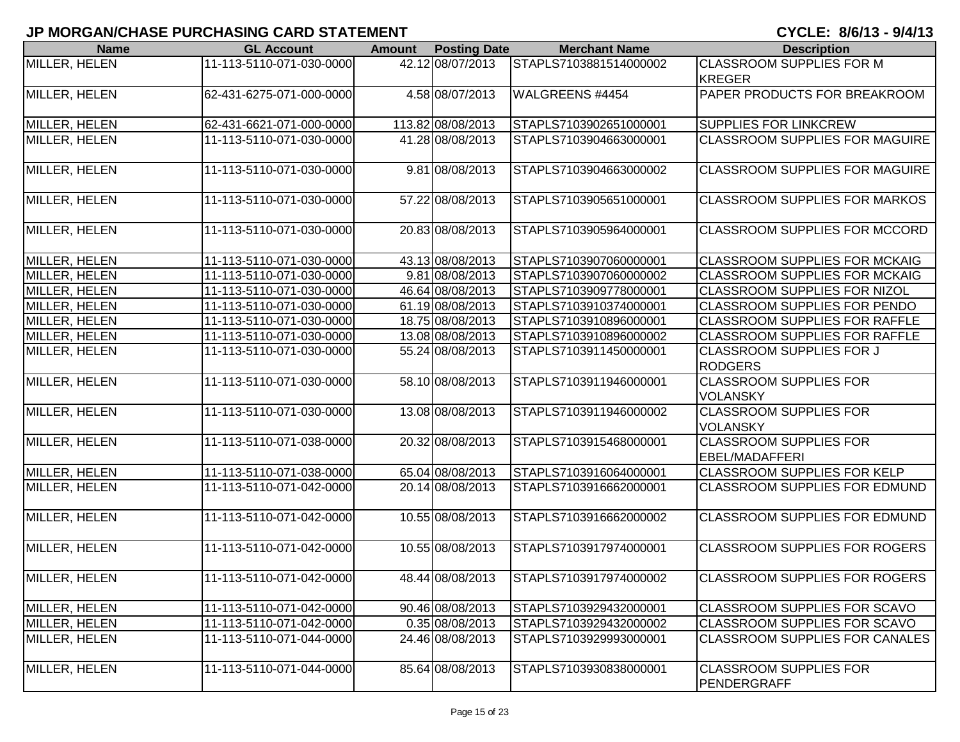| <b>Name</b>   | <b>GL Account</b>        | <b>Amount</b> | <b>Posting Date</b> | <b>Merchant Name</b>   | <b>Description</b>                    |
|---------------|--------------------------|---------------|---------------------|------------------------|---------------------------------------|
| MILLER, HELEN | 11-113-5110-071-030-0000 |               | 42.12 08/07/2013    | STAPLS7103881514000002 | <b>CLASSROOM SUPPLIES FOR M</b>       |
|               |                          |               |                     |                        | <b>KREGER</b>                         |
| MILLER, HELEN | 62-431-6275-071-000-0000 |               | 4.58 08/07/2013     | WALGREENS #4454        | <b>PAPER PRODUCTS FOR BREAKROOM</b>   |
|               |                          |               |                     |                        |                                       |
| MILLER, HELEN | 62-431-6621-071-000-0000 |               | 113.82 08/08/2013   | STAPLS7103902651000001 | <b>SUPPLIES FOR LINKCREW</b>          |
| MILLER, HELEN | 11-113-5110-071-030-0000 |               | 41.28 08/08/2013    | STAPLS7103904663000001 | <b>CLASSROOM SUPPLIES FOR MAGUIRE</b> |
|               |                          |               |                     |                        |                                       |
| MILLER, HELEN | 11-113-5110-071-030-0000 |               | 9.81 08/08/2013     | STAPLS7103904663000002 | <b>CLASSROOM SUPPLIES FOR MAGUIRE</b> |
|               |                          |               |                     |                        |                                       |
| MILLER, HELEN | 11-113-5110-071-030-0000 |               | 57.22 08/08/2013    | STAPLS7103905651000001 | <b>CLASSROOM SUPPLIES FOR MARKOS</b>  |
|               |                          |               |                     |                        |                                       |
| MILLER, HELEN | 11-113-5110-071-030-0000 |               | 20.83 08/08/2013    | STAPLS7103905964000001 | <b>CLASSROOM SUPPLIES FOR MCCORD</b>  |
|               |                          |               |                     |                        |                                       |
| MILLER, HELEN | 11-113-5110-071-030-0000 |               | 43.13 08/08/2013    | STAPLS7103907060000001 | <b>CLASSROOM SUPPLIES FOR MCKAIG</b>  |
| MILLER, HELEN | 11-113-5110-071-030-0000 |               | 9.81 08/08/2013     | STAPLS7103907060000002 | <b>CLASSROOM SUPPLIES FOR MCKAIG</b>  |
| MILLER, HELEN | 11-113-5110-071-030-0000 |               | 46.64 08/08/2013    | STAPLS7103909778000001 | <b>CLASSROOM SUPPLIES FOR NIZOL</b>   |
| MILLER, HELEN | 11-113-5110-071-030-0000 |               | 61.19 08/08/2013    | STAPLS7103910374000001 | <b>CLASSROOM SUPPLIES FOR PENDO</b>   |
| MILLER, HELEN | 11-113-5110-071-030-0000 |               | 18.75 08/08/2013    | STAPLS7103910896000001 | <b>CLASSROOM SUPPLIES FOR RAFFLE</b>  |
| MILLER, HELEN | 11-113-5110-071-030-0000 |               | 13.08 08/08/2013    | STAPLS7103910896000002 | <b>CLASSROOM SUPPLIES FOR RAFFLE</b>  |
| MILLER, HELEN | 11-113-5110-071-030-0000 |               | 55.24 08/08/2013    | STAPLS7103911450000001 | <b>CLASSROOM SUPPLIES FOR J</b>       |
|               |                          |               |                     |                        | <b>RODGERS</b>                        |
| MILLER, HELEN | 11-113-5110-071-030-0000 |               | 58.10 08/08/2013    | STAPLS7103911946000001 | <b>CLASSROOM SUPPLIES FOR</b>         |
|               |                          |               |                     |                        | <b>VOLANSKY</b>                       |
| MILLER, HELEN | 11-113-5110-071-030-0000 |               | 13.08 08/08/2013    | STAPLS7103911946000002 | <b>CLASSROOM SUPPLIES FOR</b>         |
|               |                          |               |                     |                        | <b>VOLANSKY</b>                       |
| MILLER, HELEN | 11-113-5110-071-038-0000 |               | 20.32 08/08/2013    | STAPLS7103915468000001 | <b>CLASSROOM SUPPLIES FOR</b>         |
|               |                          |               |                     |                        | <b>EBEL/MADAFFERI</b>                 |
| MILLER, HELEN | 11-113-5110-071-038-0000 |               | 65.04 08/08/2013    | STAPLS7103916064000001 | <b>CLASSROOM SUPPLIES FOR KELP</b>    |
| MILLER, HELEN | 11-113-5110-071-042-0000 |               | 20.14 08/08/2013    | STAPLS7103916662000001 | <b>CLASSROOM SUPPLIES FOR EDMUND</b>  |
| MILLER, HELEN | 11-113-5110-071-042-0000 |               | 10.55 08/08/2013    | STAPLS7103916662000002 | <b>CLASSROOM SUPPLIES FOR EDMUND</b>  |
|               |                          |               |                     |                        |                                       |
| MILLER, HELEN | 11-113-5110-071-042-0000 |               | 10.55 08/08/2013    | STAPLS7103917974000001 | <b>CLASSROOM SUPPLIES FOR ROGERS</b>  |
|               |                          |               |                     |                        |                                       |
| MILLER, HELEN | 11-113-5110-071-042-0000 |               | 48.44 08/08/2013    | STAPLS7103917974000002 | <b>CLASSROOM SUPPLIES FOR ROGERS</b>  |
|               |                          |               |                     |                        |                                       |
| MILLER, HELEN | 11-113-5110-071-042-0000 |               | 90.46 08/08/2013    | STAPLS7103929432000001 | <b>CLASSROOM SUPPLIES FOR SCAVO</b>   |
| MILLER, HELEN | 11-113-5110-071-042-0000 |               | 0.35 08/08/2013     | STAPLS7103929432000002 | <b>CLASSROOM SUPPLIES FOR SCAVO</b>   |
| MILLER, HELEN | 11-113-5110-071-044-0000 |               | 24.46 08/08/2013    | STAPLS7103929993000001 | <b>CLASSROOM SUPPLIES FOR CANALES</b> |
|               |                          |               |                     |                        |                                       |
| MILLER, HELEN | 11-113-5110-071-044-0000 |               | 85.64 08/08/2013    | STAPLS7103930838000001 | <b>CLASSROOM SUPPLIES FOR</b>         |
|               |                          |               |                     |                        | PENDERGRAFF                           |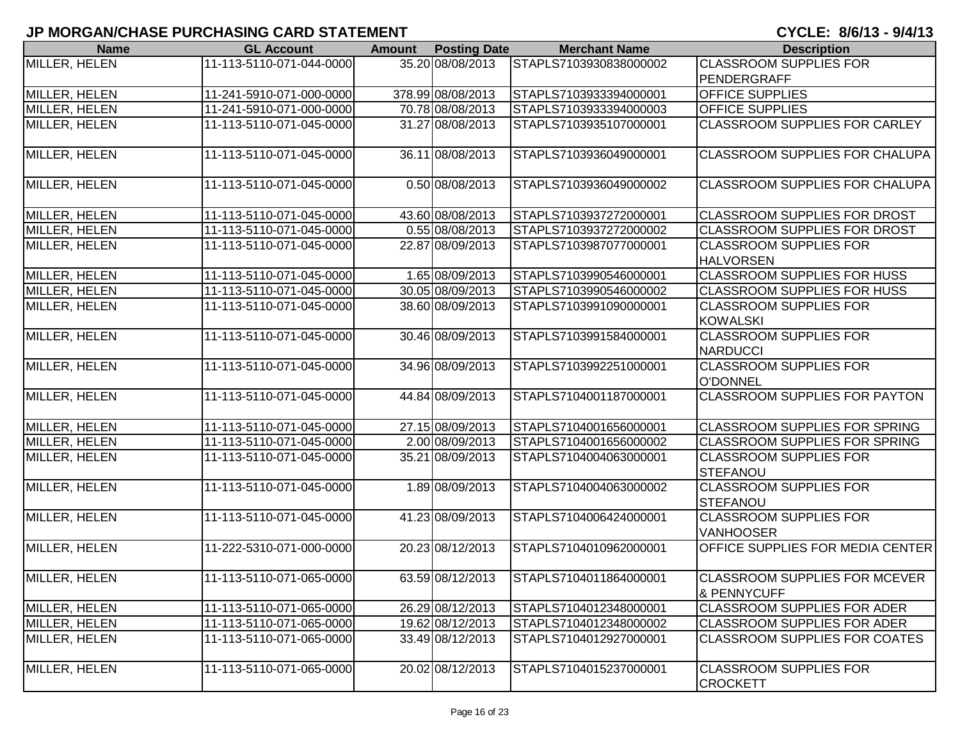| <b>Name</b>          | <b>GL Account</b>        | <b>Amount</b> | <b>Posting Date</b> | <b>Merchant Name</b>   | <b>Description</b>                                             |
|----------------------|--------------------------|---------------|---------------------|------------------------|----------------------------------------------------------------|
| MILLER, HELEN        | 11-113-5110-071-044-0000 |               | 35.20 08/08/2013    | STAPLS7103930838000002 | <b>CLASSROOM SUPPLIES FOR</b>                                  |
|                      |                          |               |                     |                        | PENDERGRAFF                                                    |
| MILLER, HELEN        | 11-241-5910-071-000-0000 |               | 378.99 08/08/2013   | STAPLS7103933394000001 | <b>OFFICE SUPPLIES</b>                                         |
| MILLER, HELEN        | 11-241-5910-071-000-0000 |               | 70.78 08/08/2013    | STAPLS7103933394000003 | <b>OFFICE SUPPLIES</b>                                         |
| MILLER, HELEN        | 11-113-5110-071-045-0000 |               | 31.27 08/08/2013    | STAPLS7103935107000001 | <b>CLASSROOM SUPPLIES FOR CARLEY</b>                           |
| MILLER, HELEN        | 11-113-5110-071-045-0000 |               | 36.11 08/08/2013    | STAPLS7103936049000001 | <b>CLASSROOM SUPPLIES FOR CHALUPA</b>                          |
| <b>MILLER, HELEN</b> | 11-113-5110-071-045-0000 |               | 0.50 08/08/2013     | STAPLS7103936049000002 | <b>CLASSROOM SUPPLIES FOR CHALUPA</b>                          |
| MILLER, HELEN        | 11-113-5110-071-045-0000 |               | 43.60 08/08/2013    | STAPLS7103937272000001 | <b>CLASSROOM SUPPLIES FOR DROST</b>                            |
| MILLER, HELEN        | 11-113-5110-071-045-0000 |               | 0.55 08/08/2013     | STAPLS7103937272000002 | <b>CLASSROOM SUPPLIES FOR DROST</b>                            |
| MILLER, HELEN        | 11-113-5110-071-045-0000 |               | 22.87 08/09/2013    | STAPLS7103987077000001 | <b>CLASSROOM SUPPLIES FOR</b><br><b>HALVORSEN</b>              |
| MILLER, HELEN        | 11-113-5110-071-045-0000 |               | 1.65 08/09/2013     | STAPLS7103990546000001 | <b>CLASSROOM SUPPLIES FOR HUSS</b>                             |
| MILLER, HELEN        | 11-113-5110-071-045-0000 |               | 30.05 08/09/2013    | STAPLS7103990546000002 | <b>CLASSROOM SUPPLIES FOR HUSS</b>                             |
| MILLER, HELEN        | 11-113-5110-071-045-0000 |               | 38.60 08/09/2013    | STAPLS7103991090000001 | <b>CLASSROOM SUPPLIES FOR</b><br><b>KOWALSKI</b>               |
| <b>MILLER, HELEN</b> | 11-113-5110-071-045-0000 |               | 30.46 08/09/2013    | STAPLS7103991584000001 | <b>CLASSROOM SUPPLIES FOR</b><br><b>NARDUCCI</b>               |
| MILLER, HELEN        | 11-113-5110-071-045-0000 |               | 34.96 08/09/2013    | STAPLS7103992251000001 | <b>CLASSROOM SUPPLIES FOR</b><br>O'DONNEL                      |
| MILLER, HELEN        | 11-113-5110-071-045-0000 |               | 44.84 08/09/2013    | STAPLS7104001187000001 | <b>CLASSROOM SUPPLIES FOR PAYTON</b>                           |
| MILLER, HELEN        | 11-113-5110-071-045-0000 |               | 27.15 08/09/2013    | STAPLS7104001656000001 | <b>CLASSROOM SUPPLIES FOR SPRING</b>                           |
| MILLER, HELEN        | 11-113-5110-071-045-0000 |               | 2.00 08/09/2013     | STAPLS7104001656000002 | <b>CLASSROOM SUPPLIES FOR SPRING</b>                           |
| MILLER, HELEN        | 11-113-5110-071-045-0000 |               | 35.21 08/09/2013    | STAPLS7104004063000001 | <b>CLASSROOM SUPPLIES FOR</b><br>STEFANOU                      |
| MILLER, HELEN        | 11-113-5110-071-045-0000 |               | 1.89 08/09/2013     | STAPLS7104004063000002 | <b>CLASSROOM SUPPLIES FOR</b><br>STEFANOU                      |
| MILLER, HELEN        | 11-113-5110-071-045-0000 |               | 41.23 08/09/2013    | STAPLS7104006424000001 | <b>CLASSROOM SUPPLIES FOR</b><br><b>VANHOOSER</b>              |
| MILLER, HELEN        | 11-222-5310-071-000-0000 |               | 20.23 08/12/2013    | STAPLS7104010962000001 | <b>OFFICE SUPPLIES FOR MEDIA CENTER</b>                        |
| MILLER, HELEN        | 11-113-5110-071-065-0000 |               | 63.59 08/12/2013    | STAPLS7104011864000001 | <b>CLASSROOM SUPPLIES FOR MCEVER</b><br><b>&amp; PENNYCUFF</b> |
| MILLER, HELEN        | 11-113-5110-071-065-0000 |               | 26.29 08/12/2013    | STAPLS7104012348000001 | <b>CLASSROOM SUPPLIES FOR ADER</b>                             |
| MILLER, HELEN        | 11-113-5110-071-065-0000 |               | 19.62 08/12/2013    | STAPLS7104012348000002 | <b>CLASSROOM SUPPLIES FOR ADER</b>                             |
| MILLER, HELEN        | 11-113-5110-071-065-0000 |               | 33.49 08/12/2013    | STAPLS7104012927000001 | <b>CLASSROOM SUPPLIES FOR COATES</b>                           |
| MILLER, HELEN        | 11-113-5110-071-065-0000 |               | 20.02 08/12/2013    | STAPLS7104015237000001 | <b>CLASSROOM SUPPLIES FOR</b><br><b>CROCKETT</b>               |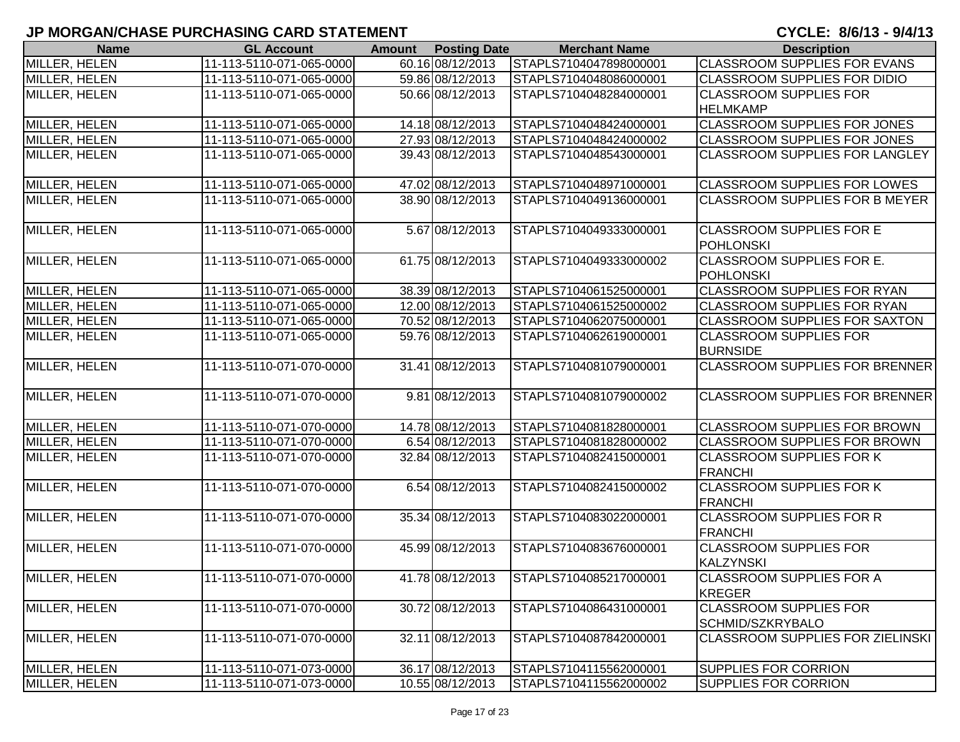| <b>Name</b>                    | <b>GL Account</b>        | <b>Amount</b> | <b>Posting Date</b> | <b>Merchant Name</b>   | <b>Description</b>                      |
|--------------------------------|--------------------------|---------------|---------------------|------------------------|-----------------------------------------|
| MILLER, HELEN                  | 11-113-5110-071-065-0000 |               | 60.16 08/12/2013    | STAPLS7104047898000001 | <b>CLASSROOM SUPPLIES FOR EVANS</b>     |
| MILLER, HELEN                  | 11-113-5110-071-065-0000 |               | 59.86 08/12/2013    | STAPLS7104048086000001 | <b>CLASSROOM SUPPLIES FOR DIDIO</b>     |
| MILLER, HELEN                  | 11-113-5110-071-065-0000 |               | 50.66 08/12/2013    | STAPLS7104048284000001 | <b>CLASSROOM SUPPLIES FOR</b>           |
|                                |                          |               |                     |                        | <b>HELMKAMP</b>                         |
| MILLER, HELEN                  | 11-113-5110-071-065-0000 |               | 14.18 08/12/2013    | STAPLS7104048424000001 | <b>CLASSROOM SUPPLIES FOR JONES</b>     |
| MILLER, HELEN                  | 11-113-5110-071-065-0000 |               | 27.93 08/12/2013    | STAPLS7104048424000002 | <b>CLASSROOM SUPPLIES FOR JONES</b>     |
| MILLER, HELEN                  | 11-113-5110-071-065-0000 |               | 39.43 08/12/2013    | STAPLS7104048543000001 | <b>CLASSROOM SUPPLIES FOR LANGLEY</b>   |
|                                |                          |               |                     |                        |                                         |
| MILLER, HELEN<br>MILLER, HELEN | 11-113-5110-071-065-0000 |               | 47.02 08/12/2013    | STAPLS7104048971000001 | <b>CLASSROOM SUPPLIES FOR LOWES</b>     |
|                                | 11-113-5110-071-065-0000 |               | 38.90 08/12/2013    | STAPLS7104049136000001 | <b>CLASSROOM SUPPLIES FOR B MEYER</b>   |
| MILLER, HELEN                  | 11-113-5110-071-065-0000 |               | 5.67 08/12/2013     | STAPLS7104049333000001 | <b>CLASSROOM SUPPLIES FOR E</b>         |
|                                |                          |               |                     |                        | POHLONSKI                               |
| MILLER, HELEN                  | 11-113-5110-071-065-0000 |               | 61.75 08/12/2013    | STAPLS7104049333000002 | CLASSROOM SUPPLIES FOR E.               |
|                                |                          |               |                     |                        | POHLONSKI                               |
| MILLER, HELEN                  | 11-113-5110-071-065-0000 |               | 38.39 08/12/2013    | STAPLS7104061525000001 | <b>CLASSROOM SUPPLIES FOR RYAN</b>      |
| MILLER, HELEN                  | 11-113-5110-071-065-0000 |               | 12.00 08/12/2013    | STAPLS7104061525000002 | <b>CLASSROOM SUPPLIES FOR RYAN</b>      |
| MILLER, HELEN                  | 11-113-5110-071-065-0000 |               | 70.52 08/12/2013    | STAPLS7104062075000001 | <b>CLASSROOM SUPPLIES FOR SAXTON</b>    |
| MILLER, HELEN                  | 11-113-5110-071-065-0000 |               | 59.76 08/12/2013    | STAPLS7104062619000001 | <b>CLASSROOM SUPPLIES FOR</b>           |
|                                |                          |               |                     |                        | <b>BURNSIDE</b>                         |
| <b>MILLER, HELEN</b>           | 11-113-5110-071-070-0000 |               | 31.41 08/12/2013    | STAPLS7104081079000001 | <b>CLASSROOM SUPPLIES FOR BRENNER</b>   |
|                                |                          |               |                     |                        |                                         |
| MILLER, HELEN                  | 11-113-5110-071-070-0000 |               | 9.81 08/12/2013     | STAPLS7104081079000002 | <b>CLASSROOM SUPPLIES FOR BRENNER</b>   |
| MILLER, HELEN                  | 11-113-5110-071-070-0000 |               | 14.78 08/12/2013    | STAPLS7104081828000001 | <b>CLASSROOM SUPPLIES FOR BROWN</b>     |
| MILLER, HELEN                  | 11-113-5110-071-070-0000 |               | 6.54 08/12/2013     | STAPLS7104081828000002 | <b>CLASSROOM SUPPLIES FOR BROWN</b>     |
| MILLER, HELEN                  | 11-113-5110-071-070-0000 |               | 32.84 08/12/2013    | STAPLS7104082415000001 | <b>CLASSROOM SUPPLIES FOR K</b>         |
|                                |                          |               |                     |                        | FRANCHI                                 |
| MILLER, HELEN                  | 11-113-5110-071-070-0000 |               | 6.54 08/12/2013     | STAPLS7104082415000002 | <b>CLASSROOM SUPPLIES FOR K</b>         |
|                                |                          |               |                     |                        | <b>FRANCHI</b>                          |
| MILLER, HELEN                  | 11-113-5110-071-070-0000 |               | 35.34 08/12/2013    | STAPLS7104083022000001 | <b>CLASSROOM SUPPLIES FOR R</b>         |
|                                |                          |               |                     |                        | <b>FRANCHI</b>                          |
| MILLER, HELEN                  | 11-113-5110-071-070-0000 |               | 45.99 08/12/2013    | STAPLS7104083676000001 | <b>CLASSROOM SUPPLIES FOR</b>           |
|                                |                          |               |                     |                        | <b>KALZYNSKI</b>                        |
| MILLER, HELEN                  | 11-113-5110-071-070-0000 |               | 41.78 08/12/2013    | STAPLS7104085217000001 | <b>CLASSROOM SUPPLIES FOR A</b>         |
|                                |                          |               |                     |                        | <b>KREGER</b>                           |
| MILLER, HELEN                  | 11-113-5110-071-070-0000 |               | 30.72 08/12/2013    | STAPLS7104086431000001 | <b>CLASSROOM SUPPLIES FOR</b>           |
|                                |                          |               |                     |                        | SCHMID/SZKRYBALO                        |
| MILLER, HELEN                  | 11-113-5110-071-070-0000 |               | 32.11 08/12/2013    | STAPLS7104087842000001 | <b>CLASSROOM SUPPLIES FOR ZIELINSKI</b> |
| MILLER, HELEN                  | 11-113-5110-071-073-0000 |               | 36.17 08/12/2013    | STAPLS7104115562000001 | <b>SUPPLIES FOR CORRION</b>             |
| MILLER, HELEN                  | 11-113-5110-071-073-0000 |               | 10.55 08/12/2013    | STAPLS7104115562000002 | <b>SUPPLIES FOR CORRION</b>             |
|                                |                          |               |                     |                        |                                         |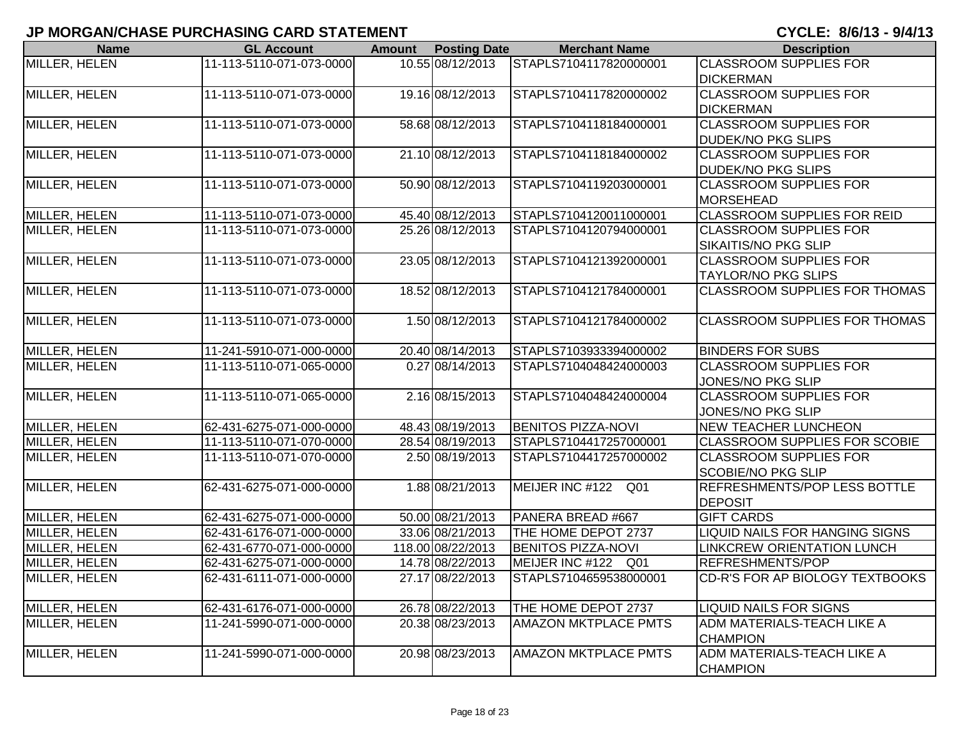| <b>Name</b>          | <b>GL Account</b>        | Amount | <b>Posting Date</b> | <b>Merchant Name</b>        | <b>Description</b>                     |
|----------------------|--------------------------|--------|---------------------|-----------------------------|----------------------------------------|
| MILLER, HELEN        | 11-113-5110-071-073-0000 |        | 10.55 08/12/2013    | STAPLS7104117820000001      | <b>CLASSROOM SUPPLIES FOR</b>          |
|                      |                          |        |                     |                             | <b>DICKERMAN</b>                       |
| MILLER, HELEN        | 11-113-5110-071-073-0000 |        | 19.16 08/12/2013    | STAPLS7104117820000002      | <b>CLASSROOM SUPPLIES FOR</b>          |
|                      |                          |        |                     |                             | <b>DICKERMAN</b>                       |
| MILLER, HELEN        | 11-113-5110-071-073-0000 |        | 58.68 08/12/2013    | STAPLS7104118184000001      | <b>CLASSROOM SUPPLIES FOR</b>          |
|                      |                          |        |                     |                             | <b>DUDEK/NO PKG SLIPS</b>              |
| MILLER, HELEN        | 11-113-5110-071-073-0000 |        | 21.10 08/12/2013    | STAPLS7104118184000002      | <b>CLASSROOM SUPPLIES FOR</b>          |
|                      |                          |        |                     |                             | <b>DUDEK/NO PKG SLIPS</b>              |
| MILLER, HELEN        | 11-113-5110-071-073-0000 |        | 50.90 08/12/2013    | STAPLS7104119203000001      | <b>CLASSROOM SUPPLIES FOR</b>          |
|                      |                          |        |                     |                             | <b>MORSEHEAD</b>                       |
| MILLER, HELEN        | 11-113-5110-071-073-0000 |        | 45.40 08/12/2013    | STAPLS7104120011000001      | <b>CLASSROOM SUPPLIES FOR REID</b>     |
| <b>MILLER, HELEN</b> | 11-113-5110-071-073-0000 |        | 25.26 08/12/2013    | STAPLS7104120794000001      | <b>CLASSROOM SUPPLIES FOR</b>          |
|                      |                          |        |                     |                             | SIKAITIS/NO PKG SLIP                   |
| MILLER, HELEN        | 11-113-5110-071-073-0000 |        | 23.05 08/12/2013    | STAPLS7104121392000001      | <b>CLASSROOM SUPPLIES FOR</b>          |
|                      |                          |        |                     |                             | <b>TAYLOR/NO PKG SLIPS</b>             |
| MILLER, HELEN        | 11-113-5110-071-073-0000 |        | 18.52 08/12/2013    | STAPLS7104121784000001      | <b>CLASSROOM SUPPLIES FOR THOMAS</b>   |
|                      |                          |        |                     |                             |                                        |
| MILLER, HELEN        | 11-113-5110-071-073-0000 |        | 1.50 08/12/2013     | STAPLS7104121784000002      | CLASSROOM SUPPLIES FOR THOMAS          |
|                      |                          |        |                     |                             |                                        |
| MILLER, HELEN        | 11-241-5910-071-000-0000 |        | 20.40 08/14/2013    | STAPLS7103933394000002      | <b>BINDERS FOR SUBS</b>                |
| MILLER, HELEN        | 11-113-5110-071-065-0000 |        | 0.27 08/14/2013     | STAPLS7104048424000003      | <b>CLASSROOM SUPPLIES FOR</b>          |
|                      |                          |        |                     |                             | JONES/NO PKG SLIP                      |
| MILLER, HELEN        | 11-113-5110-071-065-0000 |        | 2.16 08/15/2013     | STAPLS7104048424000004      | <b>CLASSROOM SUPPLIES FOR</b>          |
|                      |                          |        |                     |                             | JONES/NO PKG SLIP                      |
| MILLER, HELEN        | 62-431-6275-071-000-0000 |        | 48.43 08/19/2013    | <b>BENITOS PIZZA-NOVI</b>   | <b>NEW TEACHER LUNCHEON</b>            |
| MILLER, HELEN        | 11-113-5110-071-070-0000 |        | 28.54 08/19/2013    | STAPLS7104417257000001      | <b>CLASSROOM SUPPLIES FOR SCOBIE</b>   |
| MILLER, HELEN        | 11-113-5110-071-070-0000 |        | 2.50 08/19/2013     | STAPLS7104417257000002      | <b>CLASSROOM SUPPLIES FOR</b>          |
|                      |                          |        |                     |                             | <b>SCOBIE/NO PKG SLIP</b>              |
| MILLER, HELEN        | 62-431-6275-071-000-0000 |        | 1.88 08/21/2013     | MEIJER INC #122 Q01         | REFRESHMENTS/POP LESS BOTTLE           |
|                      |                          |        |                     |                             | <b>DEPOSIT</b>                         |
| MILLER, HELEN        | 62-431-6275-071-000-0000 |        | 50.00 08/21/2013    | PANERA BREAD #667           | <b>GIFT CARDS</b>                      |
| MILLER, HELEN        | 62-431-6176-071-000-0000 |        | 33.06 08/21/2013    | THE HOME DEPOT 2737         | LIQUID NAILS FOR HANGING SIGNS         |
| MILLER, HELEN        | 62-431-6770-071-000-0000 |        | 118.00 08/22/2013   | <b>BENITOS PIZZA-NOVI</b>   | <b>LINKCREW ORIENTATION LUNCH</b>      |
| MILLER, HELEN        | 62-431-6275-071-000-0000 |        | 14.78 08/22/2013    | MEIJER INC #122 Q01         | REFRESHMENTS/POP                       |
| MILLER, HELEN        | 62-431-6111-071-000-0000 |        | 27.17 08/22/2013    | STAPLS7104659538000001      | <b>CD-R'S FOR AP BIOLOGY TEXTBOOKS</b> |
|                      |                          |        |                     |                             |                                        |
| <b>MILLER, HELEN</b> | 62-431-6176-071-000-0000 |        | 26.78 08/22/2013    | THE HOME DEPOT 2737         | <b>LIQUID NAILS FOR SIGNS</b>          |
| MILLER, HELEN        | 11-241-5990-071-000-0000 |        | 20.38 08/23/2013    | <b>AMAZON MKTPLACE PMTS</b> | ADM MATERIALS-TEACH LIKE A             |
|                      |                          |        |                     |                             | <b>CHAMPION</b>                        |
| MILLER, HELEN        | 11-241-5990-071-000-0000 |        | 20.98 08/23/2013    | <b>AMAZON MKTPLACE PMTS</b> | ADM MATERIALS-TEACH LIKE A             |
|                      |                          |        |                     |                             | <b>CHAMPION</b>                        |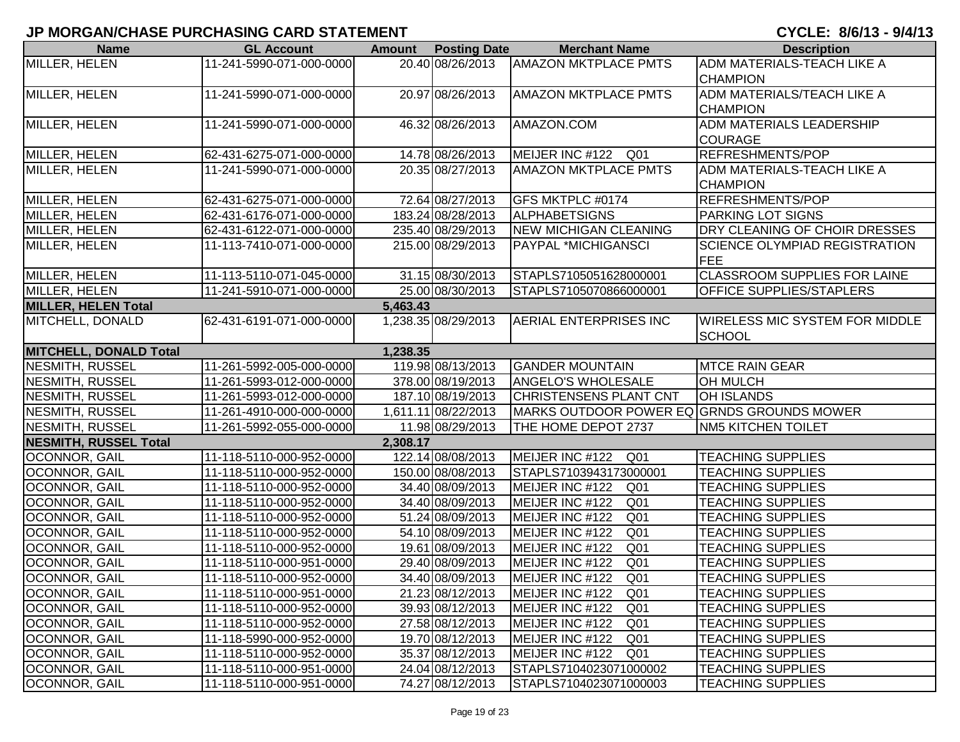| <b>Name</b>                   | <b>GL Account</b>        | <b>Amount</b> | <b>Posting Date</b> | <b>Merchant Name</b>                       | <b>Description</b>                    |
|-------------------------------|--------------------------|---------------|---------------------|--------------------------------------------|---------------------------------------|
| MILLER, HELEN                 | 11-241-5990-071-000-0000 |               | 20.40 08/26/2013    | <b>AMAZON MKTPLACE PMTS</b>                | ADM MATERIALS-TEACH LIKE A            |
|                               |                          |               |                     |                                            | <b>CHAMPION</b>                       |
| MILLER, HELEN                 | 11-241-5990-071-000-0000 |               | 20.97 08/26/2013    | <b>AMAZON MKTPLACE PMTS</b>                | ADM MATERIALS/TEACH LIKE A            |
|                               |                          |               |                     |                                            | <b>CHAMPION</b>                       |
| MILLER, HELEN                 | 11-241-5990-071-000-0000 |               | 46.32 08/26/2013    | AMAZON.COM                                 | <b>ADM MATERIALS LEADERSHIP</b>       |
|                               |                          |               |                     |                                            | <b>COURAGE</b>                        |
| MILLER, HELEN                 | 62-431-6275-071-000-0000 |               | 14.78 08/26/2013    | MEIJER INC #122 Q01                        | REFRESHMENTS/POP                      |
| <b>MILLER, HELEN</b>          | 11-241-5990-071-000-0000 |               | 20.35 08/27/2013    | <b>AMAZON MKTPLACE PMTS</b>                | ADM MATERIALS-TEACH LIKE A            |
|                               |                          |               |                     |                                            | <b>CHAMPION</b>                       |
| MILLER, HELEN                 | 62-431-6275-071-000-0000 |               | 72.64 08/27/2013    | <b>GFS MKTPLC #0174</b>                    | <b>REFRESHMENTS/POP</b>               |
| MILLER, HELEN                 | 62-431-6176-071-000-0000 |               | 183.24 08/28/2013   | <b>ALPHABETSIGNS</b>                       | <b>PARKING LOT SIGNS</b>              |
| MILLER, HELEN                 | 62-431-6122-071-000-0000 |               | 235.40 08/29/2013   | <b>NEW MICHIGAN CLEANING</b>               | DRY CLEANING OF CHOIR DRESSES         |
| MILLER, HELEN                 | 11-113-7410-071-000-0000 |               | 215.00 08/29/2013   | <b>PAYPAL *MICHIGANSCI</b>                 | <b>SCIENCE OLYMPIAD REGISTRATION</b>  |
|                               |                          |               |                     |                                            | FEE                                   |
| MILLER, HELEN                 | 11-113-5110-071-045-0000 |               | 31.15 08/30/2013    | STAPLS7105051628000001                     | <b>CLASSROOM SUPPLIES FOR LAINE</b>   |
| MILLER, HELEN                 | 11-241-5910-071-000-0000 |               | 25.00 08/30/2013    | STAPLS7105070866000001                     | <b>OFFICE SUPPLIES/STAPLERS</b>       |
| <b>MILLER, HELEN Total</b>    |                          | 5,463.43      |                     |                                            |                                       |
| MITCHELL, DONALD              | 62-431-6191-071-000-0000 |               | 1,238.35 08/29/2013 | AERIAL ENTERPRISES INC                     | <b>WIRELESS MIC SYSTEM FOR MIDDLE</b> |
|                               |                          |               |                     |                                            | <b>SCHOOL</b>                         |
| <b>MITCHELL, DONALD Total</b> |                          | 1,238.35      |                     |                                            |                                       |
| NESMITH, RUSSEL               | 11-261-5992-005-000-0000 |               | 119.98 08/13/2013   | <b>GANDER MOUNTAIN</b>                     | <b>MTCE RAIN GEAR</b>                 |
| NESMITH, RUSSEL               | 11-261-5993-012-000-0000 |               | 378.00 08/19/2013   | <b>ANGELO'S WHOLESALE</b>                  | <b>OH MULCH</b>                       |
| NESMITH, RUSSEL               | 11-261-5993-012-000-0000 |               | 187.10 08/19/2013   | CHRISTENSENS PLANT CNT                     | <b>OH ISLANDS</b>                     |
| <b>NESMITH, RUSSEL</b>        | 11-261-4910-000-000-0000 |               | 1,611.11 08/22/2013 | MARKS OUTDOOR POWER EQ GRNDS GROUNDS MOWER |                                       |
| <b>NESMITH, RUSSEL</b>        | 11-261-5992-055-000-0000 |               | 11.98 08/29/2013    | THE HOME DEPOT 2737                        | <b>NM5 KITCHEN TOILET</b>             |
| <b>NESMITH, RUSSEL Total</b>  |                          | 2,308.17      |                     |                                            |                                       |
| OCONNOR, GAIL                 | 11-118-5110-000-952-0000 |               | 122.14 08/08/2013   | MEIJER INC #122<br>Q <sub>01</sub>         | <b>TEACHING SUPPLIES</b>              |
| OCONNOR, GAIL                 | 11-118-5110-000-952-0000 |               | 150.00 08/08/2013   | STAPLS7103943173000001                     | <b>TEACHING SUPPLIES</b>              |
| OCONNOR, GAIL                 | 11-118-5110-000-952-0000 |               | 34.40 08/09/2013    | MEIJER INC #122<br>Q <sub>01</sub>         | <b>TEACHING SUPPLIES</b>              |
| OCONNOR, GAIL                 | 11-118-5110-000-952-0000 |               | 34.40 08/09/2013    | MEIJER INC #122<br>Q <sub>01</sub>         | <b>TEACHING SUPPLIES</b>              |
| OCONNOR, GAIL                 | 11-118-5110-000-952-0000 |               | 51.24 08/09/2013    | MEIJER INC #122<br>Q01                     | <b>TEACHING SUPPLIES</b>              |
| OCONNOR, GAIL                 | 11-118-5110-000-952-0000 |               | 54.10 08/09/2013    | Q <sub>01</sub><br>MEIJER INC #122         | <b>TEACHING SUPPLIES</b>              |
| OCONNOR, GAIL                 | 11-118-5110-000-952-0000 |               | 19.61 08/09/2013    | MEIJER INC #122<br>Q <sub>01</sub>         | <b>TEACHING SUPPLIES</b>              |
| OCONNOR, GAIL                 | 11-118-5110-000-951-0000 |               | 29.40 08/09/2013    | MEIJER INC #122<br>Q <sub>01</sub>         | <b>TEACHING SUPPLIES</b>              |
| OCONNOR, GAIL                 | 11-118-5110-000-952-0000 |               | 34.40 08/09/2013    | Q <sub>01</sub><br>MEIJER INC #122         | <b>TEACHING SUPPLIES</b>              |
| <b>OCONNOR, GAIL</b>          | 11-118-5110-000-951-0000 |               | 21.23 08/12/2013    | MEIJER INC #122<br>Q <sub>01</sub>         | <b>TEACHING SUPPLIES</b>              |
| <b>OCONNOR, GAIL</b>          | 11-118-5110-000-952-0000 |               | 39.93 08/12/2013    | MEIJER INC #122<br>Q <sub>01</sub>         | <b>TEACHING SUPPLIES</b>              |
| OCONNOR, GAIL                 | 11-118-5110-000-952-0000 |               | 27.58 08/12/2013    | MEIJER INC #122<br>Q <sub>01</sub>         | <b>TEACHING SUPPLIES</b>              |
| <b>OCONNOR, GAIL</b>          | 11-118-5990-000-952-0000 |               | 19.70 08/12/2013    | MEIJER INC #122<br>Q <sub>01</sub>         | <b>TEACHING SUPPLIES</b>              |
| <b>OCONNOR, GAIL</b>          | 11-118-5110-000-952-0000 |               | 35.37 08/12/2013    | MEIJER INC #122<br>Q <sub>01</sub>         | <b>TEACHING SUPPLIES</b>              |
| OCONNOR, GAIL                 | 11-118-5110-000-951-0000 |               | 24.04 08/12/2013    | STAPLS7104023071000002                     | <b>TEACHING SUPPLIES</b>              |
| OCONNOR, GAIL                 | 11-118-5110-000-951-0000 |               | 74.27 08/12/2013    | STAPLS7104023071000003                     | <b>TEACHING SUPPLIES</b>              |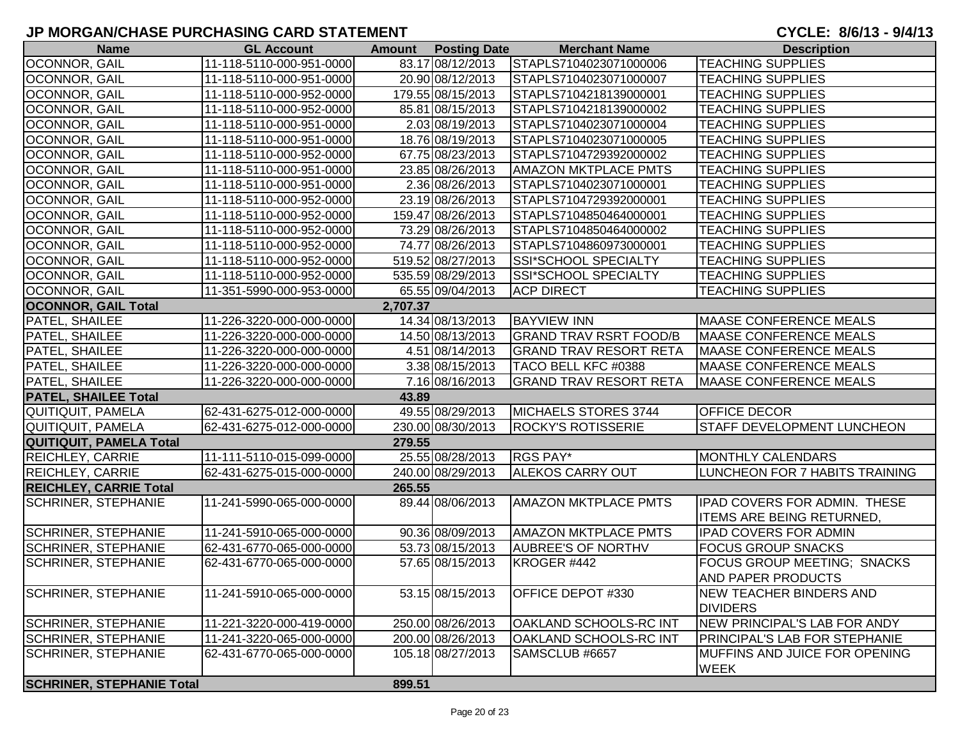| <b>Name</b>                      | <b>GL Account</b>        |          | <b>Amount</b> Posting Date | <b>Merchant Name</b>          | <b>Description</b>                                |
|----------------------------------|--------------------------|----------|----------------------------|-------------------------------|---------------------------------------------------|
| OCONNOR, GAIL                    | 11-118-5110-000-951-0000 |          | 83.17 08/12/2013           | STAPLS7104023071000006        | <b>TEACHING SUPPLIES</b>                          |
| OCONNOR, GAIL                    | 11-118-5110-000-951-0000 |          | 20.90 08/12/2013           | STAPLS7104023071000007        | <b>TEACHING SUPPLIES</b>                          |
| OCONNOR, GAIL                    | 11-118-5110-000-952-0000 |          | 179.55 08/15/2013          | STAPLS7104218139000001        | <b>TEACHING SUPPLIES</b>                          |
| OCONNOR, GAIL                    | 11-118-5110-000-952-0000 |          | 85.81 08/15/2013           | STAPLS7104218139000002        | <b>TEACHING SUPPLIES</b>                          |
| OCONNOR, GAIL                    | 11-118-5110-000-951-0000 |          | 2.03 08/19/2013            | STAPLS7104023071000004        | <b>TEACHING SUPPLIES</b>                          |
| OCONNOR, GAIL                    | 11-118-5110-000-951-0000 |          | 18.76 08/19/2013           | STAPLS7104023071000005        | <b>TEACHING SUPPLIES</b>                          |
| OCONNOR, GAIL                    | 11-118-5110-000-952-0000 |          | 67.75 08/23/2013           | STAPLS7104729392000002        | <b>TEACHING SUPPLIES</b>                          |
| OCONNOR, GAIL                    | 11-118-5110-000-951-0000 |          | 23.85 08/26/2013           | <b>AMAZON MKTPLACE PMTS</b>   | <b>TEACHING SUPPLIES</b>                          |
| OCONNOR, GAIL                    | 11-118-5110-000-951-0000 |          | 2.36 08/26/2013            | STAPLS7104023071000001        | <b>TEACHING SUPPLIES</b>                          |
| OCONNOR, GAIL                    | 11-118-5110-000-952-0000 |          | 23.19 08/26/2013           | STAPLS7104729392000001        | <b>TEACHING SUPPLIES</b>                          |
| OCONNOR, GAIL                    | 11-118-5110-000-952-0000 |          | 159.47 08/26/2013          | STAPLS7104850464000001        | <b>TEACHING SUPPLIES</b>                          |
| OCONNOR, GAIL                    | 11-118-5110-000-952-0000 |          | 73.29 08/26/2013           | STAPLS7104850464000002        | <b>TEACHING SUPPLIES</b>                          |
| OCONNOR, GAIL                    | 11-118-5110-000-952-0000 |          | 74.77 08/26/2013           | STAPLS7104860973000001        | <b>TEACHING SUPPLIES</b>                          |
| OCONNOR, GAIL                    | 11-118-5110-000-952-0000 |          | 519.52 08/27/2013          | SSI*SCHOOL SPECIALTY          | <b>TEACHING SUPPLIES</b>                          |
| <b>OCONNOR, GAIL</b>             | 11-118-5110-000-952-0000 |          | 535.59 08/29/2013          | <b>SSI*SCHOOL SPECIALTY</b>   | <b>TEACHING SUPPLIES</b>                          |
| OCONNOR, GAIL                    | 11-351-5990-000-953-0000 |          | 65.55 09/04/2013           | <b>ACP DIRECT</b>             | <b>TEACHING SUPPLIES</b>                          |
| <b>OCONNOR, GAIL Total</b>       |                          | 2,707.37 |                            |                               |                                                   |
| <b>PATEL, SHAILEE</b>            | 11-226-3220-000-000-0000 |          | 14.34 08/13/2013           | <b>BAYVIEW INN</b>            | <b>MAASE CONFERENCE MEALS</b>                     |
| PATEL, SHAILEE                   | 11-226-3220-000-000-0000 |          | 14.50 08/13/2013           | <b>GRAND TRAV RSRT FOOD/B</b> | <b>MAASE CONFERENCE MEALS</b>                     |
| PATEL, SHAILEE                   | 11-226-3220-000-000-0000 |          | 4.51 08/14/2013            | <b>GRAND TRAV RESORT RETA</b> | <b>MAASE CONFERENCE MEALS</b>                     |
| <b>PATEL, SHAILEE</b>            | 11-226-3220-000-000-0000 |          | 3.38 08/15/2013            | TACO BELL KFC #0388           | <b>MAASE CONFERENCE MEALS</b>                     |
| PATEL, SHAILEE                   | 11-226-3220-000-000-0000 |          | 7.16 08/16/2013            | <b>GRAND TRAV RESORT RETA</b> | <b>MAASE CONFERENCE MEALS</b>                     |
| <b>PATEL, SHAILEE Total</b>      |                          | 43.89    |                            |                               |                                                   |
| QUITIQUIT, PAMELA                | 62-431-6275-012-000-0000 |          | 49.55 08/29/2013           | MICHAELS STORES 3744          | OFFICE DECOR                                      |
| <b>QUITIQUIT, PAMELA</b>         | 62-431-6275-012-000-0000 |          | 230.00 08/30/2013          | <b>ROCKY'S ROTISSERIE</b>     | STAFF DEVELOPMENT LUNCHEON                        |
| QUITIQUIT, PAMELA Total          |                          | 279.55   |                            |                               |                                                   |
| <b>REICHLEY, CARRIE</b>          | 11-111-5110-015-099-0000 |          | 25.55 08/28/2013           | <b>RGS PAY*</b>               | MONTHLY CALENDARS                                 |
| REICHLEY, CARRIE                 | 62-431-6275-015-000-0000 |          | 240.00 08/29/2013          | <b>ALEKOS CARRY OUT</b>       | LUNCHEON FOR 7 HABITS TRAINING                    |
| <b>REICHLEY, CARRIE Total</b>    |                          | 265.55   |                            |                               |                                                   |
| <b>SCHRINER, STEPHANIE</b>       | 11-241-5990-065-000-0000 |          | 89.44 08/06/2013           | <b>AMAZON MKTPLACE PMTS</b>   | IPAD COVERS FOR ADMIN. THESE                      |
|                                  |                          |          |                            |                               | <b>ITEMS ARE BEING RETURNED,</b>                  |
| <b>SCHRINER, STEPHANIE</b>       | 11-241-5910-065-000-0000 |          | 90.36 08/09/2013           | <b>AMAZON MKTPLACE PMTS</b>   | <b>IPAD COVERS FOR ADMIN</b>                      |
| <b>SCHRINER, STEPHANIE</b>       | 62-431-6770-065-000-0000 |          | 53.73 08/15/2013           | <b>AUBREE'S OF NORTHV</b>     | <b>FOCUS GROUP SNACKS</b>                         |
| <b>SCHRINER, STEPHANIE</b>       | 62-431-6770-065-000-0000 |          | 57.65 08/15/2013           | KROGER #442                   | FOCUS GROUP MEETING; SNACKS                       |
|                                  |                          |          |                            |                               | <b>AND PAPER PRODUCTS</b>                         |
| <b>SCHRINER, STEPHANIE</b>       | 11-241-5910-065-000-0000 |          | 53.15 08/15/2013           | <b>OFFICE DEPOT #330</b>      | <b>NEW TEACHER BINDERS AND</b><br><b>DIVIDERS</b> |
| <b>SCHRINER, STEPHANIE</b>       | 11-221-3220-000-419-0000 |          | 250.00 08/26/2013          | <b>OAKLAND SCHOOLS-RC INT</b> | <b>NEW PRINCIPAL'S LAB FOR ANDY</b>               |
| <b>SCHRINER, STEPHANIE</b>       | 11-241-3220-065-000-0000 |          | 200.00 08/26/2013          | <b>OAKLAND SCHOOLS-RC INT</b> | PRINCIPAL'S LAB FOR STEPHANIE                     |
| <b>SCHRINER, STEPHANIE</b>       | 62-431-6770-065-000-0000 |          | 105.18 08/27/2013          | SAMSCLUB #6657                | MUFFINS AND JUICE FOR OPENING                     |
|                                  |                          |          |                            |                               | <b>WEEK</b>                                       |
| <b>SCHRINER, STEPHANIE Total</b> |                          | 899.51   |                            |                               |                                                   |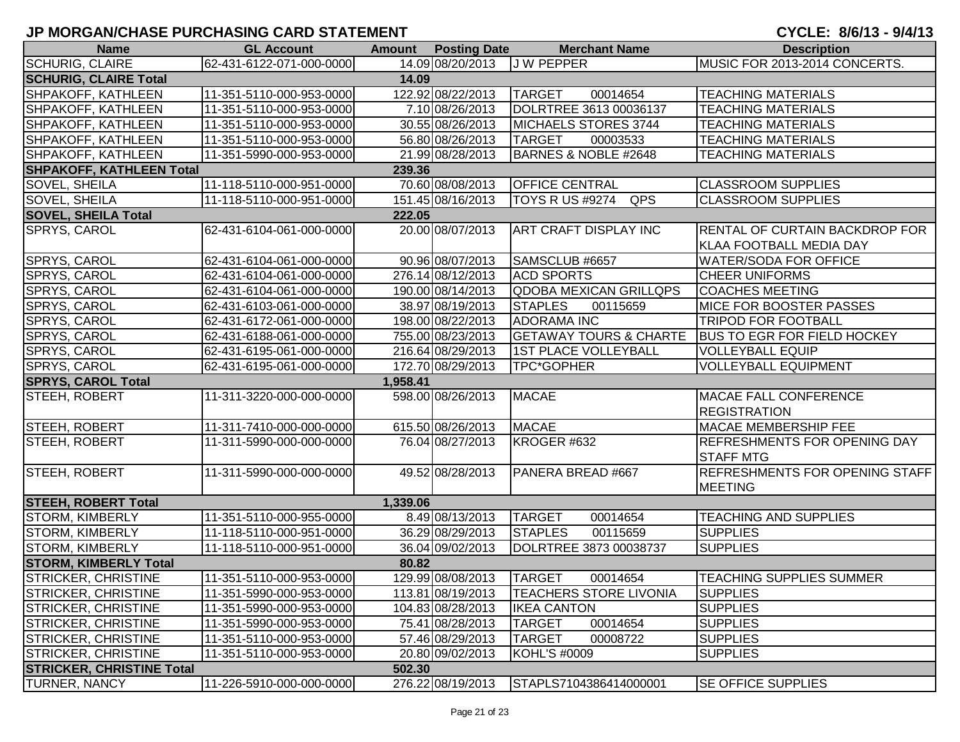# **JP MORGAN/CHASE PURCHASING CARD STATEMENT**

CYCLE: 8/6/13 - 9/4/13

| <b>Name</b>                      | <b>GL Account</b>        |          | <b>Amount Posting Date</b> | <b>Merchant Name</b>              | <b>Description</b>                  |
|----------------------------------|--------------------------|----------|----------------------------|-----------------------------------|-------------------------------------|
| <b>SCHURIG, CLAIRE</b>           | 62-431-6122-071-000-0000 |          | 14.09 08/20/2013           | J W PEPPER                        | MUSIC FOR 2013-2014 CONCERTS.       |
| <b>SCHURIG, CLAIRE Total</b>     |                          | 14.09    |                            |                                   |                                     |
| SHPAKOFF, KATHLEEN               | 11-351-5110-000-953-0000 |          | 122.92 08/22/2013          | <b>TARGET</b><br>00014654         | <b>TEACHING MATERIALS</b>           |
| SHPAKOFF, KATHLEEN               | 11-351-5110-000-953-0000 |          | 7.10 08/26/2013            | DOLRTREE 3613 00036137            | <b>TEACHING MATERIALS</b>           |
| SHPAKOFF, KATHLEEN               | 11-351-5110-000-953-0000 |          | 30.55 08/26/2013           | MICHAELS STORES 3744              | <b>TEACHING MATERIALS</b>           |
| <b>SHPAKOFF, KATHLEEN</b>        | 11-351-5110-000-953-0000 |          | 56.80 08/26/2013           | <b>TARGET</b><br>00003533         | <b>TEACHING MATERIALS</b>           |
| <b>SHPAKOFF, KATHLEEN</b>        | 11-351-5990-000-953-0000 |          | 21.99 08/28/2013           | BARNES & NOBLE #2648              | <b>TEACHING MATERIALS</b>           |
| <b>SHPAKOFF, KATHLEEN Total</b>  |                          | 239.36   |                            |                                   |                                     |
| <b>SOVEL, SHEILA</b>             | 11-118-5110-000-951-0000 |          | 70.60 08/08/2013           | <b>OFFICE CENTRAL</b>             | <b>CLASSROOM SUPPLIES</b>           |
| SOVEL, SHEILA                    | 11-118-5110-000-951-0000 |          | 151.45 08/16/2013          | QPS<br><b>TOYS R US #9274</b>     | <b>CLASSROOM SUPPLIES</b>           |
| <b>SOVEL, SHEILA Total</b>       |                          | 222.05   |                            |                                   |                                     |
| SPRYS, CAROL                     | 62-431-6104-061-000-0000 |          | 20.00 08/07/2013           | <b>ART CRAFT DISPLAY INC</b>      | RENTAL OF CURTAIN BACKDROP FOR      |
|                                  |                          |          |                            |                                   | <b>KLAA FOOTBALL MEDIA DAY</b>      |
| SPRYS, CAROL                     | 62-431-6104-061-000-0000 |          | 90.96 08/07/2013           | SAMSCLUB #6657                    | <b>WATER/SODA FOR OFFICE</b>        |
| SPRYS, CAROL                     | 62-431-6104-061-000-0000 |          | 276.14 08/12/2013          | <b>ACD SPORTS</b>                 | <b>CHEER UNIFORMS</b>               |
| SPRYS, CAROL                     | 62-431-6104-061-000-0000 |          | 190.00 08/14/2013          | <b>QDOBA MEXICAN GRILLQPS</b>     | <b>COACHES MEETING</b>              |
| SPRYS, CAROL                     | 62-431-6103-061-000-0000 |          | 38.97 08/19/2013           | <b>STAPLES</b><br>00115659        | MICE FOR BOOSTER PASSES             |
| SPRYS, CAROL                     | 62-431-6172-061-000-0000 |          | 198.00 08/22/2013          | <b>ADORAMA INC</b>                | <b>TRIPOD FOR FOOTBALL</b>          |
| SPRYS, CAROL                     | 62-431-6188-061-000-0000 |          | 755.00 08/23/2013          | <b>GETAWAY TOURS &amp; CHARTE</b> | <b>BUS TO EGR FOR FIELD HOCKEY</b>  |
| SPRYS, CAROL                     | 62-431-6195-061-000-0000 |          | 216.64 08/29/2013          | 1ST PLACE VOLLEYBALL              | <b>VOLLEYBALL EQUIP</b>             |
| SPRYS, CAROL                     | 62-431-6195-061-000-0000 |          | 172.70 08/29/2013          | TPC*GOPHER                        | <b>VOLLEYBALL EQUIPMENT</b>         |
| <b>SPRYS, CAROL Total</b>        |                          | 1,958.41 |                            |                                   |                                     |
| STEEH, ROBERT                    | 11-311-3220-000-000-0000 |          | 598.00 08/26/2013          | <b>MACAE</b>                      | <b>MACAE FALL CONFERENCE</b>        |
|                                  |                          |          |                            |                                   | <b>REGISTRATION</b>                 |
| STEEH, ROBERT                    | 11-311-7410-000-000-0000 |          | 615.50 08/26/2013          | <b>MACAE</b>                      | <b>MACAE MEMBERSHIP FEE</b>         |
| STEEH, ROBERT                    | 11-311-5990-000-000-0000 |          | 76.04 08/27/2013           | KROGER #632                       | <b>REFRESHMENTS FOR OPENING DAY</b> |
|                                  |                          |          |                            |                                   | <b>STAFF MTG</b>                    |
| <b>STEEH, ROBERT</b>             | 11-311-5990-000-000-0000 |          | 49.52 08/28/2013           | PANERA BREAD #667                 | REFRESHMENTS FOR OPENING STAFF      |
|                                  |                          |          |                            |                                   | <b>MEETING</b>                      |
| <b>STEEH, ROBERT Total</b>       |                          | 1,339.06 |                            |                                   |                                     |
| <b>STORM, KIMBERLY</b>           | 11-351-5110-000-955-0000 |          | 8.49 08/13/2013            | <b>TARGET</b><br>00014654         | <b>TEACHING AND SUPPLIES</b>        |
| <b>STORM, KIMBERLY</b>           | 11-118-5110-000-951-0000 |          | 36.29 08/29/2013           | <b>STAPLES</b><br>00115659        | <b>SUPPLIES</b>                     |
| <b>STORM, KIMBERLY</b>           | 11-118-5110-000-951-0000 |          | 36.04 09/02/2013           | DOLRTREE 3873 00038737            | <b>SUPPLIES</b>                     |
| <b>STORM, KIMBERLY Total</b>     |                          | 80.82    |                            |                                   |                                     |
| <b>STRICKER, CHRISTINE</b>       | 11-351-5110-000-953-0000 |          | 129.99 08/08/2013          | <b>TARGET</b><br>00014654         | <b>TEACHING SUPPLIES SUMMER</b>     |
| STRICKER, CHRISTINE              | 11-351-5990-000-953-0000 |          | 113.81 08/19/2013          | <b>TEACHERS STORE LIVONIA</b>     | <b>SUPPLIES</b>                     |
| <b>STRICKER, CHRISTINE</b>       | 11-351-5990-000-953-0000 |          | 104.83 08/28/2013          | <b>IKEA CANTON</b>                | <b>SUPPLIES</b>                     |
| <b>STRICKER, CHRISTINE</b>       | 11-351-5990-000-953-0000 |          | 75.41 08/28/2013           | <b>TARGET</b><br>00014654         | <b>SUPPLIES</b>                     |
| <b>STRICKER, CHRISTINE</b>       | 11-351-5110-000-953-0000 |          | 57.46 08/29/2013           | <b>TARGET</b><br>00008722         | <b>SUPPLIES</b>                     |
| <b>STRICKER, CHRISTINE</b>       | 11-351-5110-000-953-0000 |          | 20.80 09/02/2013           | KOHL'S #0009                      | <b>SUPPLIES</b>                     |
| <b>STRICKER, CHRISTINE Total</b> |                          | 502.30   |                            |                                   |                                     |
| <b>TURNER, NANCY</b>             | 11-226-5910-000-000-0000 |          | 276.22 08/19/2013          | STAPLS7104386414000001            | <b>SE OFFICE SUPPLIES</b>           |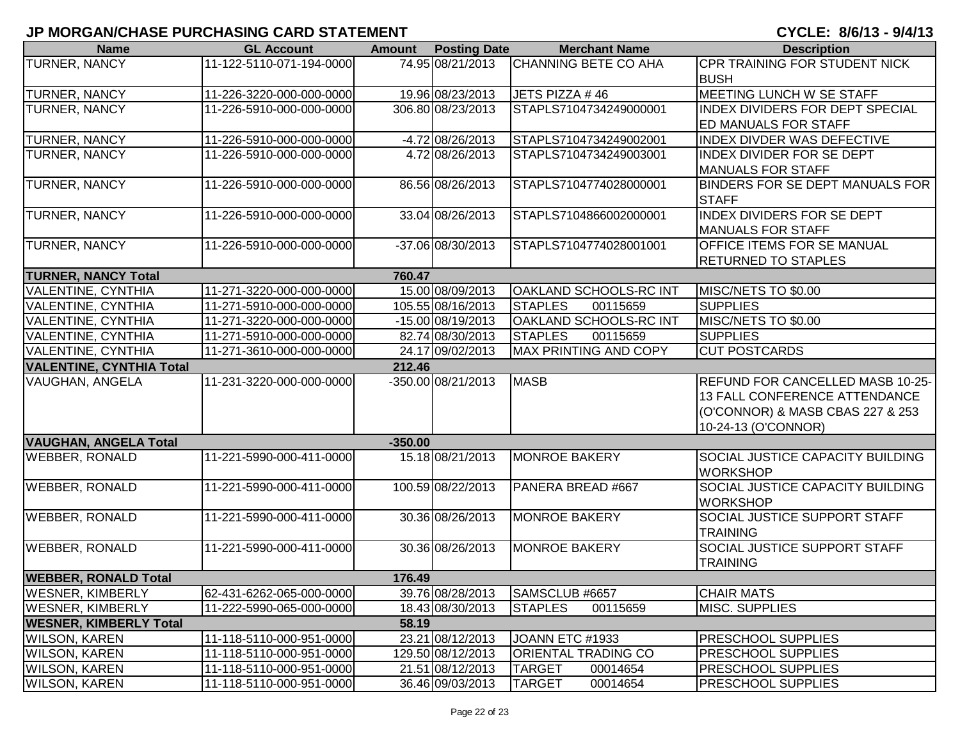| <b>Name</b>                     | <b>GL Account</b>        | <b>Amount</b> | <b>Posting Date</b> | <b>Merchant Name</b>          | <b>Description</b>                      |
|---------------------------------|--------------------------|---------------|---------------------|-------------------------------|-----------------------------------------|
| <b>TURNER, NANCY</b>            | 11-122-5110-071-194-0000 |               | 74.95 08/21/2013    | <b>CHANNING BETE CO AHA</b>   | CPR TRAINING FOR STUDENT NICK           |
|                                 |                          |               |                     |                               | <b>BUSH</b>                             |
| <b>TURNER, NANCY</b>            | 11-226-3220-000-000-0000 |               | 19.96 08/23/2013    | JETS PIZZA #46                | MEETING LUNCH W SE STAFF                |
| TURNER, NANCY                   | 11-226-5910-000-000-0000 |               | 306.80 08/23/2013   | STAPLS7104734249000001        | <b>INDEX DIVIDERS FOR DEPT SPECIAL</b>  |
|                                 |                          |               |                     |                               | <b>ED MANUALS FOR STAFF</b>             |
| TURNER, NANCY                   | 11-226-5910-000-000-0000 |               | -4.72 08/26/2013    | STAPLS7104734249002001        | <b>INDEX DIVDER WAS DEFECTIVE</b>       |
| <b>TURNER, NANCY</b>            | 11-226-5910-000-000-0000 |               | 4.72 08/26/2013     | STAPLS7104734249003001        | <b>INDEX DIVIDER FOR SE DEPT</b>        |
|                                 |                          |               |                     |                               | <b>MANUALS FOR STAFF</b>                |
| TURNER, NANCY                   | 11-226-5910-000-000-0000 |               | 86.56 08/26/2013    | STAPLS7104774028000001        | BINDERS FOR SE DEPT MANUALS FOR         |
|                                 |                          |               |                     |                               | <b>STAFF</b>                            |
| TURNER, NANCY                   | 11-226-5910-000-000-0000 |               | 33.04 08/26/2013    | STAPLS7104866002000001        | <b>INDEX DIVIDERS FOR SE DEPT</b>       |
|                                 |                          |               |                     |                               | <b>MANUALS FOR STAFF</b>                |
| TURNER, NANCY                   | 11-226-5910-000-000-0000 |               | -37.06 08/30/2013   | STAPLS7104774028001001        | <b>OFFICE ITEMS FOR SE MANUAL</b>       |
|                                 |                          |               |                     |                               | <b>RETURNED TO STAPLES</b>              |
| <b>TURNER, NANCY Total</b>      |                          | 760.47        |                     |                               |                                         |
| <b>VALENTINE, CYNTHIA</b>       | 11-271-3220-000-000-0000 |               | 15.00 08/09/2013    | <b>OAKLAND SCHOOLS-RC INT</b> | MISC/NETS TO \$0.00                     |
| <b>VALENTINE, CYNTHIA</b>       | 11-271-5910-000-000-0000 |               | 105.55 08/16/2013   | <b>STAPLES</b><br>00115659    | <b>SUPPLIES</b>                         |
| <b>VALENTINE, CYNTHIA</b>       | 11-271-3220-000-000-0000 |               | -15.00 08/19/2013   | <b>OAKLAND SCHOOLS-RC INT</b> | MISC/NETS TO \$0.00                     |
| <b>VALENTINE, CYNTHIA</b>       | 11-271-5910-000-000-0000 |               | 82.74 08/30/2013    | <b>STAPLES</b><br>00115659    | <b>SUPPLIES</b>                         |
| <b>VALENTINE, CYNTHIA</b>       | 11-271-3610-000-000-0000 |               | 24.17 09/02/2013    | MAX PRINTING AND COPY         | <b>CUT POSTCARDS</b>                    |
| <b>VALENTINE, CYNTHIA Total</b> |                          | 212.46        |                     |                               |                                         |
| <b>VAUGHAN, ANGELA</b>          | 11-231-3220-000-000-0000 |               | -350.00 08/21/2013  | <b>MASB</b>                   | REFUND FOR CANCELLED MASB 10-25-        |
|                                 |                          |               |                     |                               | 13 FALL CONFERENCE ATTENDANCE           |
|                                 |                          |               |                     |                               | (O'CONNOR) & MASB CBAS 227 & 253        |
|                                 |                          |               |                     |                               | 10-24-13 (O'CONNOR)                     |
| <b>VAUGHAN, ANGELA Total</b>    |                          | $-350.00$     |                     |                               |                                         |
| <b>WEBBER, RONALD</b>           | 11-221-5990-000-411-0000 |               | 15.18 08/21/2013    | <b>MONROE BAKERY</b>          | <b>SOCIAL JUSTICE CAPACITY BUILDING</b> |
|                                 |                          |               |                     |                               | <b>WORKSHOP</b>                         |
| <b>WEBBER, RONALD</b>           | 11-221-5990-000-411-0000 |               | 100.59 08/22/2013   | PANERA BREAD #667             | SOCIAL JUSTICE CAPACITY BUILDING        |
|                                 |                          |               |                     |                               | <b>WORKSHOP</b>                         |
| <b>WEBBER, RONALD</b>           | 11-221-5990-000-411-0000 |               | 30.36 08/26/2013    | <b>MONROE BAKERY</b>          | <b>SOCIAL JUSTICE SUPPORT STAFF</b>     |
|                                 |                          |               |                     |                               | <b>TRAINING</b>                         |
| <b>WEBBER, RONALD</b>           | 11-221-5990-000-411-0000 |               | 30.36 08/26/2013    | <b>MONROE BAKERY</b>          | <b>SOCIAL JUSTICE SUPPORT STAFF</b>     |
|                                 |                          |               |                     |                               | <b>TRAINING</b>                         |
| <b>WEBBER, RONALD Total</b>     |                          | 176.49        |                     |                               |                                         |
| <b>WESNER, KIMBERLY</b>         | 62-431-6262-065-000-0000 |               | 39.76 08/28/2013    | SAMSCLUB #6657                | <b>CHAIR MATS</b>                       |
| <b>WESNER, KIMBERLY</b>         | 11-222-5990-065-000-0000 |               | 18.43 08/30/2013    | <b>STAPLES</b><br>00115659    | MISC. SUPPLIES                          |
| <b>WESNER, KIMBERLY Total</b>   |                          | 58.19         |                     |                               |                                         |
| <b>WILSON, KAREN</b>            | 11-118-5110-000-951-0000 |               | 23.21 08/12/2013    | JOANN ETC #1933               | <b>PRESCHOOL SUPPLIES</b>               |
| <b>WILSON, KAREN</b>            | 11-118-5110-000-951-0000 |               | 129.50 08/12/2013   | <b>ORIENTAL TRADING CO</b>    | <b>PRESCHOOL SUPPLIES</b>               |
| <b>WILSON, KAREN</b>            | 11-118-5110-000-951-0000 |               | 21.51 08/12/2013    | <b>TARGET</b><br>00014654     | <b>PRESCHOOL SUPPLIES</b>               |
| <b>WILSON, KAREN</b>            | 11-118-5110-000-951-0000 |               | 36.46 09/03/2013    | <b>TARGET</b><br>00014654     | <b>PRESCHOOL SUPPLIES</b>               |